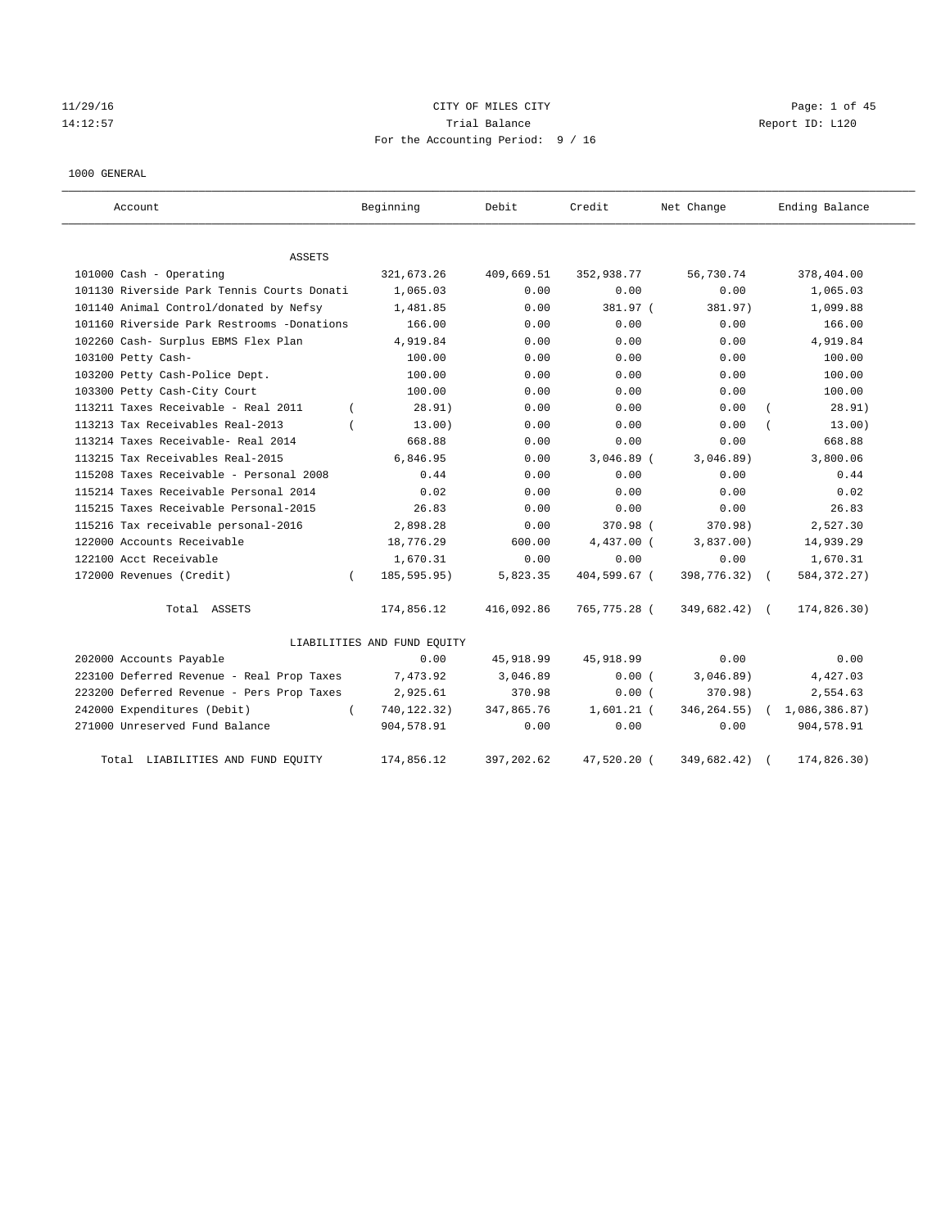# 11/29/16 CITY OF MILES CITY Page: 1 of 45 14:12:57 Trial Balance Trial Balance Report ID: L120 For the Accounting Period: 9 / 16

#### 1000 GENERAL

| Account                                    | Beginning                   | Debit       | Credit       | Net Change    | Ending Balance |
|--------------------------------------------|-----------------------------|-------------|--------------|---------------|----------------|
| ASSETS                                     |                             |             |              |               |                |
| 101000 Cash - Operating                    | 321, 673.26                 | 409,669.51  | 352,938.77   | 56,730.74     | 378,404.00     |
| 101130 Riverside Park Tennis Courts Donati | 1,065.03                    | 0.00        | 0.00         | 0.00          | 1,065.03       |
| 101140 Animal Control/donated by Nefsy     | 1,481.85                    | 0.00        | 381.97 (     | 381.97)       | 1,099.88       |
| 101160 Riverside Park Restrooms -Donations | 166.00                      | 0.00        | 0.00         | 0.00          | 166.00         |
| 102260 Cash- Surplus EBMS Flex Plan        | 4,919.84                    | 0.00        | 0.00         | 0.00          | 4,919.84       |
| 103100 Petty Cash-                         | 100.00                      | 0.00        | 0.00         | 0.00          | 100.00         |
| 103200 Petty Cash-Police Dept.             | 100.00                      | 0.00        | 0.00         | 0.00          | 100.00         |
| 103300 Petty Cash-City Court               | 100.00                      | 0.00        | 0.00         | 0.00          | 100.00         |
| 113211 Taxes Receivable - Real 2011        | 28.91)                      | 0.00        | 0.00         | 0.00          | 28.91)         |
| 113213 Tax Receivables Real-2013           | 13.00)                      | 0.00        | 0.00         | 0.00          | 13.00)         |
| 113214 Taxes Receivable- Real 2014         | 668.88                      | 0.00        | 0.00         | 0.00          | 668.88         |
| 113215 Tax Receivables Real-2015           | 6,846.95                    | 0.00        | $3,046.89$ ( | 3,046.89)     | 3,800.06       |
| 115208 Taxes Receivable - Personal 2008    | 0.44                        | 0.00        | 0.00         | 0.00          | 0.44           |
| 115214 Taxes Receivable Personal 2014      | 0.02                        | 0.00        | 0.00         | 0.00          | 0.02           |
| 115215 Taxes Receivable Personal-2015      | 26.83                       | 0.00        | 0.00         | 0.00          | 26.83          |
| 115216 Tax receivable personal-2016        | 2,898.28                    | 0.00        | 370.98 (     | 370.98)       | 2,527.30       |
| 122000 Accounts Receivable                 | 18,776.29                   | 600.00      | 4,437.00 (   | 3,837.00)     | 14,939.29      |
| 122100 Acct Receivable                     | 1,670.31                    | 0.00        | 0.00         | 0.00          | 1,670.31       |
| 172000 Revenues (Credit)<br>$\left($       | 185, 595.95)                | 5,823.35    | 404,599.67 ( | 398,776.32) ( | 584, 372. 27)  |
| Total ASSETS                               | 174,856.12                  | 416,092.86  | 765,775.28 ( | 349,682.42)   | 174,826.30)    |
|                                            | LIABILITIES AND FUND EQUITY |             |              |               |                |
| 202000 Accounts Payable                    | 0.00                        | 45,918.99   | 45, 918.99   | 0.00          | 0.00           |
| 223100 Deferred Revenue - Real Prop Taxes  | 7,473.92                    | 3,046.89    | 0.00(        | 3,046.89)     | 4,427.03       |
| 223200 Deferred Revenue - Pers Prop Taxes  | 2,925.61                    | 370.98      | 0.00(        | 370.98)       | 2,554.63       |
| 242000 Expenditures (Debit)<br>$\left($    | 740,122.32)                 | 347,865.76  | $1,601.21$ ( | 346, 264.55)  | 1,086,386.87)  |
| 271000 Unreserved Fund Balance             | 904,578.91                  | 0.00        | 0.00         | 0.00          | 904,578.91     |
| Total LIABILITIES AND FUND EQUITY          | 174,856.12                  | 397, 202.62 | 47,520.20 (  | 349,682.42)   | 174,826.30)    |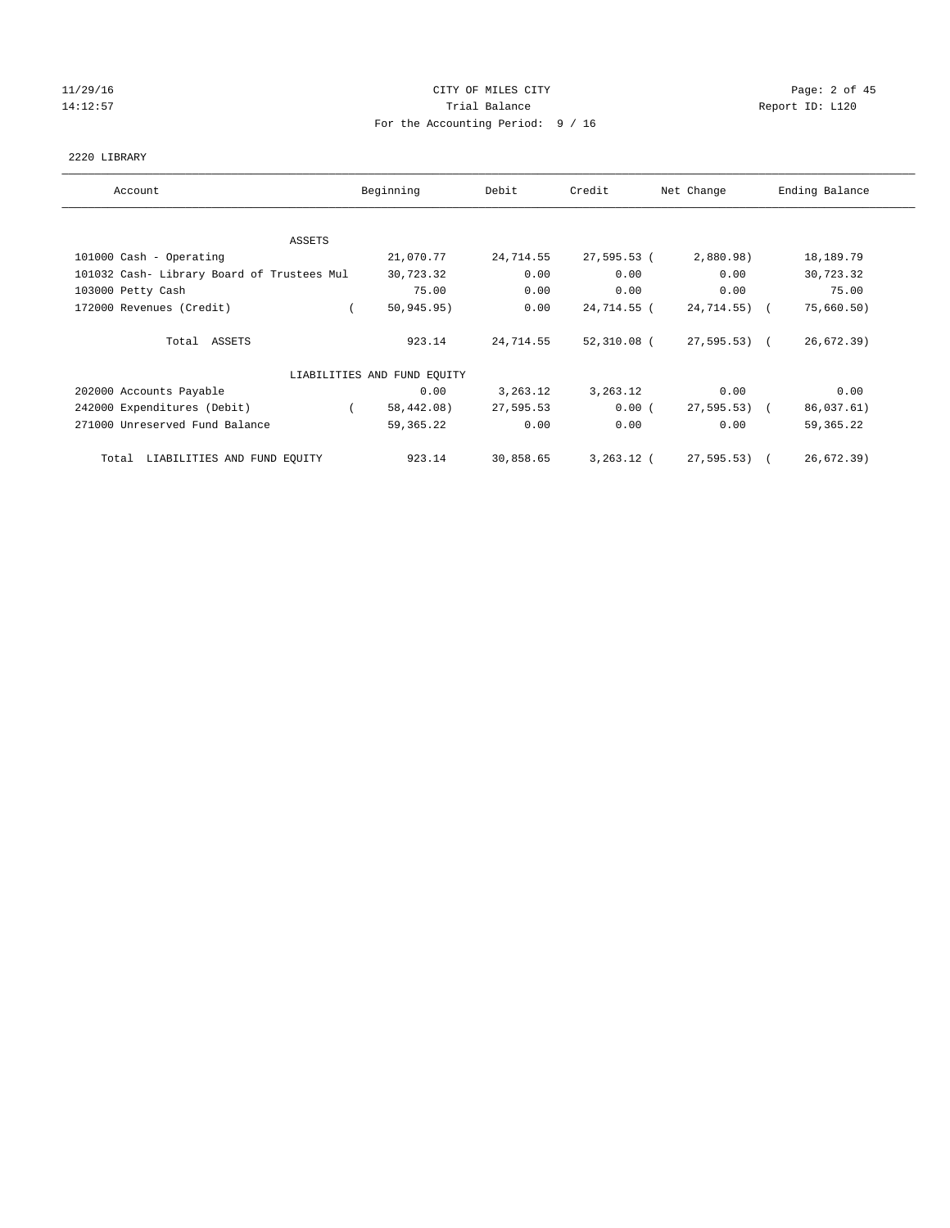# 11/29/16 Page: 2 of 45 14:12:57 Trial Balance Trial Balance Report ID: L120 For the Accounting Period: 9 / 16

#### 2220 LIBRARY

| Account                                    | Beginning                   | Debit      | Credit      | Net Change   | Ending Balance |
|--------------------------------------------|-----------------------------|------------|-------------|--------------|----------------|
|                                            |                             |            |             |              |                |
| ASSETS                                     | 21,070.77                   | 24,714.55  | 27,595.53 ( | 2,880.98)    |                |
| 101000 Cash - Operating                    |                             |            |             |              | 18,189.79      |
| 101032 Cash- Library Board of Trustees Mul | 30,723.32                   | 0.00       | 0.00        | 0.00         | 30,723.32      |
| 103000 Petty Cash                          | 75.00                       | 0.00       | 0.00        | 0.00         | 75.00          |
| 172000 Revenues (Credit)                   | 50, 945.95)                 | 0.00       | 24,714.55 ( | 24,714.55) ( | 75,660.50)     |
| Total ASSETS                               | 923.14                      | 24,714.55  | 52,310.08 ( | 27,595.53) ( | 26,672.39)     |
|                                            | LIABILITIES AND FUND EQUITY |            |             |              |                |
| 202000 Accounts Payable                    | 0.00                        | 3, 263. 12 | 3,263.12    | 0.00         | 0.00           |
| 242000 Expenditures (Debit)                | 58,442.08)<br>$\sqrt{2}$    | 27,595.53  | 0.00(       | 27,595.53) ( | 86,037.61)     |
| 271000 Unreserved Fund Balance             | 59,365.22                   | 0.00       | 0.00        | 0.00         | 59, 365. 22    |
| Total LIABILITIES AND FUND EQUITY          | 923.14                      | 30,858.65  | 3,263.12 (  | 27,595.53) ( | 26,672.39)     |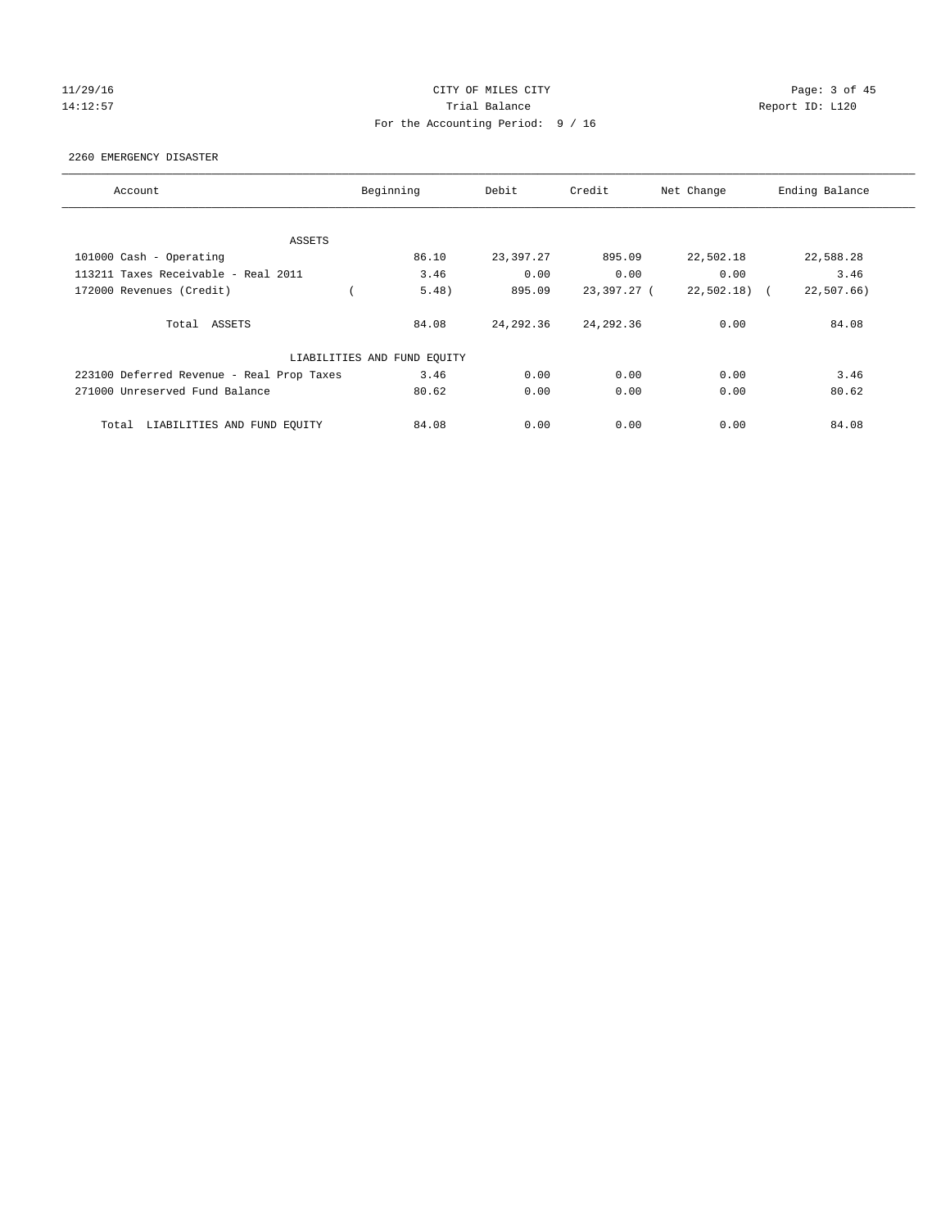#### 11/29/16 CITY OF MILES CITY Page: 3 of 45 14:12:57 Trial Balance Report ID: L120 For the Accounting Period: 9 / 16

2260 EMERGENCY DISASTER

| Account                                   | Beginning                   | Debit      | Credit      | Net Change    | Ending Balance |
|-------------------------------------------|-----------------------------|------------|-------------|---------------|----------------|
|                                           |                             |            |             |               |                |
| ASSETS                                    |                             |            |             |               |                |
| 101000 Cash - Operating                   | 86.10                       | 23,397.27  | 895.09      | 22,502.18     | 22,588.28      |
| 113211 Taxes Receivable - Real 2011       | 3.46                        | 0.00       | 0.00        | 0.00          | 3.46           |
| 172000 Revenues (Credit)                  | 5.48)                       | 895.09     | 23,397.27 ( | $22,502.18$ ( | 22,507.66      |
| Total ASSETS                              | 84.08                       | 24, 292.36 | 24, 292.36  | 0.00          | 84.08          |
|                                           | LIABILITIES AND FUND EQUITY |            |             |               |                |
| 223100 Deferred Revenue - Real Prop Taxes | 3.46                        | 0.00       | 0.00        | 0.00          | 3.46           |
| 271000 Unreserved Fund Balance            | 80.62                       | 0.00       | 0.00        | 0.00          | 80.62          |
| LIABILITIES AND FUND EQUITY<br>Total      | 84.08                       | 0.00       | 0.00        | 0.00          | 84.08          |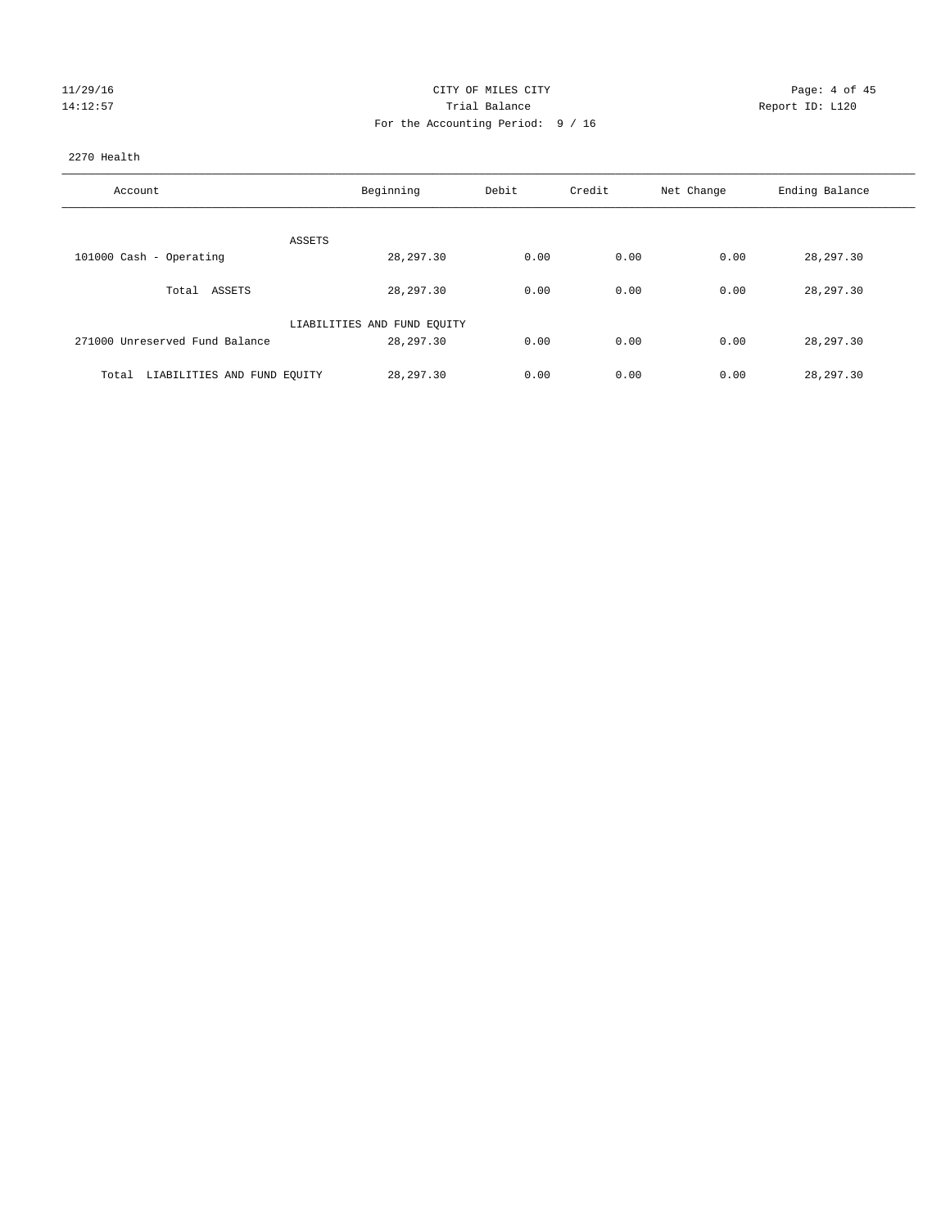| 11/29/16 |
|----------|
| 14:12:57 |

#### CITY OF MILES CITY **CHANGE CITY** Page: 4 of 45 Partial Balance and Communications of the Report ID: L120 For the Accounting Period: 9 / 16

#### 2270 Health

| Account                              | Beginning                   | Debit | Credit | Net Change | Ending Balance |
|--------------------------------------|-----------------------------|-------|--------|------------|----------------|
| ASSETS                               |                             |       |        |            |                |
| 101000 Cash - Operating              | 28, 297.30                  | 0.00  | 0.00   | 0.00       | 28, 297.30     |
| Total ASSETS                         | 28,297.30                   | 0.00  | 0.00   | 0.00       | 28,297.30      |
|                                      | LIABILITIES AND FUND EQUITY |       |        |            |                |
| 271000 Unreserved Fund Balance       | 28,297.30                   | 0.00  | 0.00   | 0.00       | 28,297.30      |
| LIABILITIES AND FUND EQUITY<br>Total | 28, 297, 30                 | 0.00  | 0.00   | 0.00       | 28,297.30      |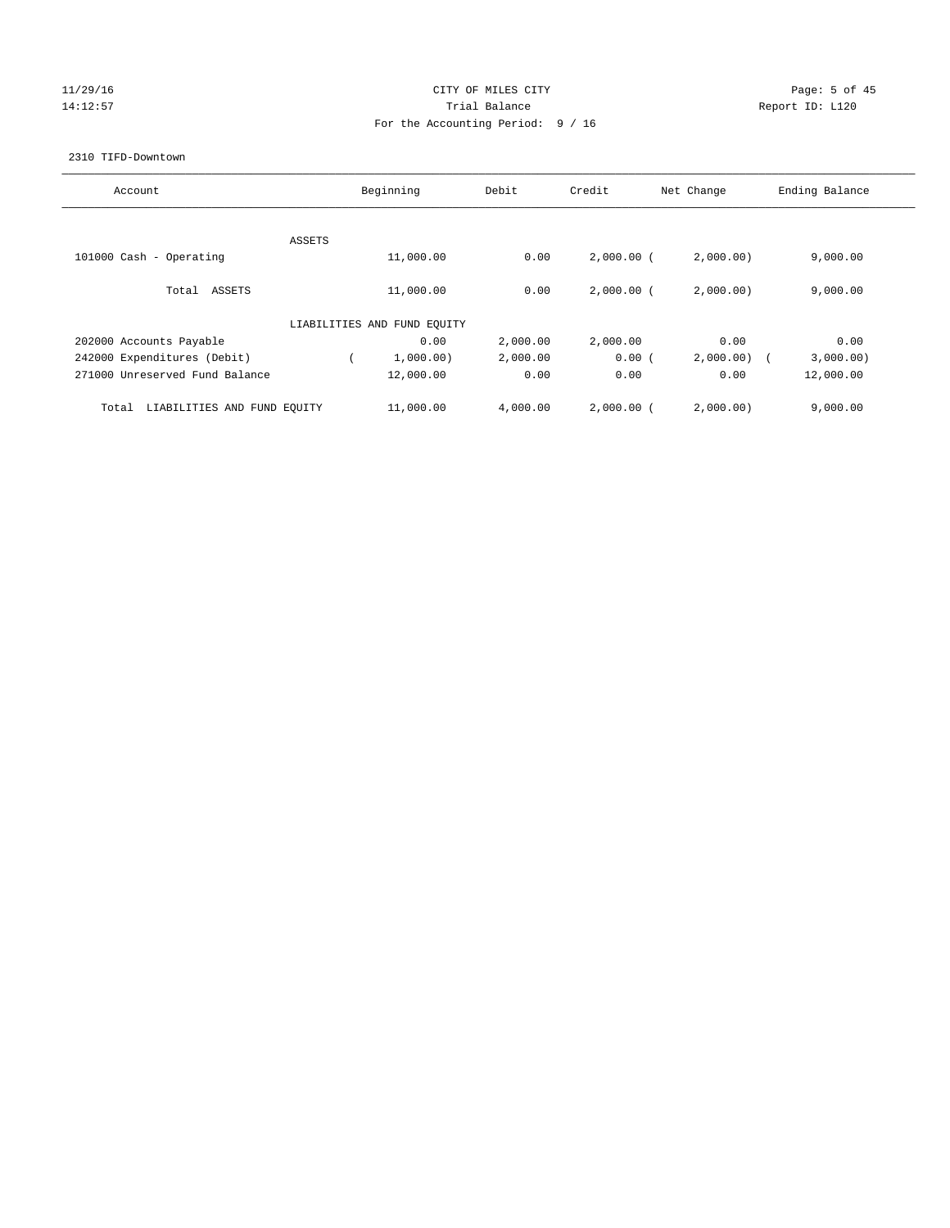# $11/29/16$  Page: 5 of 45 14:12:57 Trial Balance Trial Balance Report ID: L120 For the Accounting Period: 9 / 16

#### 2310 TIFD-Downtown

| Account                              |        | Beginning                   | Debit    | Credit       | Ending Balance |           |
|--------------------------------------|--------|-----------------------------|----------|--------------|----------------|-----------|
|                                      |        |                             |          |              |                |           |
|                                      | ASSETS |                             |          |              |                |           |
| 101000 Cash - Operating              |        | 11,000.00                   | 0.00     | $2,000.00$ ( | 2,000.00)      | 9,000.00  |
| Total<br>ASSETS                      |        | 11,000.00                   | 0.00     | $2,000.00$ ( | 2,000.00)      | 9,000.00  |
|                                      |        | LIABILITIES AND FUND EQUITY |          |              |                |           |
| 202000 Accounts Payable              |        | 0.00                        | 2,000.00 | 2,000.00     | 0.00           | 0.00      |
| 242000 Expenditures (Debit)          |        | 1,000.00)                   | 2,000.00 | 0.00(        | 2,000.00       | 3,000.00) |
| 271000 Unreserved Fund Balance       |        | 12,000.00                   | 0.00     | 0.00         | 0.00           | 12,000.00 |
| LIABILITIES AND FUND EQUITY<br>Total |        | 11,000.00                   | 4,000.00 | $2,000.00$ ( | 2,000.00)      | 9,000.00  |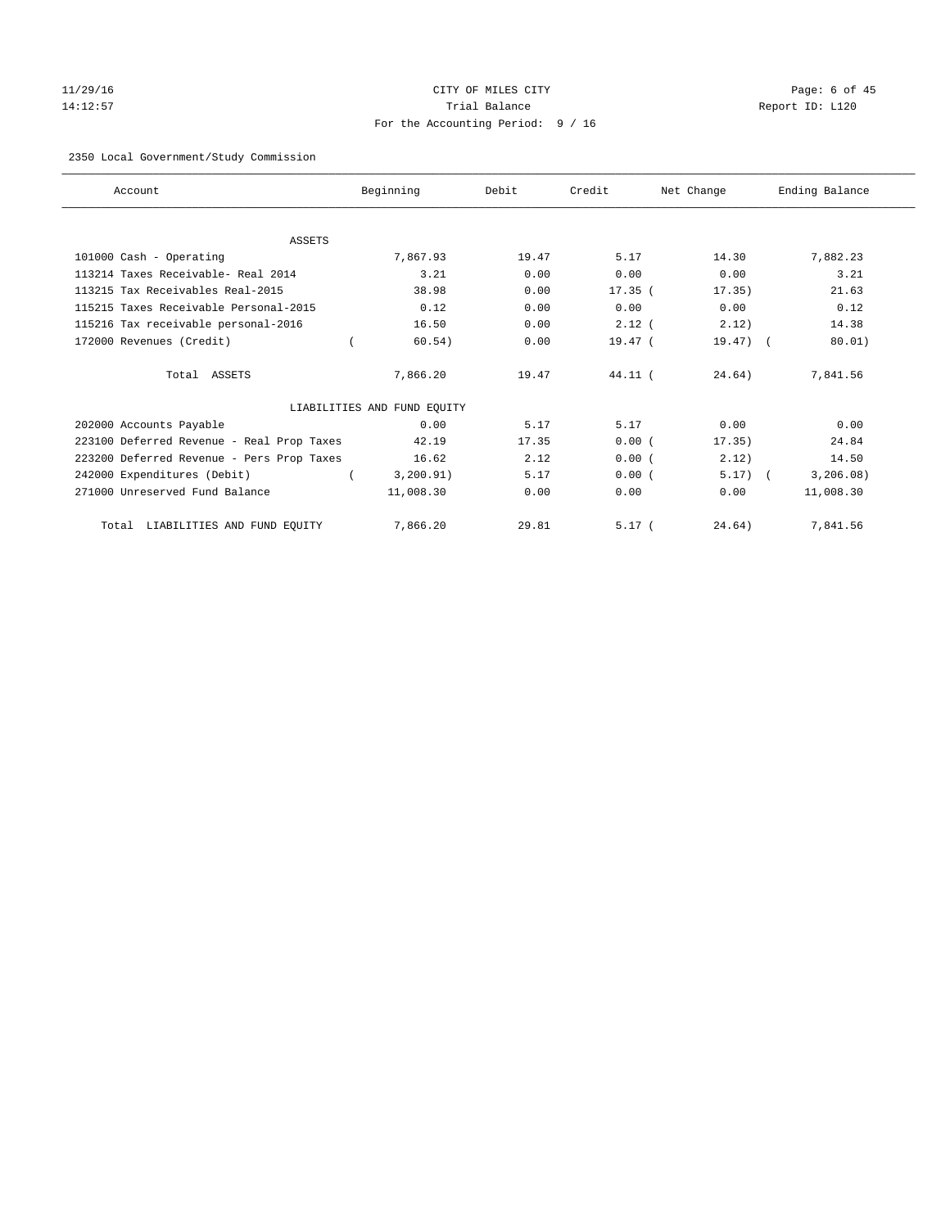# 11/29/16 Page: 6 of 45 14:12:57 Trial Balance Report ID: L120 For the Accounting Period: 9 / 16

#### 2350 Local Government/Study Commission

| Account                                   | Beginning                   | Debit | Credit    | Net Change | Ending Balance |
|-------------------------------------------|-----------------------------|-------|-----------|------------|----------------|
|                                           |                             |       |           |            |                |
| <b>ASSETS</b>                             |                             |       |           |            |                |
| 101000 Cash - Operating                   | 7.867.93                    | 19.47 | 5.17      | 14.30      | 7,882.23       |
| 113214 Taxes Receivable- Real 2014        | 3.21                        | 0.00  | 0.00      | 0.00       | 3.21           |
| 113215 Tax Receivables Real-2015          | 38.98                       | 0.00  | $17.35$ ( | 17.35)     | 21.63          |
| 115215 Taxes Receivable Personal-2015     | 0.12                        | 0.00  | 0.00      | 0.00       | 0.12           |
| 115216 Tax receivable personal-2016       | 16.50                       | 0.00  | $2.12$ (  | 2.12)      | 14.38          |
| 172000 Revenues (Credit)                  | 60.54)                      | 0.00  | 19.47 (   | $19.47)$ ( | 80.01)         |
| Total ASSETS                              | 7,866.20                    | 19.47 | $44.11$ ( | 24.64)     | 7,841.56       |
|                                           | LIABILITIES AND FUND EQUITY |       |           |            |                |
| 202000 Accounts Payable                   | 0.00                        | 5.17  | 5.17      | 0.00       | 0.00           |
| 223100 Deferred Revenue - Real Prop Taxes | 42.19                       | 17.35 | 0.00(     | 17.35)     | 24.84          |
| 223200 Deferred Revenue - Pers Prop Taxes | 16.62                       | 2.12  | 0.00(     | 2.12)      | 14.50          |
| 242000 Expenditures (Debit)               | 3, 200.91)                  | 5.17  | 0.00(     | $5.17)$ (  | 3, 206.08)     |
| 271000 Unreserved Fund Balance            | 11,008.30                   | 0.00  | 0.00      | 0.00       | 11,008.30      |
| LIABILITIES AND FUND EQUITY<br>Total      | 7,866.20                    | 29.81 | 5.17(     | 24.64)     | 7,841.56       |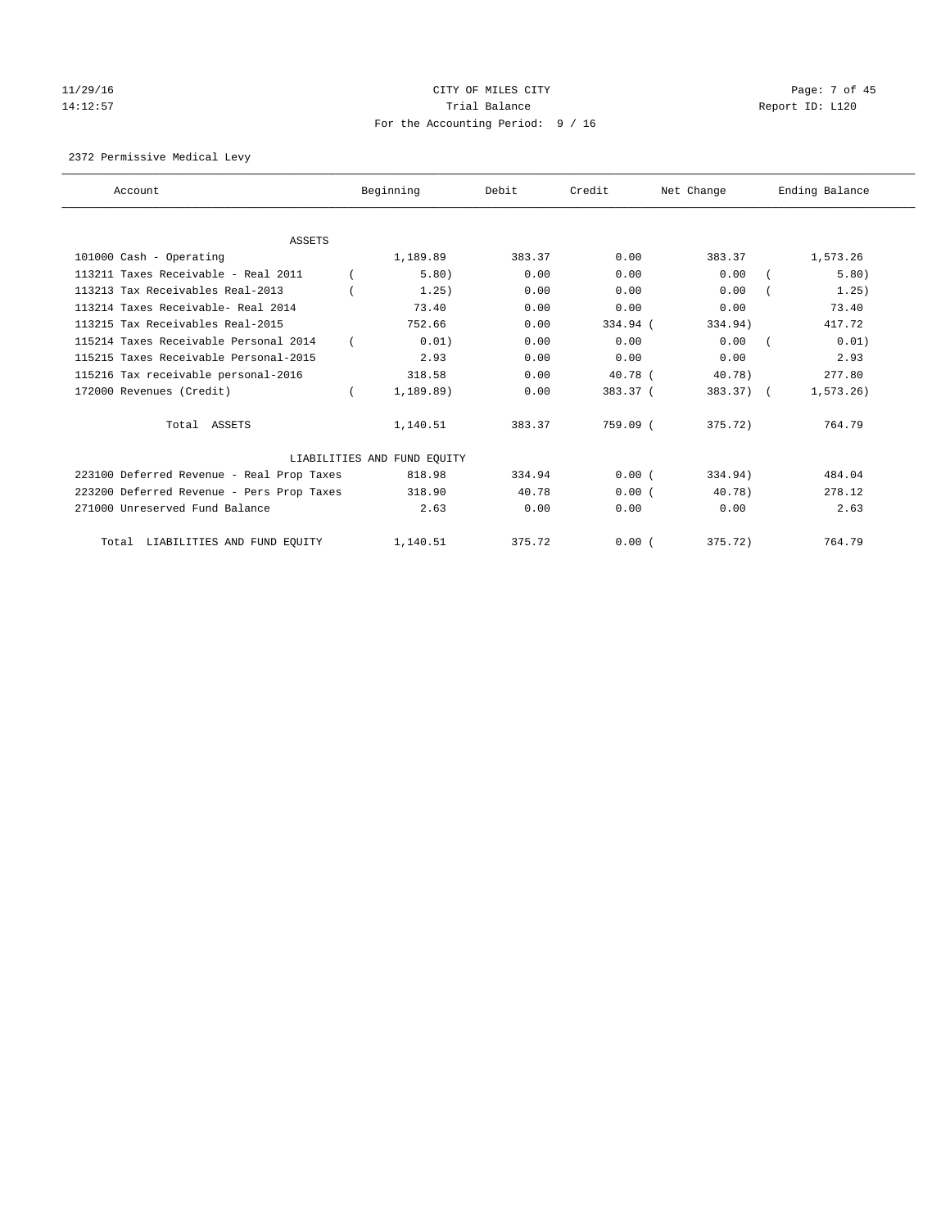# $11/29/16$  Page: 7 of 45 14:12:57 Trial Balance Report ID: L120 For the Accounting Period: 9 / 16

2372 Permissive Medical Levy

| Account                                   | Beginning                   | Debit  | Credit    | Net Change   | Ending Balance |
|-------------------------------------------|-----------------------------|--------|-----------|--------------|----------------|
|                                           |                             |        |           |              |                |
| <b>ASSETS</b>                             |                             |        |           |              |                |
| 101000 Cash - Operating                   | 1,189.89                    | 383.37 | 0.00      | 383.37       | 1,573.26       |
| 113211 Taxes Receivable - Real 2011       | 5.80)                       | 0.00   | 0.00      | 0.00         | 5.80)          |
| 113213 Tax Receivables Real-2013          | 1.25)                       | 0.00   | 0.00      | 0.00         | 1.25)          |
| 113214 Taxes Receivable- Real 2014        | 73.40                       | 0.00   | 0.00      | 0.00         | 73.40          |
| 113215 Tax Receivables Real-2015          | 752.66                      | 0.00   | 334.94 (  | 334.94)      | 417.72         |
| 115214 Taxes Receivable Personal 2014     | 0.01)                       | 0.00   | 0.00      | 0.00         | 0.01)          |
| 115215 Taxes Receivable Personal-2015     | 2.93                        | 0.00   | 0.00      | 0.00         | 2.93           |
| 115216 Tax receivable personal-2016       | 318.58                      | 0.00   | $40.78$ ( | 40.78)       | 277.80         |
| 172000 Revenues (Credit)                  | 1,189.89)                   | 0.00   | 383.37 (  | $383.37$ ) ( | 1, 573.26      |
| Total ASSETS                              | 1,140.51                    | 383.37 | 759.09 (  | 375.72)      | 764.79         |
|                                           | LIABILITIES AND FUND EQUITY |        |           |              |                |
| 223100 Deferred Revenue - Real Prop Taxes | 818.98                      | 334.94 | 0.00(     | 334.94)      | 484.04         |
| 223200 Deferred Revenue - Pers Prop Taxes | 318.90                      | 40.78  | 0.00(     | 40.78)       | 278.12         |
| 271000 Unreserved Fund Balance            | 2.63                        | 0.00   | 0.00      | 0.00         | 2.63           |
| LIABILITIES AND FUND EQUITY<br>Total      | 1,140.51                    | 375.72 | 0.00(     | 375.72)      | 764.79         |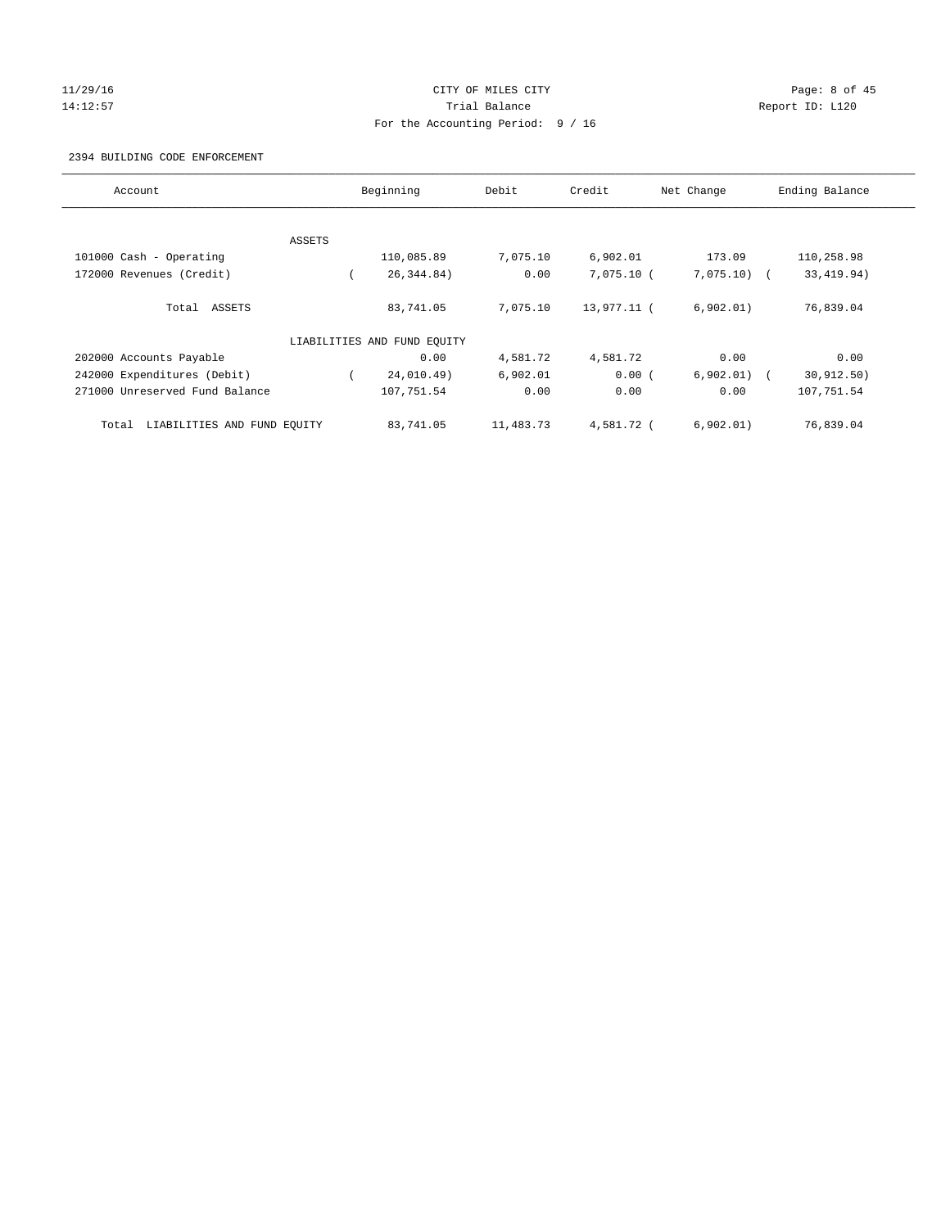#### 11/29/16 CITY OF MILES CITY Page: 8 of 45 14:12:57 Trial Balance Report ID: L120 For the Accounting Period: 9 / 16

#### 2394 BUILDING CODE ENFORCEMENT

| Account                              | Beginning |                             | Credit<br>Debit<br>Net Change |             |               | Ending Balance |
|--------------------------------------|-----------|-----------------------------|-------------------------------|-------------|---------------|----------------|
|                                      |           |                             |                               |             |               |                |
|                                      | ASSETS    |                             |                               |             |               |                |
| 101000 Cash - Operating              |           | 110,085.89                  | 7,075.10                      | 6,902.01    | 173.09        | 110,258.98     |
| 172000 Revenues (Credit)             |           | 26, 344, 84)                | 0.00                          | 7,075.10 (  | $7,075.10)$ ( | 33, 419.94)    |
| Total ASSETS                         |           | 83,741.05                   | 7,075.10                      | 13,977.11 ( | 6,902.01)     | 76,839.04      |
|                                      |           | LIABILITIES AND FUND EQUITY |                               |             |               |                |
| 202000 Accounts Payable              |           | 0.00                        | 4,581.72                      | 4,581.72    | 0.00          | 0.00           |
| 242000 Expenditures (Debit)          |           | 24,010.49)                  | 6,902.01                      | 0.00(       | $6,902.01)$ ( | 30, 912, 50)   |
| 271000 Unreserved Fund Balance       |           | 107,751.54                  | 0.00                          | 0.00        | 0.00          | 107,751.54     |
| LIABILITIES AND FUND EQUITY<br>Total |           | 83,741.05                   | 11,483.73                     | 4,581.72 (  | 6,902.01)     | 76,839.04      |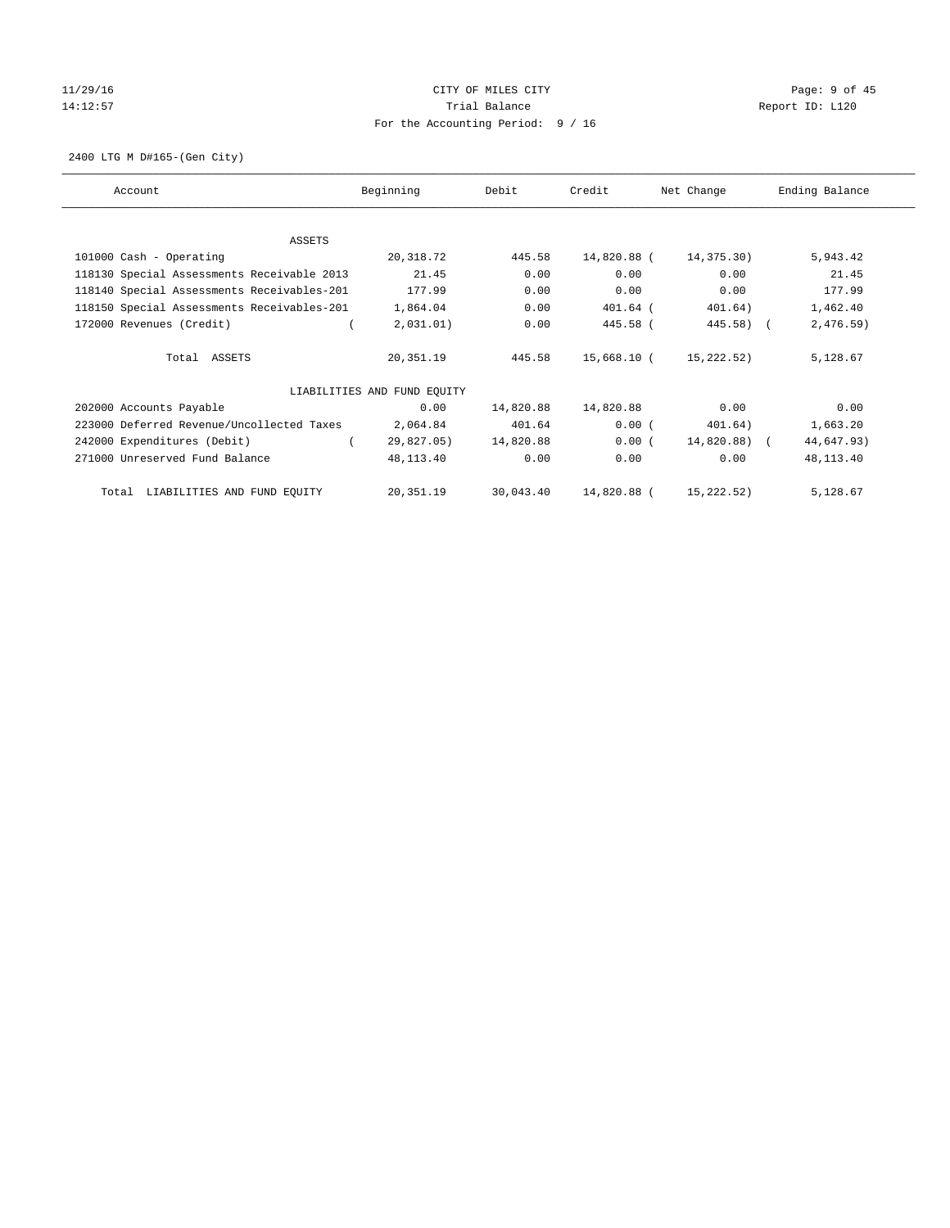# $11/29/16$  Page: 9 of 45 14:12:57 Trial Balance Trial Balance Report ID: L120 For the Accounting Period: 9 / 16

2400 LTG M D#165-(Gen City)

| Account                                    | Beginning                   | Debit     | Credit      | Net Change   | Ending Balance |
|--------------------------------------------|-----------------------------|-----------|-------------|--------------|----------------|
|                                            |                             |           |             |              |                |
| <b>ASSETS</b>                              |                             | 445.58    |             |              |                |
| 101000 Cash - Operating                    | 20,318.72                   |           | 14,820.88 ( | 14,375.30)   | 5,943.42       |
| 118130 Special Assessments Receivable 2013 | 21.45                       | 0.00      | 0.00        | 0.00         | 21.45          |
| 118140 Special Assessments Receivables-201 | 177.99                      | 0.00      | 0.00        | 0.00         | 177.99         |
| 118150 Special Assessments Receivables-201 | 1,864.04                    | 0.00      | $401.64$ (  | 401.64)      | 1,462.40       |
| 172000 Revenues (Credit)                   | 2,031.01)                   | 0.00      | 445.58 (    | $445.58$ ) ( | 2,476.59)      |
| Total ASSETS                               | 20,351.19                   | 445.58    | 15,668.10 ( | 15,222.52)   | 5,128.67       |
|                                            | LIABILITIES AND FUND EQUITY |           |             |              |                |
| 202000 Accounts Payable                    | 0.00                        | 14,820.88 | 14,820.88   | 0.00         | 0.00           |
| 223000 Deferred Revenue/Uncollected Taxes  | 2,064.84                    | 401.64    | 0.00(       | 401.64)      | 1,663.20       |
| 242000 Expenditures (Debit)                | 29,827.05)                  | 14,820.88 | 0.00(       | 14,820.88) ( | 44,647.93)     |
| 271000 Unreserved Fund Balance             | 48,113.40                   | 0.00      | 0.00        | 0.00         | 48,113.40      |
| LIABILITIES AND FUND EQUITY<br>Total       | 20,351.19                   | 30,043.40 | 14,820.88 ( | 15,222.52)   | 5,128.67       |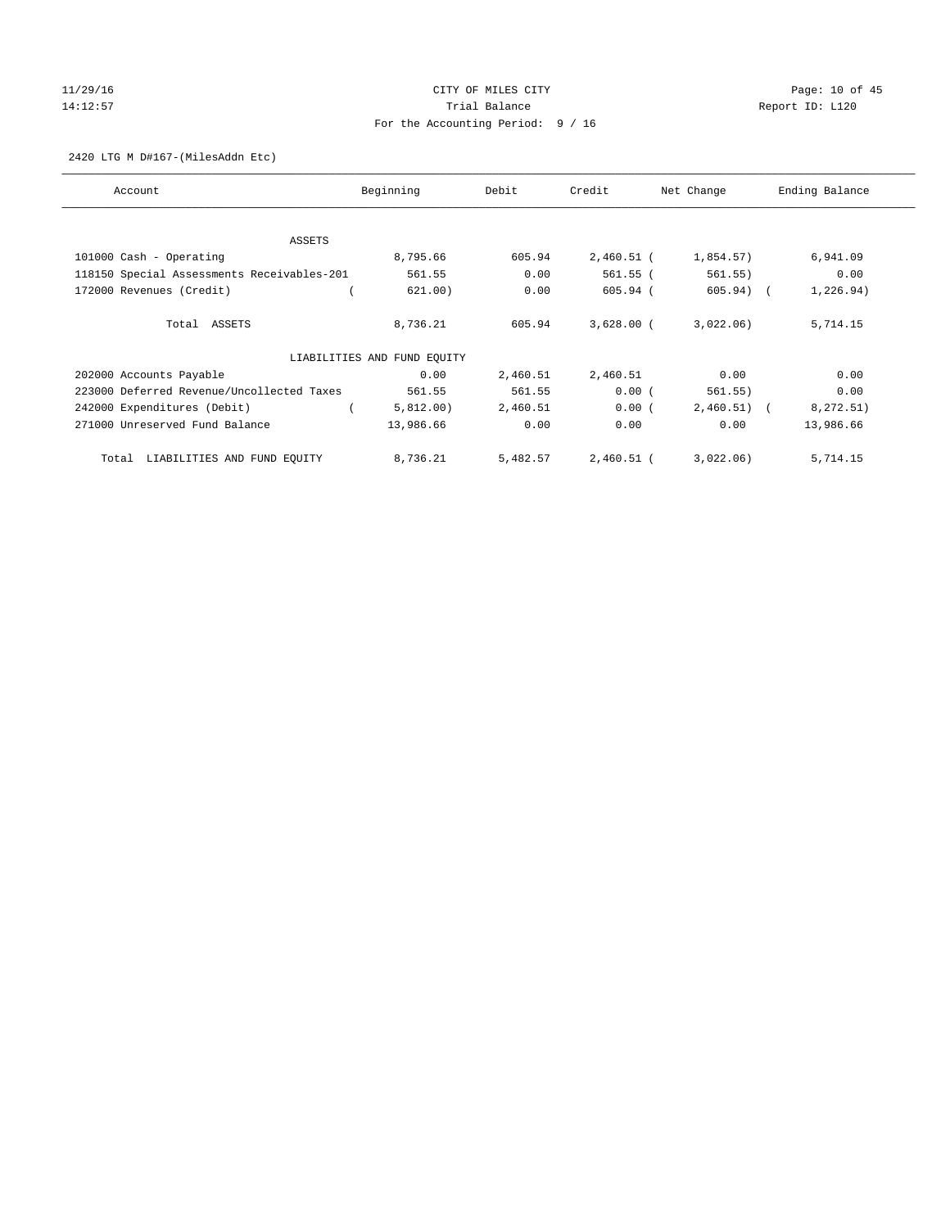# 11/29/16 Page: 10 of 45 14:12:57 Trial Balance Trial Balance Report ID: L120 For the Accounting Period: 9 / 16

2420 LTG M D#167-(MilesAddn Etc)

| Account                                    | Beginning                   | Debit    | Credit       | Net Change   | Ending Balance |
|--------------------------------------------|-----------------------------|----------|--------------|--------------|----------------|
| ASSETS                                     |                             |          |              |              |                |
| 101000 Cash - Operating                    | 8,795.66                    | 605.94   | $2,460.51$ ( | 1,854.57)    | 6,941.09       |
| 118150 Special Assessments Receivables-201 | 561.55                      | 0.00     | 561.55 (     | 561.55)      | 0.00           |
| 172000 Revenues (Credit)                   | 621.00)                     | 0.00     | 605.94 (     | $605.94)$ (  | 1,226.94)      |
| Total ASSETS                               | 8,736.21                    | 605.94   | $3,628.00$ ( | 3,022.06)    | 5,714.15       |
|                                            | LIABILITIES AND FUND EQUITY |          |              |              |                |
| 202000 Accounts Payable                    | 0.00                        | 2,460.51 | 2,460.51     | 0.00         | 0.00           |
| 223000 Deferred Revenue/Uncollected Taxes  | 561.55                      | 561.55   | 0.00(        | 561.55)      | 0.00           |
| 242000 Expenditures (Debit)                | 5,812.00)                   | 2,460.51 | 0.00(        | $2,460.51$ ( | 8,272.51)      |
| 271000 Unreserved Fund Balance             | 13,986.66                   | 0.00     | 0.00         | 0.00         | 13,986.66      |
| LIABILITIES AND FUND EQUITY<br>Total       | 8,736.21                    | 5,482.57 | $2,460.51$ ( | 3,022.06)    | 5,714.15       |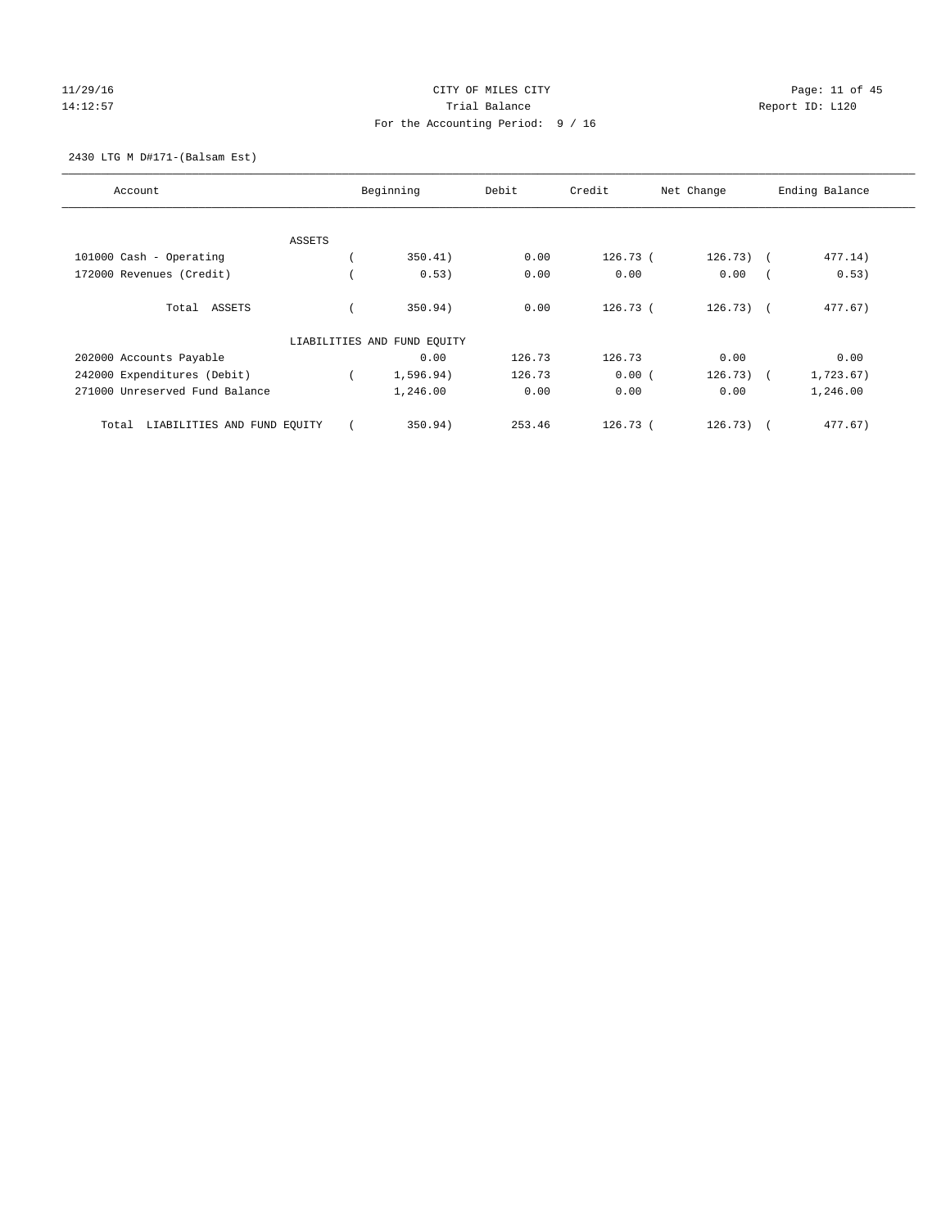# $CITY$  OF MILES  $CITY$  and the contract of  $P45$ 14:12:57 Trial Balance Trial Balance Report ID: L120 For the Accounting Period: 9 / 16

2430 LTG M D#171-(Balsam Est)

| Account                              | Beginning                   | Debit  | Credit     | Net Change  | Ending Balance |
|--------------------------------------|-----------------------------|--------|------------|-------------|----------------|
|                                      |                             |        |            |             |                |
| ASSETS                               |                             |        |            |             |                |
| 101000 Cash - Operating              | 350.41)                     | 0.00   | 126.73(    | $126.73)$ ( | 477.14)        |
| 172000 Revenues (Credit)             | 0.53)                       | 0.00   | 0.00       | 0.00        | 0.53)          |
| Total ASSETS                         | 350.94)                     | 0.00   | 126.73(    | $126.73$ (  | 477.67)        |
|                                      | LIABILITIES AND FUND EQUITY |        |            |             |                |
| 202000 Accounts Payable              | 0.00                        | 126.73 | 126.73     | 0.00        | 0.00           |
| 242000 Expenditures (Debit)          | 1,596.94)                   | 126.73 | 0.00(      | $126.73)$ ( | 1,723.67)      |
| 271000 Unreserved Fund Balance       | 1,246.00                    | 0.00   | 0.00       | 0.00        | 1,246.00       |
| LIABILITIES AND FUND EQUITY<br>Total | 350.94)                     | 253.46 | $126.73$ ( | 126.73)     | 477.67)        |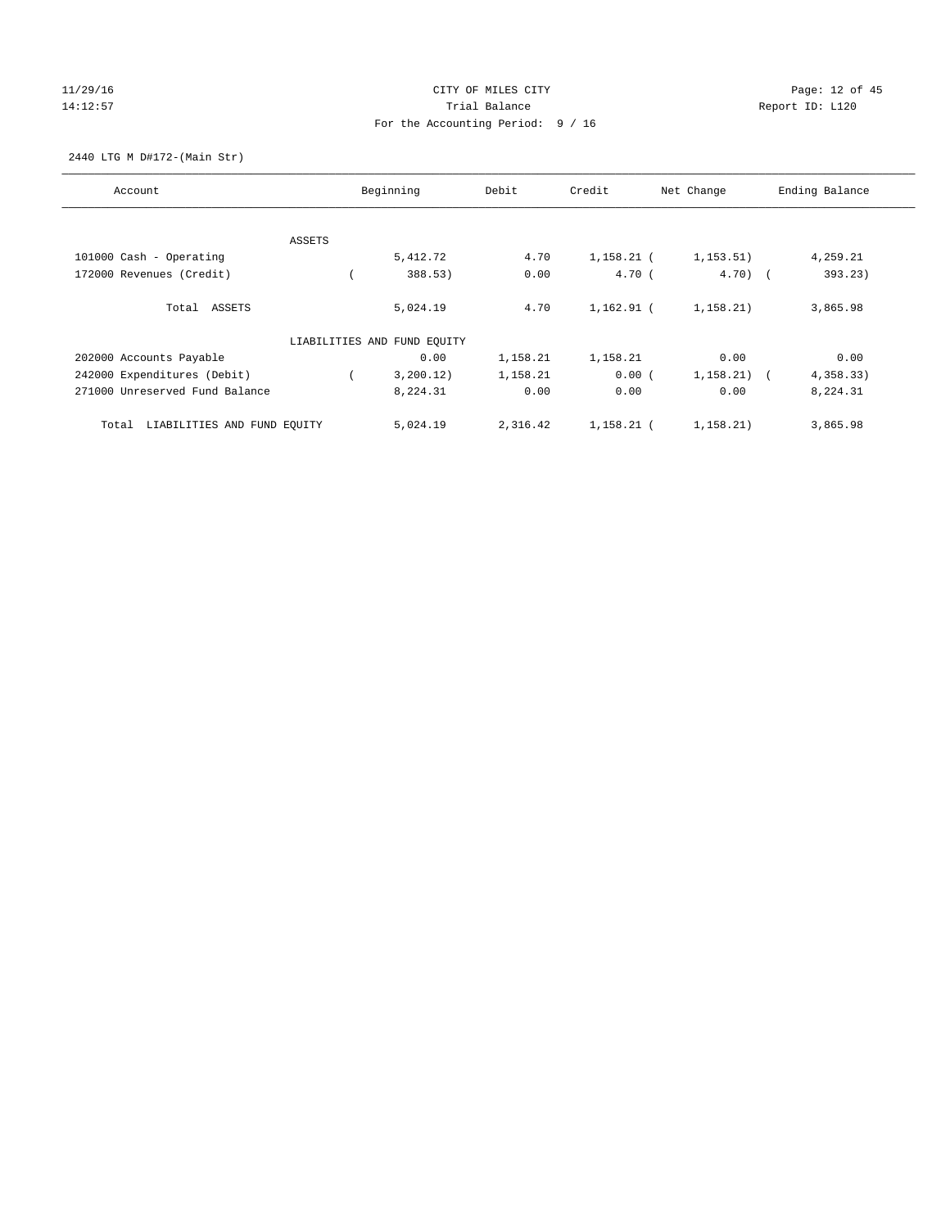# 11/29/16 Page: 12 of 45 14:12:57 Trial Balance Propert ID: L120 Trial Balance Report ID: L120 For the Accounting Period: 9 / 16

2440 LTG M D#172-(Main Str)

| Account                              |        | Beginning                   | Debit    | Credit       | Net Change    | Ending Balance |
|--------------------------------------|--------|-----------------------------|----------|--------------|---------------|----------------|
|                                      |        |                             |          |              |               |                |
|                                      | ASSETS |                             |          |              |               |                |
| 101000 Cash - Operating              |        | 5,412.72                    | 4.70     | 1,158.21 (   | 1, 153.51)    | 4,259.21       |
| 172000 Revenues (Credit)             |        | 388.53)                     | 0.00     | 4.70(        | $4.70$ ) (    | 393.23)        |
| Total ASSETS                         |        | 5,024.19                    | 4.70     | 1,162.91 (   | 1, 158.21)    | 3,865.98       |
|                                      |        | LIABILITIES AND FUND EQUITY |          |              |               |                |
| 202000 Accounts Payable              |        | 0.00                        | 1,158.21 | 1,158.21     | 0.00          | 0.00           |
| 242000 Expenditures (Debit)          |        | 3,200.12)                   | 1,158.21 | 0.00(        | $1,158.21)$ ( | 4,358.33)      |
| 271000 Unreserved Fund Balance       |        | 8,224.31                    | 0.00     | 0.00         | 0.00          | 8,224.31       |
| LIABILITIES AND FUND EQUITY<br>Total |        | 5,024.19                    | 2,316.42 | $1,158.21$ ( | 1,158.21)     | 3,865.98       |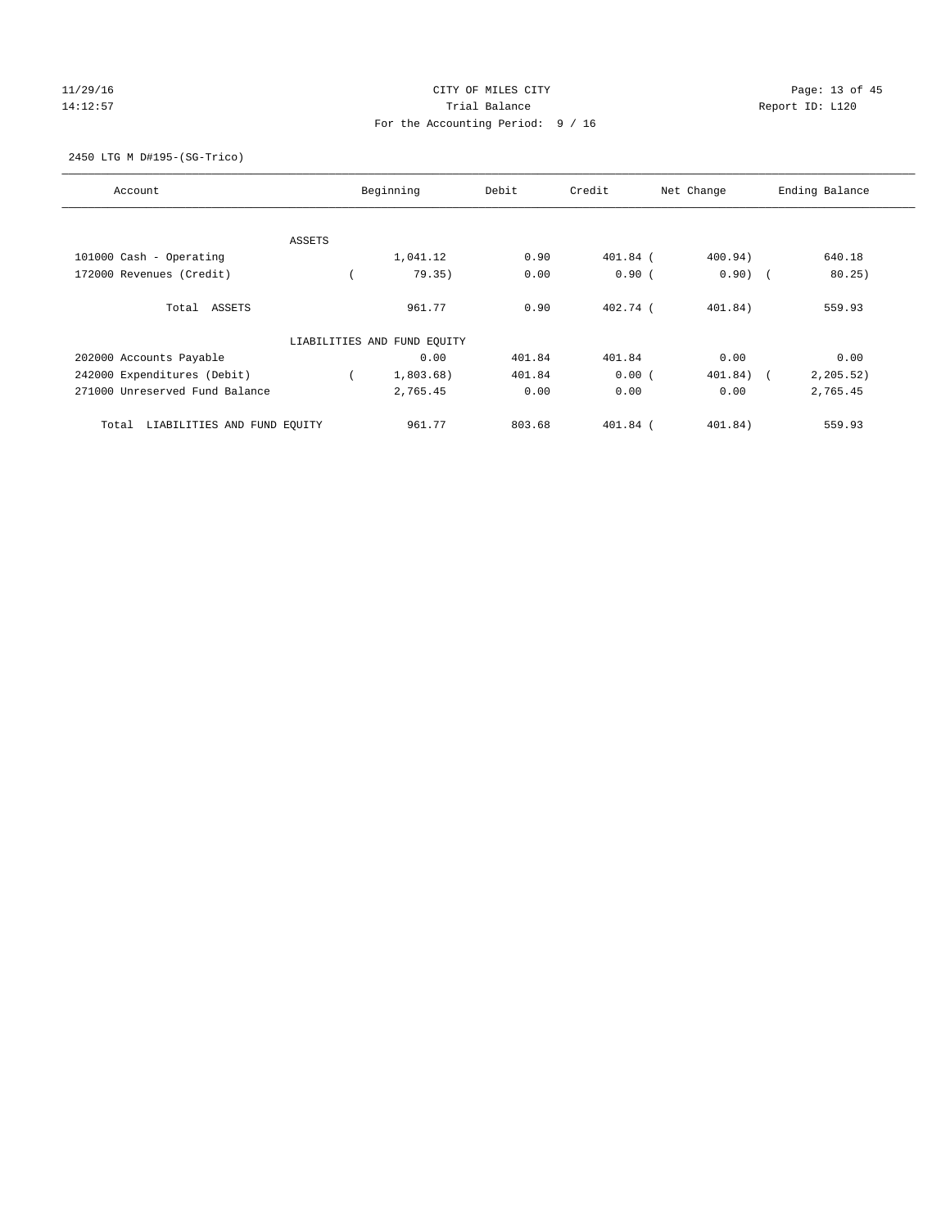# $CITY$  OF MILES  $CITY$  and the contract of  $P_1$  Page: 13 of 45 14:12:57 Trial Balance Trial Balance Report ID: L120 For the Accounting Period: 9 / 16

#### 2450 LTG M D#195-(SG-Trico)

| Account                              |        | Beginning                   | Debit  | Credit     | Net Change | Ending Balance |
|--------------------------------------|--------|-----------------------------|--------|------------|------------|----------------|
|                                      |        |                             |        |            |            |                |
|                                      | ASSETS |                             |        |            |            |                |
| 101000 Cash - Operating              |        | 1,041.12                    | 0.90   | $401.84$ ( | 400.94)    | 640.18         |
| 172000 Revenues (Credit)             |        | 79.35)                      | 0.00   | 0.90(      | $0.90)$ (  | 80.25)         |
| Total ASSETS                         |        | 961.77                      | 0.90   | $402.74$ ( | 401.84)    | 559.93         |
|                                      |        | LIABILITIES AND FUND EQUITY |        |            |            |                |
| 202000 Accounts Payable              |        | 0.00                        | 401.84 | 401.84     | 0.00       | 0.00           |
| 242000 Expenditures (Debit)          |        | 1,803.68)                   | 401.84 | 0.00(      | 401.84)    | 2, 205.52)     |
| 271000 Unreserved Fund Balance       |        | 2,765.45                    | 0.00   | 0.00       | 0.00       | 2,765.45       |
| LIABILITIES AND FUND EQUITY<br>Total |        | 961.77                      | 803.68 | 401.84 (   | 401.84)    | 559.93         |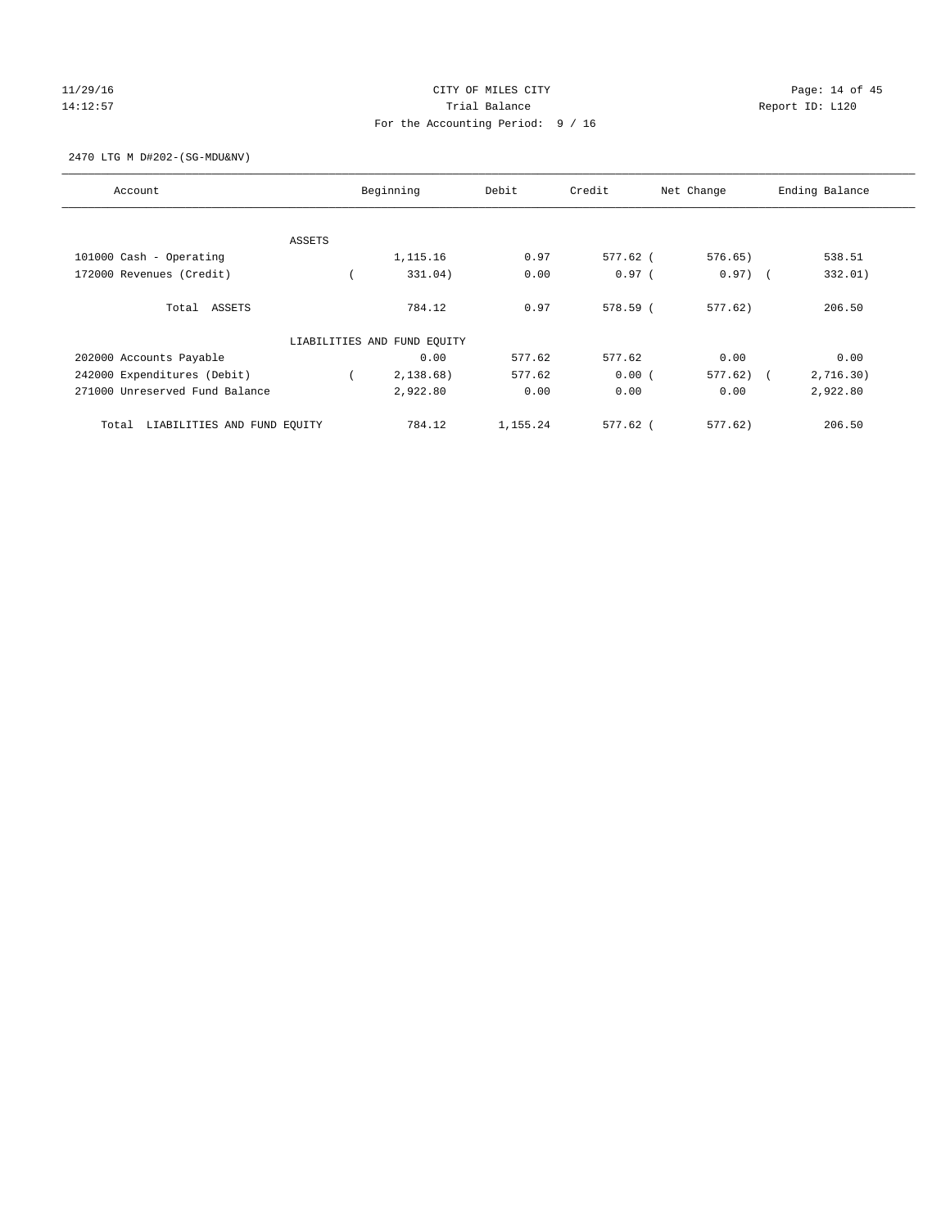# 11/29/16 Page: 14 of 45 14:12:57 Trial Balance Trial Balance Report ID: L120 For the Accounting Period: 9 / 16

2470 LTG M D#202-(SG-MDU&NV)

| Account                              |               | Beginning                   | Debit    | Credit   | Net Change | Ending Balance          |
|--------------------------------------|---------------|-----------------------------|----------|----------|------------|-------------------------|
|                                      |               |                             |          |          |            |                         |
|                                      | <b>ASSETS</b> |                             |          |          |            |                         |
| 101000 Cash - Operating              |               | 1,115.16                    | 0.97     | 577.62 ( | 576.65)    | 538.51                  |
| 172000 Revenues (Credit)             |               | 331.04)                     | 0.00     | $0.97$ ( | $0.97)$ (  | 332.01)                 |
| Total ASSETS                         |               | 784.12                      | 0.97     | 578.59 ( | 577.62     | 206.50                  |
|                                      |               | LIABILITIES AND FUND EQUITY |          |          |            |                         |
| 202000 Accounts Payable              |               | 0.00                        | 577.62   | 577.62   | 0.00       | 0.00                    |
| 242000 Expenditures (Debit)          |               | 2,138.68)                   | 577.62   | 0.00(    | 577.62     | 2,716.30)<br>$\sqrt{2}$ |
| 271000 Unreserved Fund Balance       |               | 2,922.80                    | 0.00     | 0.00     | 0.00       | 2,922.80                |
| LIABILITIES AND FUND EQUITY<br>Total |               | 784.12                      | 1,155.24 | 577.62 ( | 577.62     | 206.50                  |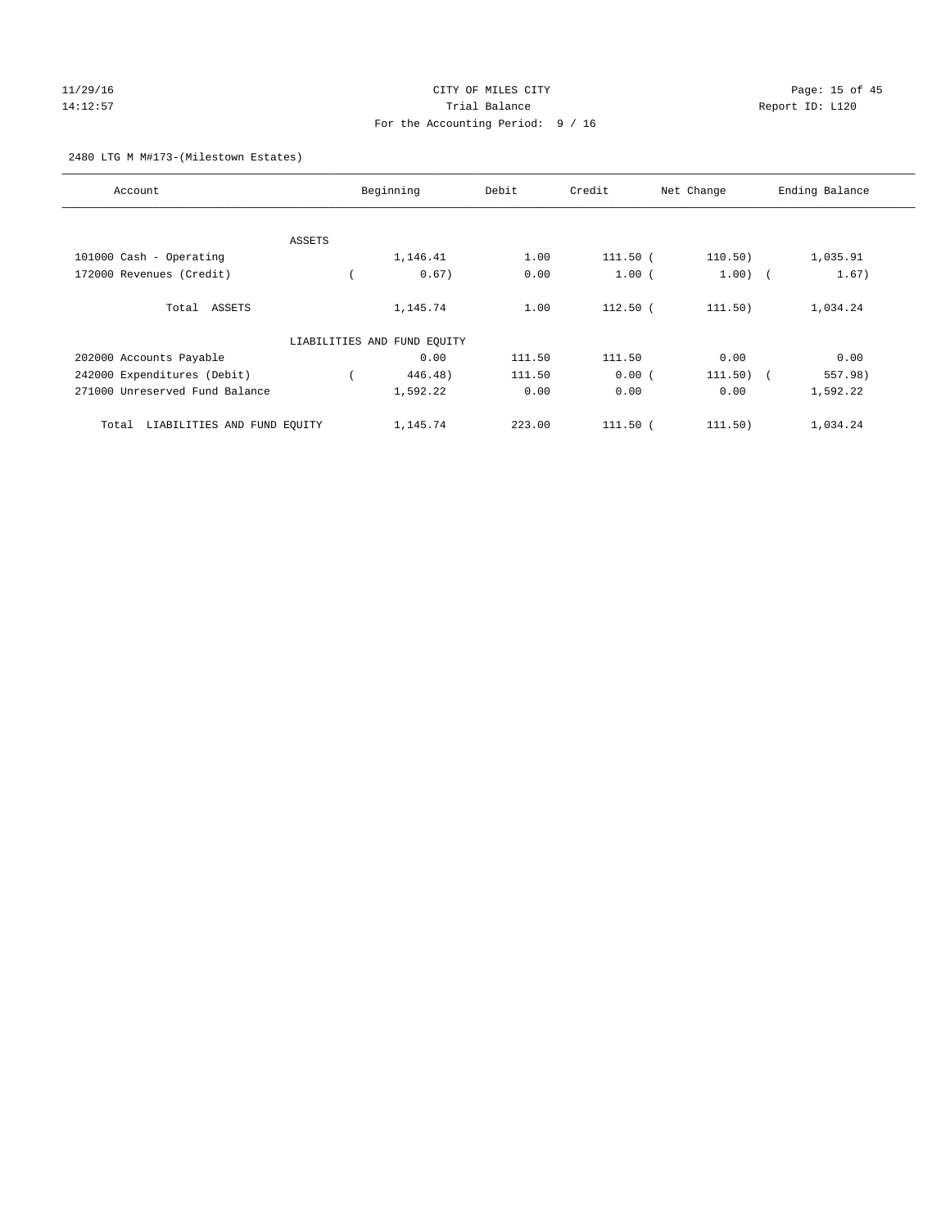# $CITY$  OF MILES  $CITY$  and the contract of  $P = 15$  of  $45$ 14:12:57 Trial Balance Trial Balance Report ID: L120 For the Accounting Period: 9 / 16

#### 2480 LTG M M#173-(Milestown Estates)

| Account                              |        | Beginning                   | Debit  | Credit       | Net Change  | Ending Balance |
|--------------------------------------|--------|-----------------------------|--------|--------------|-------------|----------------|
|                                      |        |                             |        |              |             |                |
|                                      | ASSETS |                             |        |              |             |                |
| 101000 Cash - Operating              |        | 1,146.41                    | 1.00   | 111.50 (     | 110.50)     | 1,035.91       |
| 172000 Revenues (Credit)             |        | 0.67)                       | 0.00   | 1.00(        | $1.00)$ (   | 1.67)          |
| Total ASSETS                         |        | 1,145.74                    | 1.00   | $112.50$ (   | 111.50)     | 1,034.24       |
|                                      |        | LIABILITIES AND FUND EQUITY |        |              |             |                |
| 202000 Accounts Payable              |        | 0.00                        | 111.50 | 111.50       | 0.00        | 0.00           |
| 242000 Expenditures (Debit)          |        | 446.48)                     | 111.50 | 0.00(        | $111.50)$ ( | 557.98)        |
| 271000 Unreserved Fund Balance       |        | 1,592.22                    | 0.00   | 0.00         | 0.00        | 1,592.22       |
| LIABILITIES AND FUND EQUITY<br>Total |        | 1,145.74                    | 223.00 | $111.50$ $($ | 111.50)     | 1,034.24       |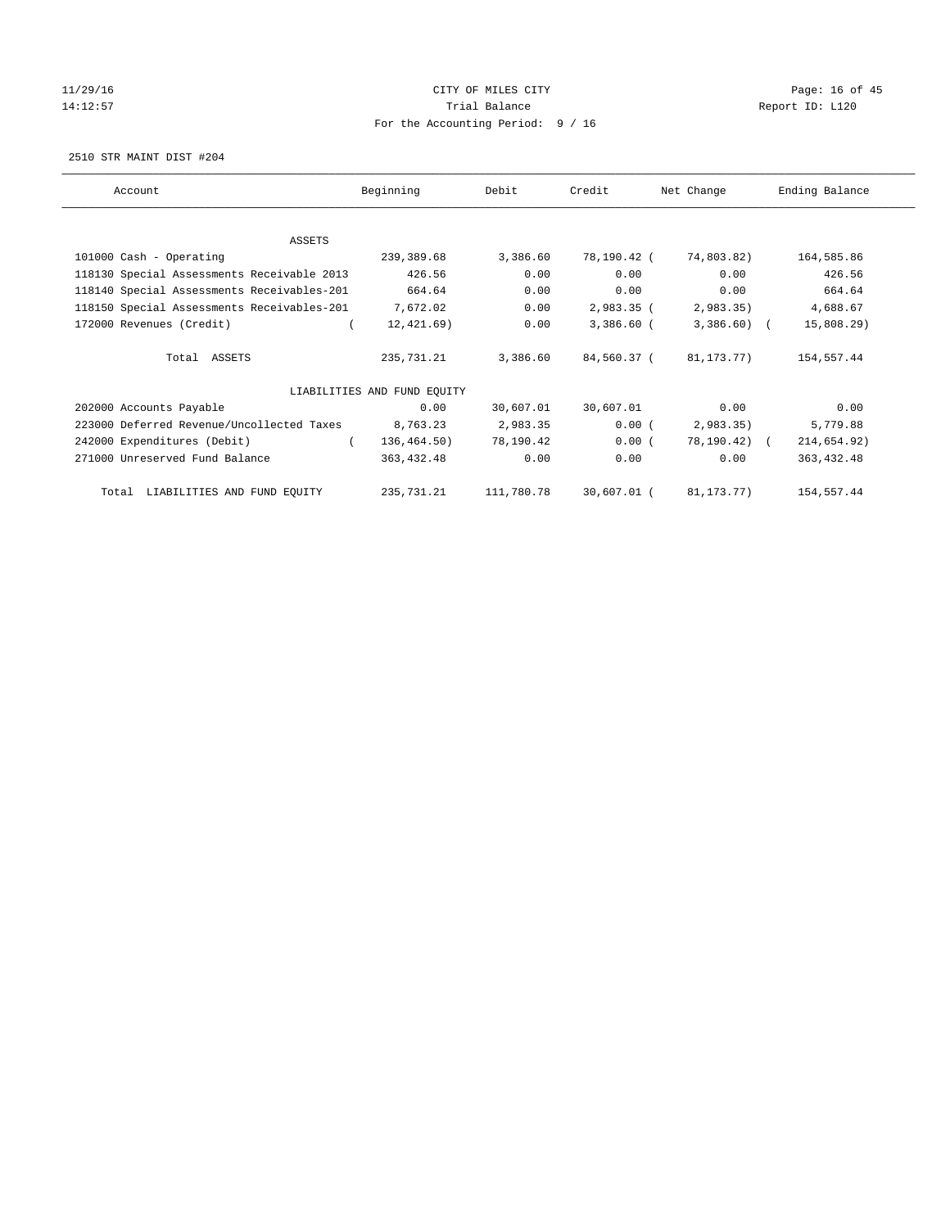# 11/29/16 Page: 16 of 45 14:12:57 Trial Balance Trial Balance Report ID: L120 For the Accounting Period: 9 / 16

2510 STR MAINT DIST #204

| Account                                    | Beginning                   | Debit      | Credit       | Net Change            | Ending Balance |
|--------------------------------------------|-----------------------------|------------|--------------|-----------------------|----------------|
| ASSETS                                     |                             |            |              |                       |                |
| 101000 Cash - Operating                    | 239,389.68                  | 3,386.60   | 78,190.42 (  | 74,803.82)            | 164,585.86     |
| 118130 Special Assessments Receivable 2013 | 426.56                      | 0.00       | 0.00         | 0.00                  | 426.56         |
| 118140 Special Assessments Receivables-201 | 664.64                      | 0.00       | 0.00         | 0.00                  | 664.64         |
| 118150 Special Assessments Receivables-201 | 7,672.02                    | 0.00       | 2,983.35 (   | 2,983.35)             | 4,688.67       |
| 172000 Revenues (Credit)                   | 12,421.69)                  | 0.00       | $3,386.60$ ( | $3,386.60$ (          | 15,808.29      |
| Total ASSETS                               | 235,731.21                  | 3,386.60   | 84,560.37 (  | 81,173.77)            | 154,557.44     |
|                                            | LIABILITIES AND FUND EQUITY |            |              |                       |                |
| 202000 Accounts Payable                    | 0.00                        | 30,607.01  | 30,607.01    | 0.00                  | 0.00           |
| 223000 Deferred Revenue/Uncollected Taxes  | 8,763.23                    | 2,983.35   | 0.00(        | 2,983.35)             | 5,779.88       |
| 242000 Expenditures (Debit)<br>$\left($    | 136,464.50)                 | 78,190.42  | $0.00$ (     | 78,190.42) (          | 214,654.92)    |
| 271000 Unreserved Fund Balance             | 363,432.48                  | 0.00       | 0.00         | 0.00                  | 363, 432.48    |
| Total LIABILITIES AND FUND EQUITY          | 235,731.21                  | 111,780.78 |              | 30,607.01 (81,173.77) | 154,557.44     |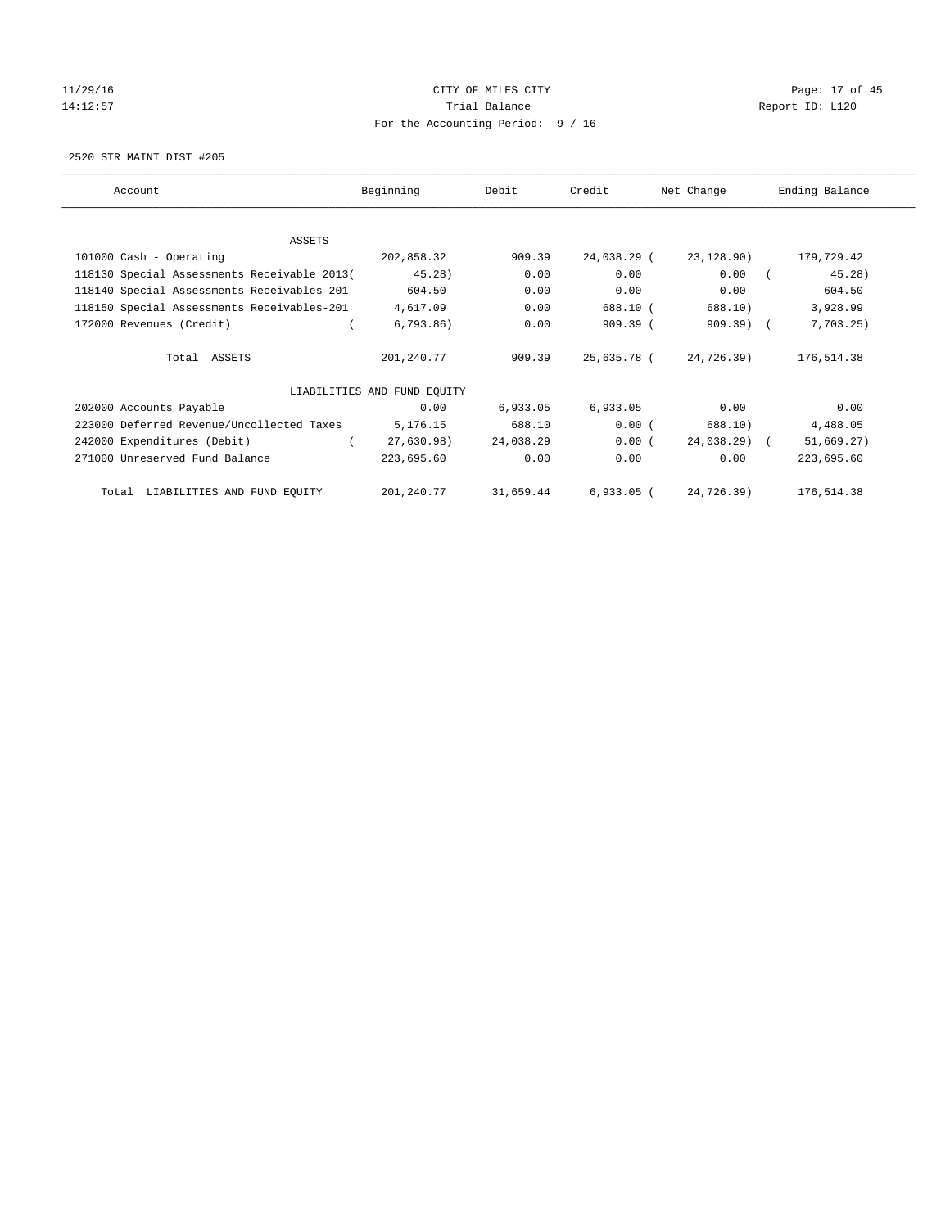# 11/29/16 Page: 17 of 45 14:12:57 Trial Balance Trial Balance Report ID: L120 For the Accounting Period: 9 / 16

2520 STR MAINT DIST #205

| Account                                     | Beginning                   | Debit     | Credit       | Net Change   | Ending Balance |
|---------------------------------------------|-----------------------------|-----------|--------------|--------------|----------------|
| ASSETS                                      |                             |           |              |              |                |
| 101000 Cash - Operating                     | 202,858.32                  | 909.39    | 24,038.29 (  | 23,128.90)   | 179,729.42     |
| 118130 Special Assessments Receivable 2013( | 45.28)                      | 0.00      | 0.00         | 0.00         | 45.28)         |
| 118140 Special Assessments Receivables-201  | 604.50                      | 0.00      | 0.00         | 0.00         | 604.50         |
| 118150 Special Assessments Receivables-201  | 4,617.09                    | 0.00      | 688.10 (     | 688.10)      | 3,928.99       |
| 172000 Revenues (Credit)                    | 6,793.86)                   | 0.00      | 909.39(      | $909.39$ (   | 7,703.25)      |
| Total ASSETS                                | 201,240.77                  | 909.39    | 25,635.78 (  | 24,726.39)   | 176,514.38     |
|                                             | LIABILITIES AND FUND EQUITY |           |              |              |                |
| 202000 Accounts Payable                     | 0.00                        | 6,933.05  | 6,933.05     | 0.00         | 0.00           |
| 223000 Deferred Revenue/Uncollected Taxes   | 5,176.15                    | 688.10    | 0.00(        | 688.10)      | 4,488.05       |
| 242000 Expenditures (Debit)                 | 27,630.98)                  | 24,038.29 | $0.00$ (     | 24,038.29) ( | 51,669.27)     |
| 271000 Unreserved Fund Balance              | 223,695.60                  | 0.00      | 0.00         | 0.00         | 223,695.60     |
| Total LIABILITIES AND FUND EQUITY           | 201,240.77                  | 31,659.44 | $6,933.05$ ( | 24,726.39)   | 176,514.38     |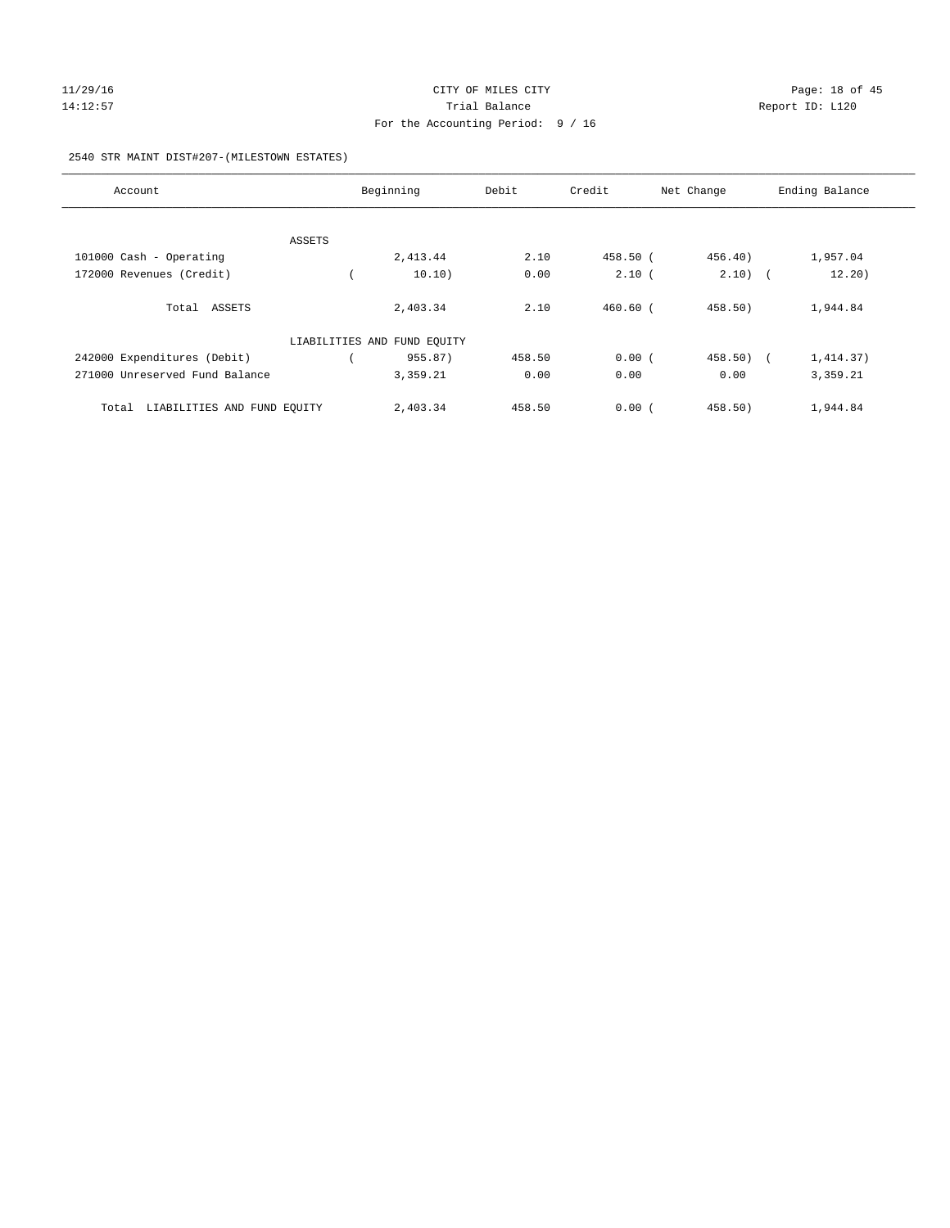# $CITY$  OF MILES  $CITY$  and the contract of  $P45$ 14:12:57 Trial Balance Trial Balance Report ID: L120 For the Accounting Period: 9 / 16

#### 2540 STR MAINT DIST#207-(MILESTOWN ESTATES)

| Account                              | Beginning                   | Debit  | Credit     | Net Change | Ending Balance |
|--------------------------------------|-----------------------------|--------|------------|------------|----------------|
|                                      |                             |        |            |            |                |
| ASSETS                               |                             |        |            |            |                |
| 101000 Cash - Operating              | 2,413.44                    | 2.10   | 458.50 (   | 456.40)    | 1,957.04       |
| 172000 Revenues (Credit)             | 10.10)                      | 0.00   | 2.10(      | $2.10)$ (  | 12.20)         |
| Total ASSETS                         | 2,403.34                    | 2.10   | $460.60$ ( | 458.50)    | 1,944.84       |
|                                      | LIABILITIES AND FUND EQUITY |        |            |            |                |
| 242000 Expenditures (Debit)          | 955.87)                     | 458.50 | 0.00(      | 458.50)    | 1,414.37)      |
| 271000 Unreserved Fund Balance       | 3,359.21                    | 0.00   | 0.00       | 0.00       | 3,359.21       |
| LIABILITIES AND FUND EQUITY<br>Total | 2,403.34                    | 458.50 | 0.00(      | 458.50     | 1,944.84       |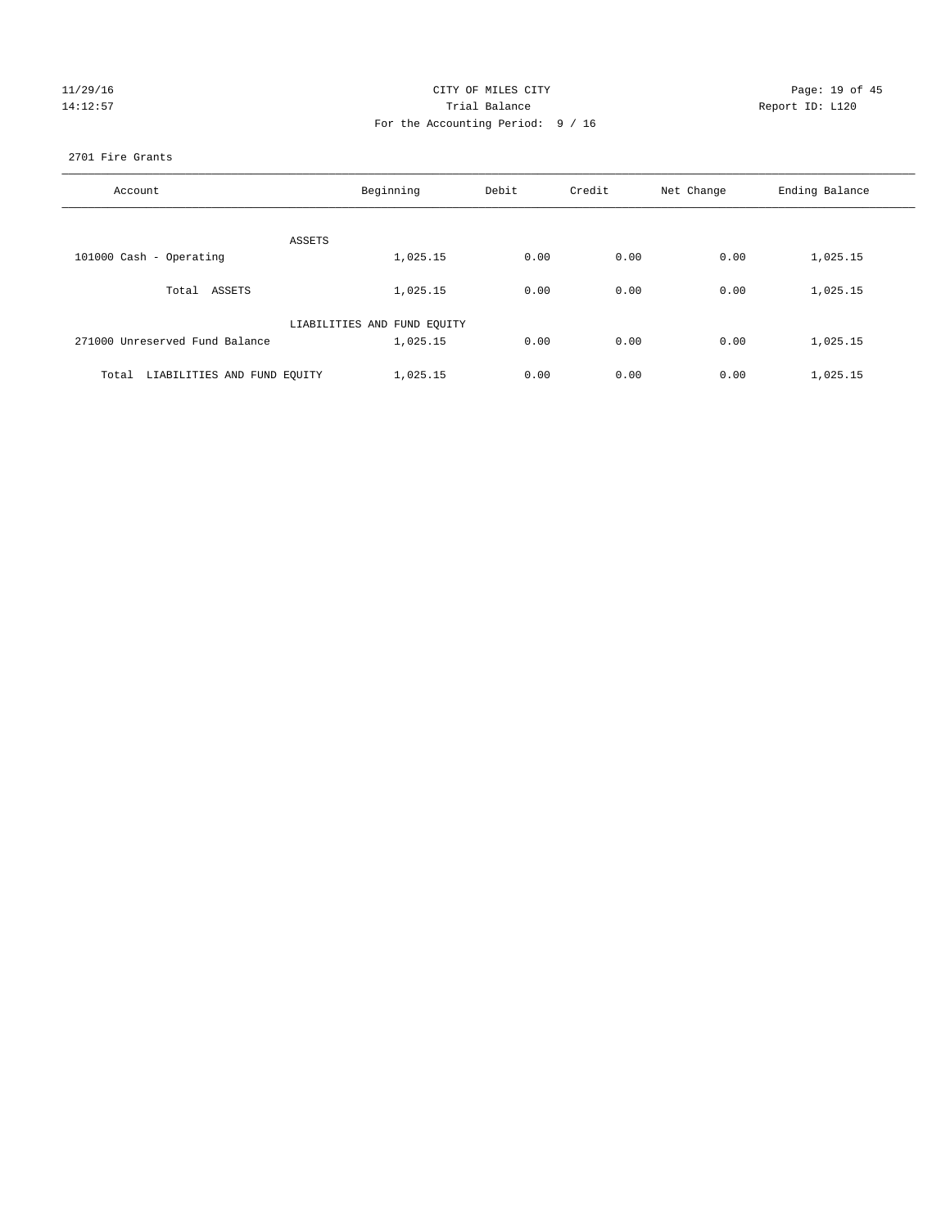| 11/29/16 |
|----------|
| 14:12:57 |

#### CITY OF MILES CITY CONTROL CONTROL CITY CONTROL Page: 19 of 45 Partial Balance and Communications of the Report ID: L120 For the Accounting Period: 9 / 16

#### 2701 Fire Grants

| Account                           | Beginning                   | Debit | Credit | Net Change | Ending Balance |
|-----------------------------------|-----------------------------|-------|--------|------------|----------------|
| ASSETS                            |                             |       |        |            |                |
| 101000 Cash - Operating           | 1,025.15                    | 0.00  | 0.00   | 0.00       | 1,025.15       |
| Total ASSETS                      | 1,025.15                    | 0.00  | 0.00   | 0.00       | 1,025.15       |
|                                   | LIABILITIES AND FUND EQUITY |       |        |            |                |
| 271000 Unreserved Fund Balance    | 1,025.15                    | 0.00  | 0.00   | 0.00       | 1,025.15       |
| Total LIABILITIES AND FUND EQUITY | 1,025.15                    | 0.00  | 0.00   | 0.00       | 1,025.15       |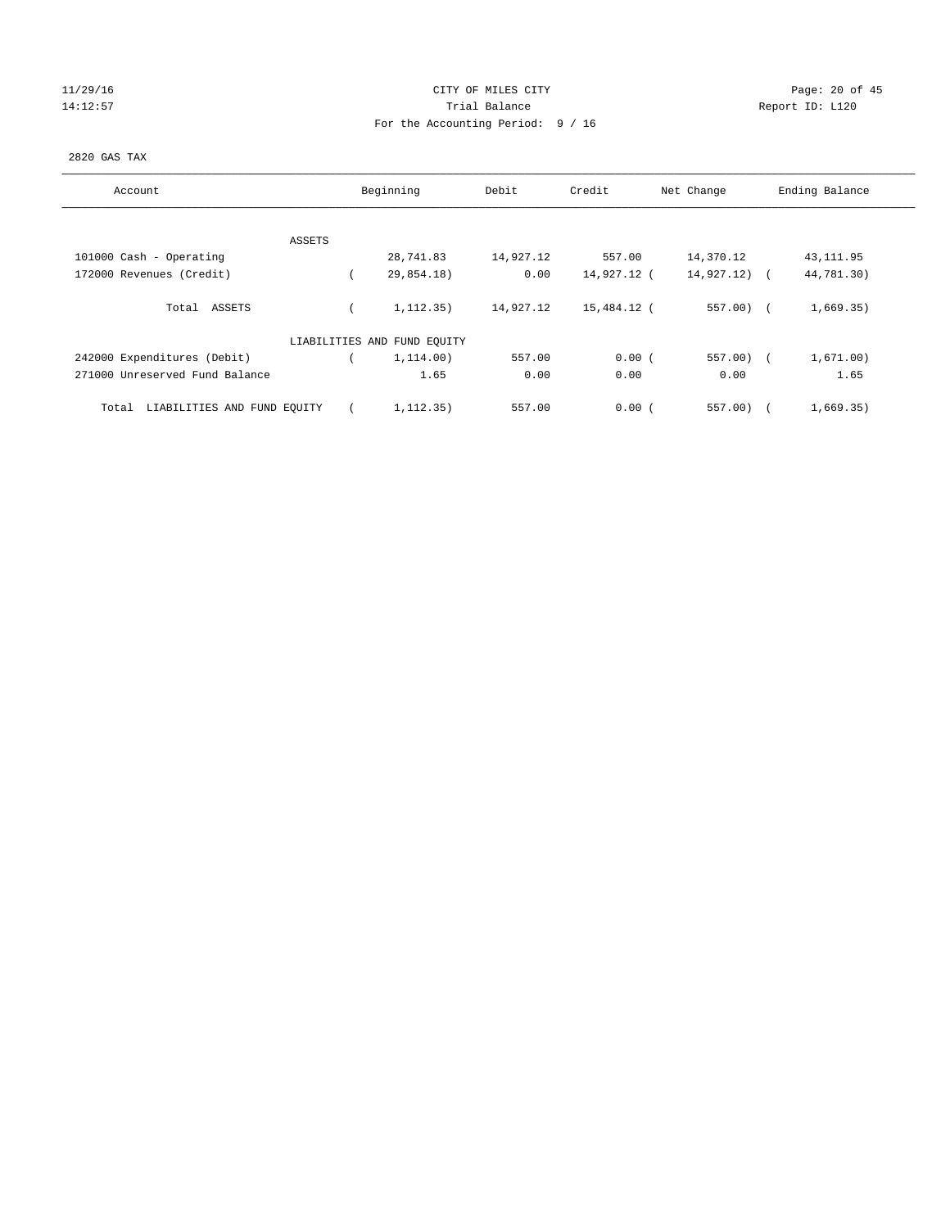# 11/29/16 Page: 20 of 45 14:12:57 Trial Balance Trial Balance Report ID: L120 For the Accounting Period: 9 / 16

#### 2820 GAS TAX

| Account                              |        | Beginning                   | Debit     | Credit      | Net Change | Ending Balance |
|--------------------------------------|--------|-----------------------------|-----------|-------------|------------|----------------|
|                                      |        |                             |           |             |            |                |
|                                      | ASSETS |                             |           |             |            |                |
| 101000 Cash - Operating              |        | 28,741.83                   | 14,927.12 | 557.00      | 14,370.12  | 43, 111.95     |
| 172000 Revenues (Credit)             |        | 29,854.18)                  | 0.00      | 14,927.12 ( | 14,927.12) | 44,781.30)     |
| Total ASSETS                         |        | 1, 112, 35)                 | 14,927.12 | 15,484.12 ( | $557.00$ ( | 1,669.35)      |
|                                      |        | LIABILITIES AND FUND EQUITY |           |             |            |                |
| 242000 Expenditures (Debit)          |        | 1,114.00)                   | 557.00    | 0.00(       | $557.00$ ( | 1,671.00)      |
| 271000 Unreserved Fund Balance       |        | 1.65                        | 0.00      | 0.00        | 0.00       | 1.65           |
| LIABILITIES AND FUND EQUITY<br>Total |        | 1, 112, 35)                 | 557.00    | 0.00(       | 557.00)    | 1,669.35)      |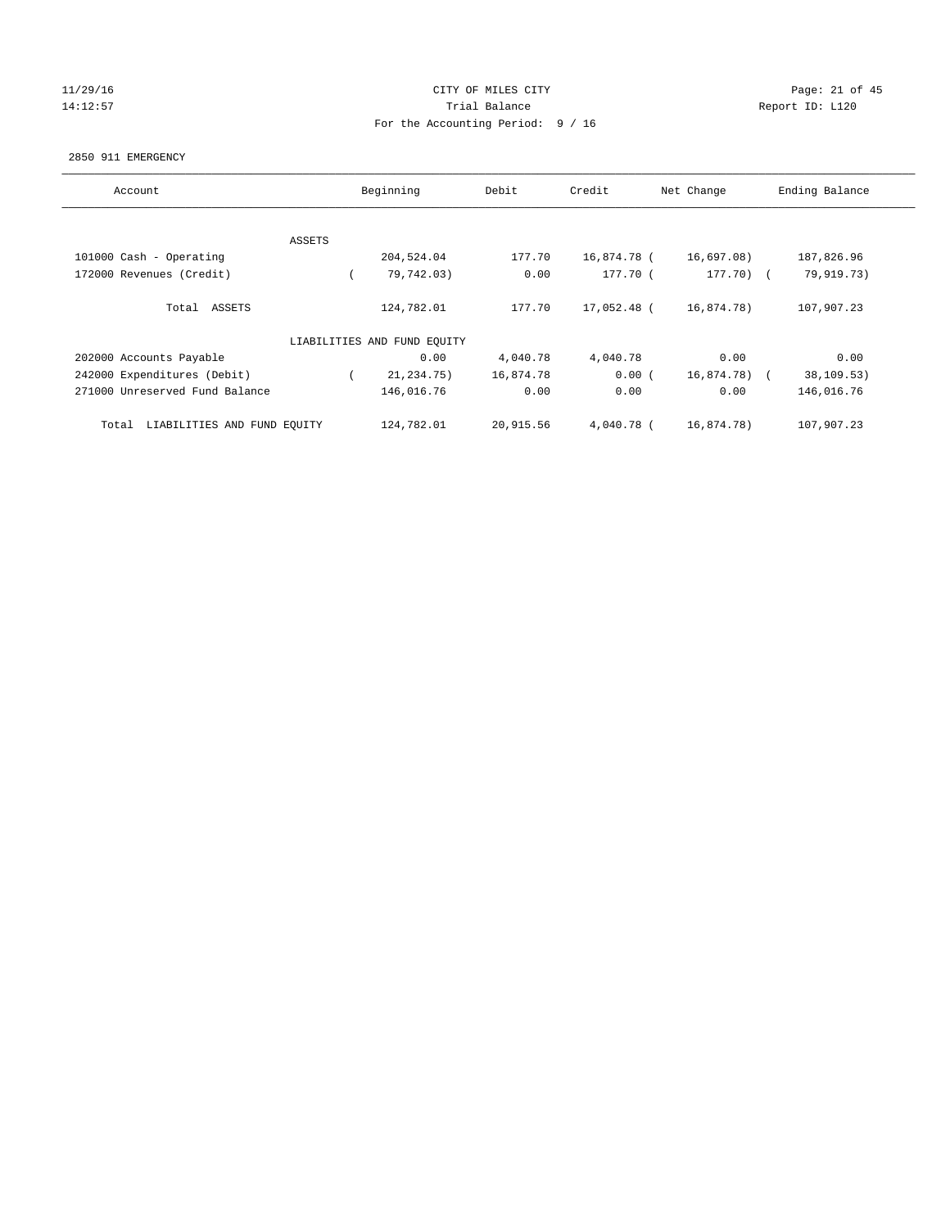# 11/29/16 Page: 21 of 45 14:12:57 Trial Balance Trial Balance Report ID: L120 For the Accounting Period: 9 / 16

#### 2850 911 EMERGENCY

| Account                              |        | Beginning                   | Debit     | Credit       | Net Change   | Ending Balance |
|--------------------------------------|--------|-----------------------------|-----------|--------------|--------------|----------------|
|                                      |        |                             |           |              |              |                |
|                                      | ASSETS |                             |           |              |              |                |
| 101000 Cash - Operating              |        | 204,524.04                  | 177.70    | 16,874.78 (  | 16,697.08)   | 187,826.96     |
| 172000 Revenues (Credit)             |        | 79,742.03)                  | 0.00      | 177.70 (     | $177.70$ ) ( | 79,919.73)     |
| Total ASSETS                         |        | 124,782.01                  | 177.70    | 17,052.48 (  | 16,874.78)   | 107,907.23     |
|                                      |        | LIABILITIES AND FUND EQUITY |           |              |              |                |
| 202000 Accounts Payable              |        | 0.00                        | 4,040.78  | 4,040.78     | 0.00         | 0.00           |
| 242000 Expenditures (Debit)          |        | 21,234.75)                  | 16,874.78 | 0.00(        | 16,874.78) ( | 38,109.53)     |
| 271000 Unreserved Fund Balance       |        | 146,016.76                  | 0.00      | 0.00         | 0.00         | 146,016.76     |
| LIABILITIES AND FUND EQUITY<br>Total |        | 124,782.01                  | 20,915.56 | $4.040.78$ ( | 16,874.78)   | 107,907.23     |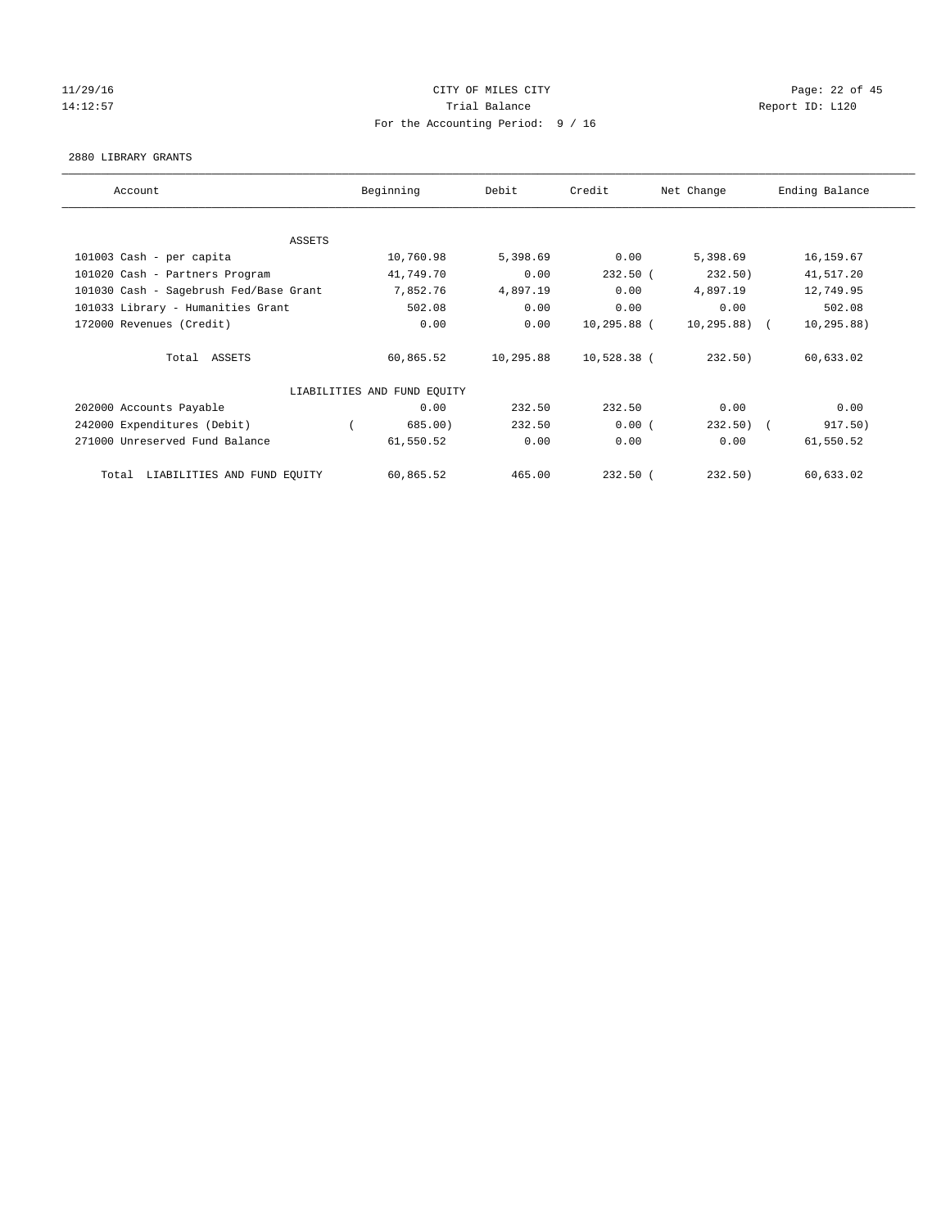# 11/29/16 Page: 22 of 45 14:12:57 Trial Balance Trial Balance Report ID: L120 For the Accounting Period: 9 / 16

#### 2880 LIBRARY GRANTS

| Account                                | Beginning                   | Debit     | Credit      | Net Change     | Ending Balance |
|----------------------------------------|-----------------------------|-----------|-------------|----------------|----------------|
|                                        |                             |           |             |                |                |
| <b>ASSETS</b>                          |                             |           |             |                |                |
| 101003 Cash - per capita               | 10,760.98                   | 5,398.69  | 0.00        | 5,398.69       | 16, 159.67     |
| 101020 Cash - Partners Program         | 41,749.70                   | 0.00      | $232.50$ (  | 232.50)        | 41,517.20      |
| 101030 Cash - Sagebrush Fed/Base Grant | 7,852.76                    | 4,897.19  | 0.00        | 4,897.19       | 12,749.95      |
| 101033 Library - Humanities Grant      | 502.08                      | 0.00      | 0.00        | 0.00           | 502.08         |
| 172000 Revenues (Credit)               | 0.00                        | 0.00      | 10,295.88 ( | $10, 295.88$ ( | 10, 295.88)    |
| Total ASSETS                           | 60,865.52                   | 10,295.88 | 10,528.38 ( | 232.50)        | 60,633.02      |
|                                        | LIABILITIES AND FUND EQUITY |           |             |                |                |
| 202000 Accounts Payable                | 0.00                        | 232.50    | 232.50      | 0.00           | 0.00           |
| 242000 Expenditures (Debit)            | 685.00)                     | 232.50    | 0.00(       | $232.50$ (     | 917.50)        |
| 271000 Unreserved Fund Balance         | 61,550.52                   | 0.00      | 0.00        | 0.00           | 61,550.52      |
| Total LIABILITIES AND FUND EQUITY      | 60,865.52                   | 465.00    | $232.50$ (  | 232.50)        | 60,633.02      |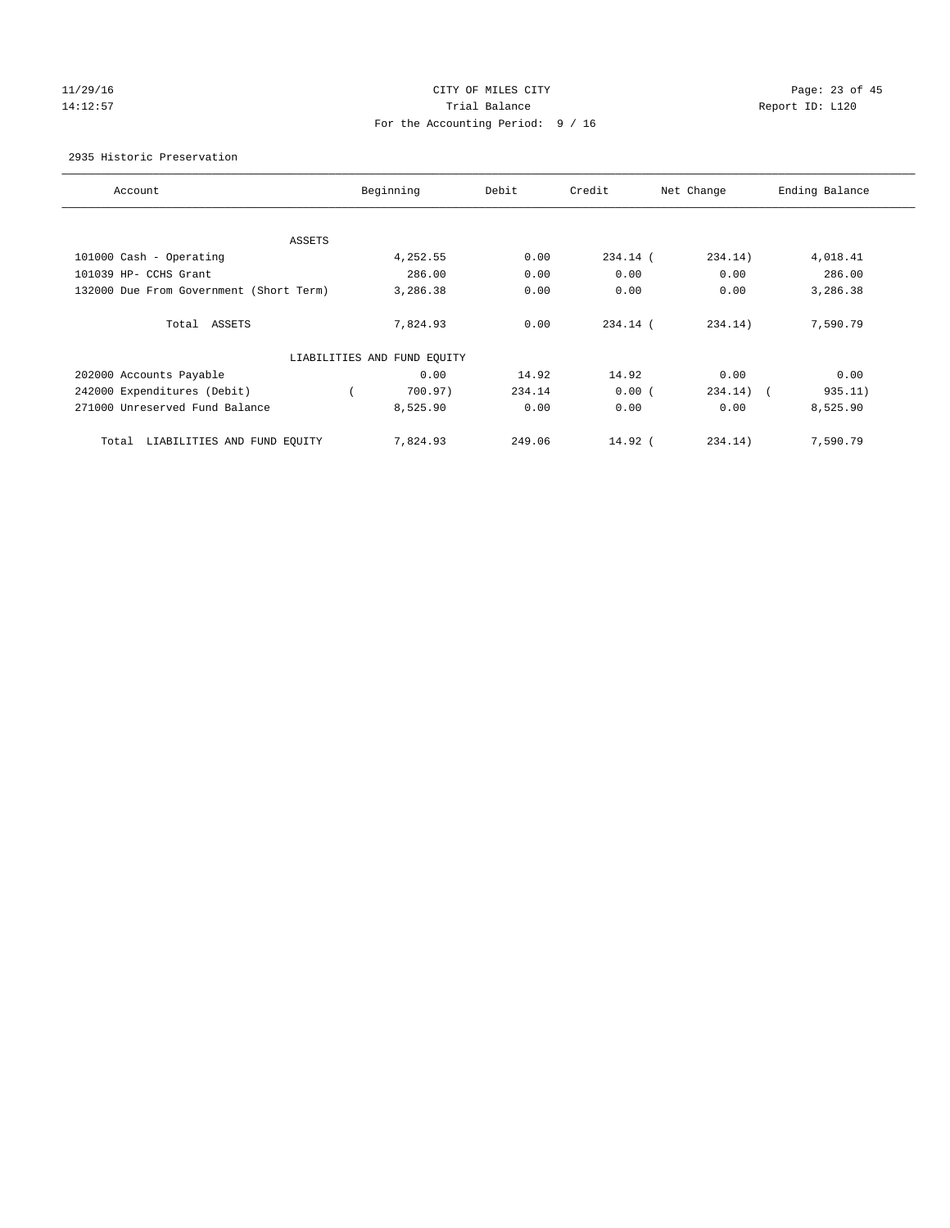# 11/29/16 Page: 23 of 45 14:12:57 Trial Balance Trial Balance Report ID: L120 For the Accounting Period: 9 / 16

2935 Historic Preservation

| Account                                 | Beginning                   | Debit  | Credit     | Net Change                          | Ending Balance |
|-----------------------------------------|-----------------------------|--------|------------|-------------------------------------|----------------|
|                                         |                             |        |            |                                     |                |
| ASSETS                                  |                             |        |            |                                     |                |
| 101000 Cash - Operating                 | 4,252.55                    | 0.00   | 234.14 (   | 234.14)                             | 4,018.41       |
| 101039 HP- CCHS Grant                   | 286.00                      | 0.00   | 0.00       | 0.00                                | 286.00         |
| 132000 Due From Government (Short Term) | 3,286.38                    | 0.00   | 0.00       | 0.00                                | 3,286.38       |
|                                         |                             |        |            |                                     |                |
| Total ASSETS                            | 7,824.93                    | 0.00   | $234.14$ ( | 234.14)                             | 7,590.79       |
|                                         |                             |        |            |                                     |                |
|                                         | LIABILITIES AND FUND EQUITY |        |            |                                     |                |
| 202000 Accounts Payable                 | 0.00                        | 14.92  | 14.92      | 0.00                                | 0.00           |
| 242000 Expenditures (Debit)             | 700.97)                     | 234.14 | 0.00(      | 234.14)<br>$\overline{\phantom{a}}$ | 935.11)        |
| 271000 Unreserved Fund Balance          | 8,525.90                    | 0.00   | 0.00       | 0.00                                | 8,525.90       |
|                                         |                             |        |            |                                     |                |
| LIABILITIES AND FUND EQUITY<br>Total    | 7,824.93                    | 249.06 | $14.92$ (  | 234.14)                             | 7,590.79       |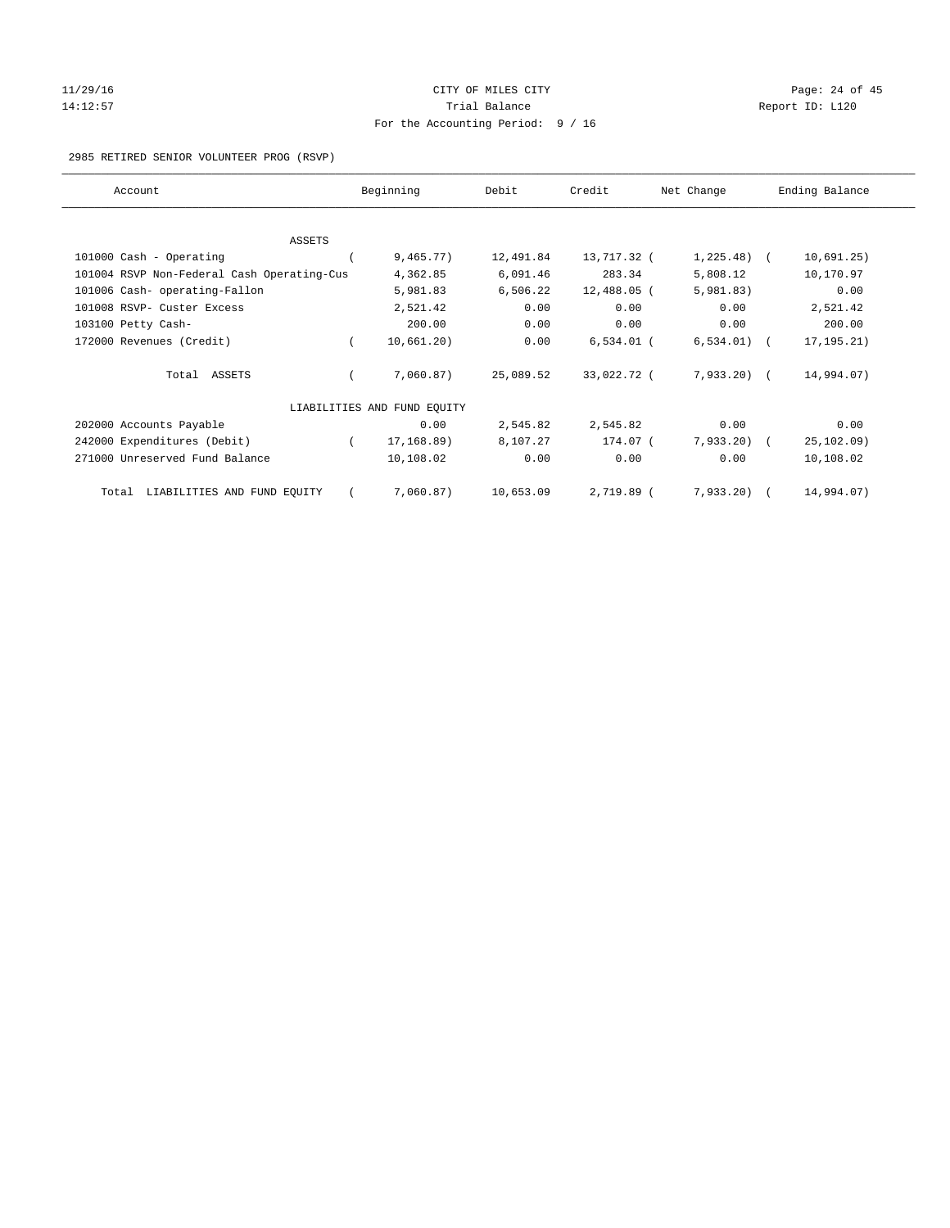#### 11/29/16 Page: 24 of 45 14:12:57 Trial Balance Report ID: L120 For the Accounting Period: 9 / 16

#### 2985 RETIRED SENIOR VOLUNTEER PROG (RSVP)

| Account                                    |          | Beginning                   | Debit     | Credit       | Net Change    | Ending Balance |
|--------------------------------------------|----------|-----------------------------|-----------|--------------|---------------|----------------|
|                                            |          |                             |           |              |               |                |
| <b>ASSETS</b>                              |          |                             |           |              |               |                |
| 101000 Cash - Operating                    |          | 9,465.77)                   | 12,491.84 | 13,717.32 (  | $1,225.48$ (  | 10,691.25)     |
| 101004 RSVP Non-Federal Cash Operating-Cus |          | 4,362.85                    | 6,091.46  | 283.34       | 5,808.12      | 10,170.97      |
| 101006 Cash- operating-Fallon              |          | 5,981.83                    | 6,506.22  | 12,488.05 (  | 5,981.83)     | 0.00           |
| 101008 RSVP- Custer Excess                 |          | 2,521.42                    | 0.00      | 0.00         | 0.00          | 2,521.42       |
| 103100 Petty Cash-                         |          | 200.00                      | 0.00      | 0.00         | 0.00          | 200.00         |
| 172000 Revenues (Credit)                   |          | 10,661.20)                  | 0.00      | $6,534.01$ ( | $6,534.01)$ ( | 17, 195. 21)   |
| Total ASSETS                               |          | 7,060.87)                   | 25,089.52 | 33,022.72 (  | $7,933,20$ (  | 14,994.07)     |
|                                            |          | LIABILITIES AND FUND EQUITY |           |              |               |                |
| 202000 Accounts Payable                    |          | 0.00                        | 2,545.82  | 2,545.82     | 0.00          | 0.00           |
| 242000 Expenditures (Debit)                | $\left($ | 17,168.89)                  | 8,107.27  | 174.07 (     | $7,933.20$ (  | 25, 102.09)    |
| 271000 Unreserved Fund Balance             |          | 10,108.02                   | 0.00      | 0.00         | 0.00          | 10,108.02      |
| LIABILITIES AND FUND EQUITY<br>Total       |          | 7,060.87)                   | 10,653.09 | 2,719.89 (   | $7,933.20$ (  | 14,994.07)     |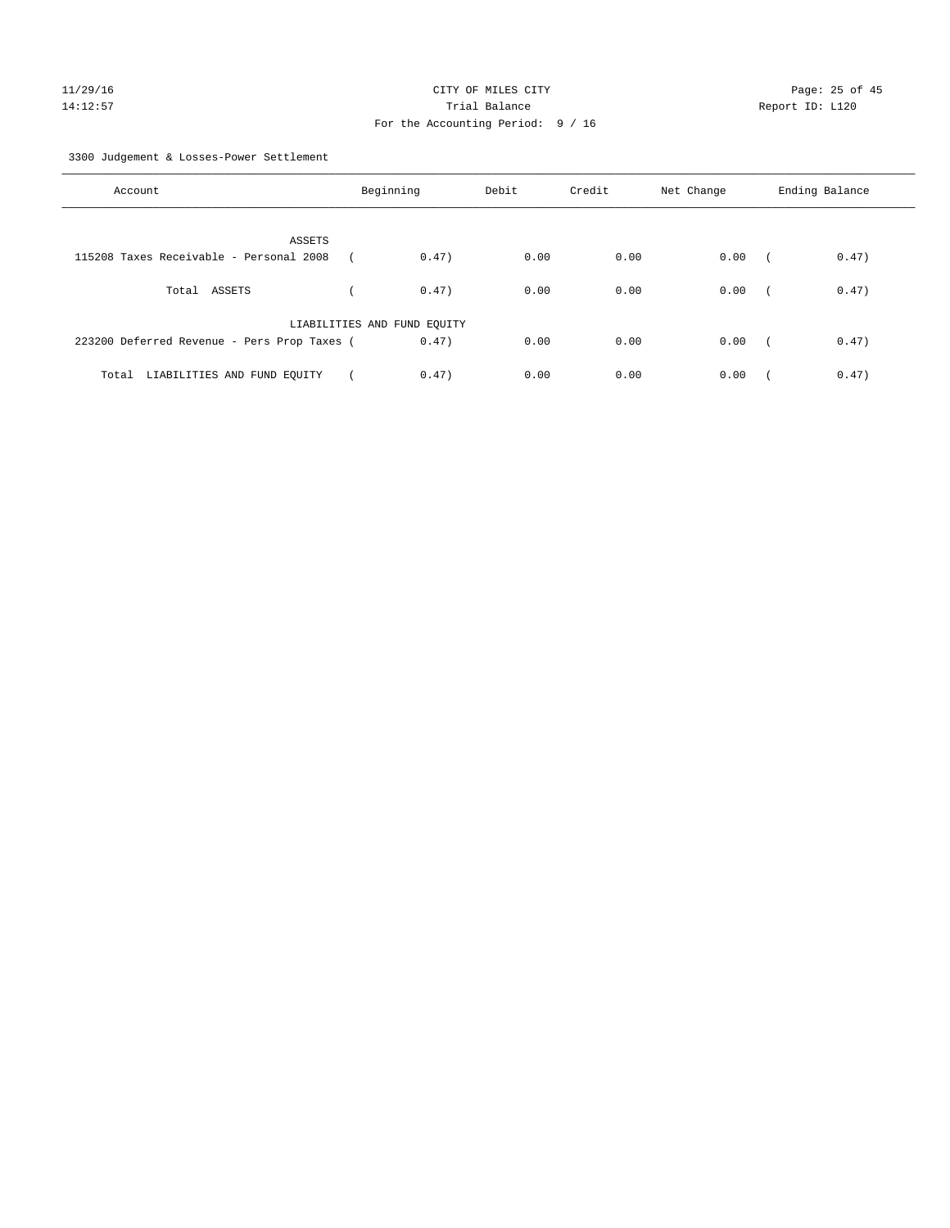3300 Judgement & Losses-Power Settlement

| Account                                     | Beginning                   | Debit | Credit | Net Change | Ending Balance                    |
|---------------------------------------------|-----------------------------|-------|--------|------------|-----------------------------------|
| ASSETS                                      |                             |       |        |            |                                   |
| 115208 Taxes Receivable - Personal 2008     | 0.47)                       | 0.00  | 0.00   | 0.00       | 0.47)<br>$\sqrt{2}$               |
| Total ASSETS                                | 0.47)                       | 0.00  | 0.00   | 0.00       | 0.47)<br>$\sqrt{ }$               |
|                                             | LIABILITIES AND FUND EQUITY |       |        |            |                                   |
| 223200 Deferred Revenue - Pers Prop Taxes ( | 0.47)                       | 0.00  | 0.00   | 0.00       | 0.47)<br>$\overline{\phantom{a}}$ |
| Total LIABILITIES AND FUND EQUITY           | 0.47)                       | 0.00  | 0.00   | 0.00       | 0.47)                             |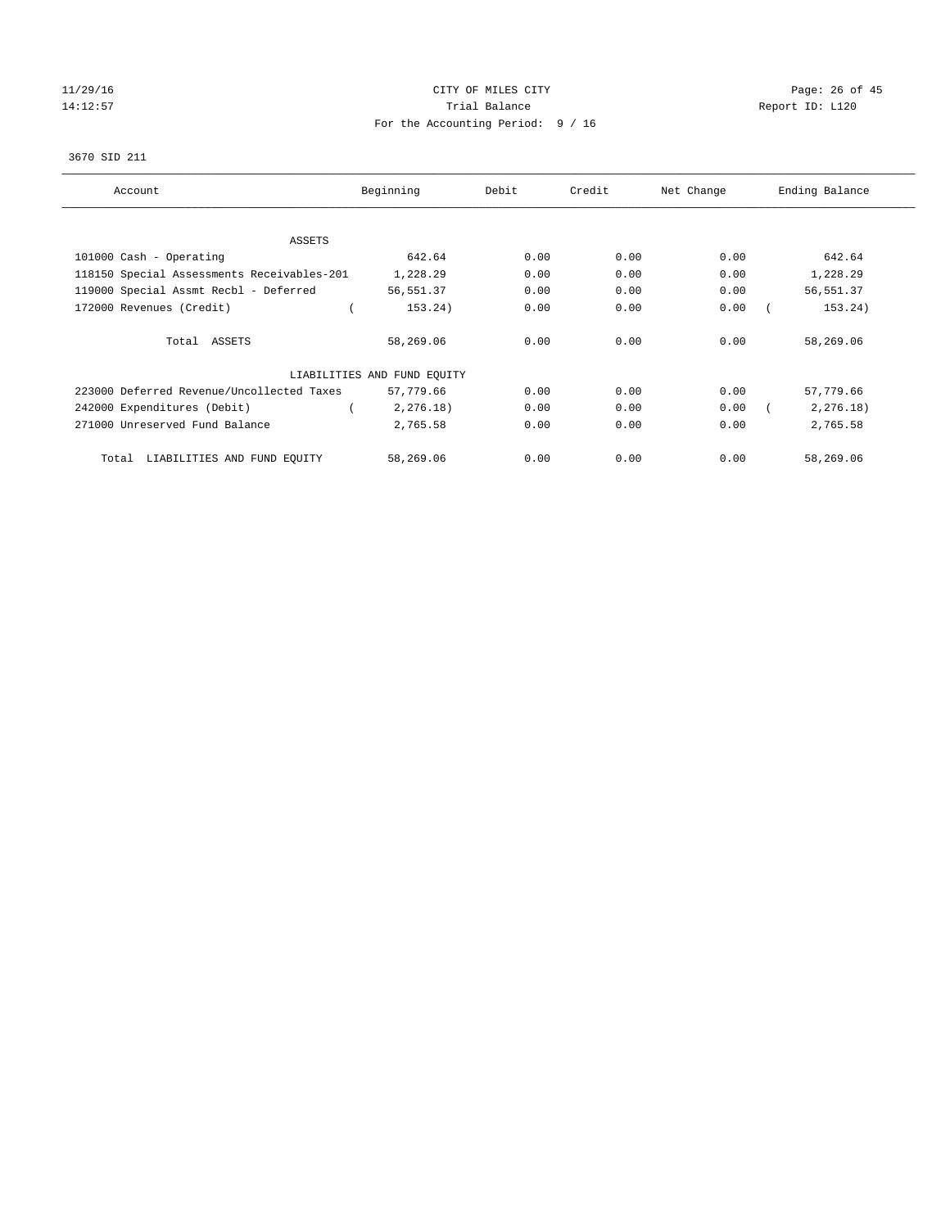# 11/29/16 Page: 26 of 45 14:12:57 Trial Balance Trial Balance Report ID: L120 For the Accounting Period: 9 / 16

#### 3670 SID 211

| Account                                    | Beginning                   | Debit | Credit | Net Change | Ending Balance |
|--------------------------------------------|-----------------------------|-------|--------|------------|----------------|
| <b>ASSETS</b>                              |                             |       |        |            |                |
| 101000 Cash - Operating                    | 642.64                      | 0.00  | 0.00   | 0.00       | 642.64         |
| 118150 Special Assessments Receivables-201 | 1,228.29                    | 0.00  | 0.00   | 0.00       | 1,228.29       |
| 119000 Special Assmt Recbl - Deferred      | 56,551.37                   | 0.00  | 0.00   | 0.00       | 56, 551.37     |
| 172000 Revenues (Credit)                   | 153.24)                     | 0.00  | 0.00   | 0.00       | 153.24)        |
| Total ASSETS                               | 58,269.06                   | 0.00  | 0.00   | 0.00       | 58,269.06      |
|                                            | LIABILITIES AND FUND EQUITY |       |        |            |                |
| 223000 Deferred Revenue/Uncollected Taxes  | 57,779.66                   | 0.00  | 0.00   | 0.00       | 57,779.66      |
| 242000 Expenditures (Debit)                | 2, 276.18)                  | 0.00  | 0.00   | 0.00       | 2, 276.18)     |
| 271000 Unreserved Fund Balance             | 2,765.58                    | 0.00  | 0.00   | 0.00       | 2,765.58       |
| LIABILITIES AND FUND EQUITY<br>Total       | 58,269.06                   | 0.00  | 0.00   | 0.00       | 58,269.06      |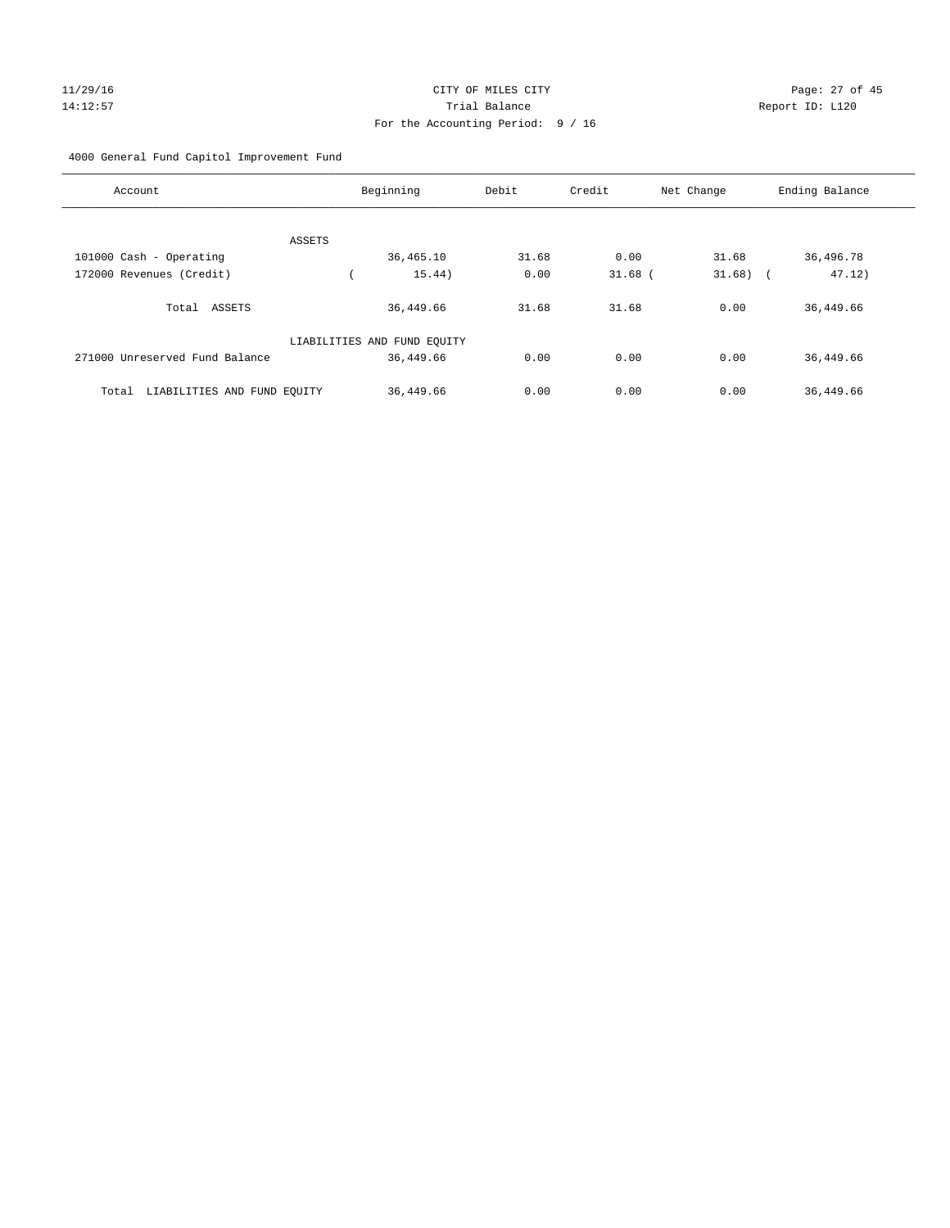# 11/29/16 Page: 27 of 45 14:12:57 Trial Balance Report ID: L120 For the Accounting Period: 9 / 16

4000 General Fund Capitol Improvement Fund

| Account                              | Beginning                   | Debit | Credit    | Net Change | Ending Balance |
|--------------------------------------|-----------------------------|-------|-----------|------------|----------------|
| ASSETS                               |                             |       |           |            |                |
| 101000 Cash - Operating              | 36,465.10                   | 31.68 | 0.00      | 31.68      | 36,496.78      |
| 172000 Revenues (Credit)             | 15.44)                      | 0.00  | $31.68$ ( | $31.68$ (  | 47.12)         |
| Total ASSETS                         | 36,449.66                   | 31.68 | 31.68     | 0.00       | 36, 449.66     |
|                                      | LIABILITIES AND FUND EQUITY |       |           |            |                |
| 271000 Unreserved Fund Balance       | 36,449.66                   | 0.00  | 0.00      | 0.00       | 36, 449.66     |
| LIABILITIES AND FUND EQUITY<br>Total | 36,449.66                   | 0.00  | 0.00      | 0.00       | 36,449.66      |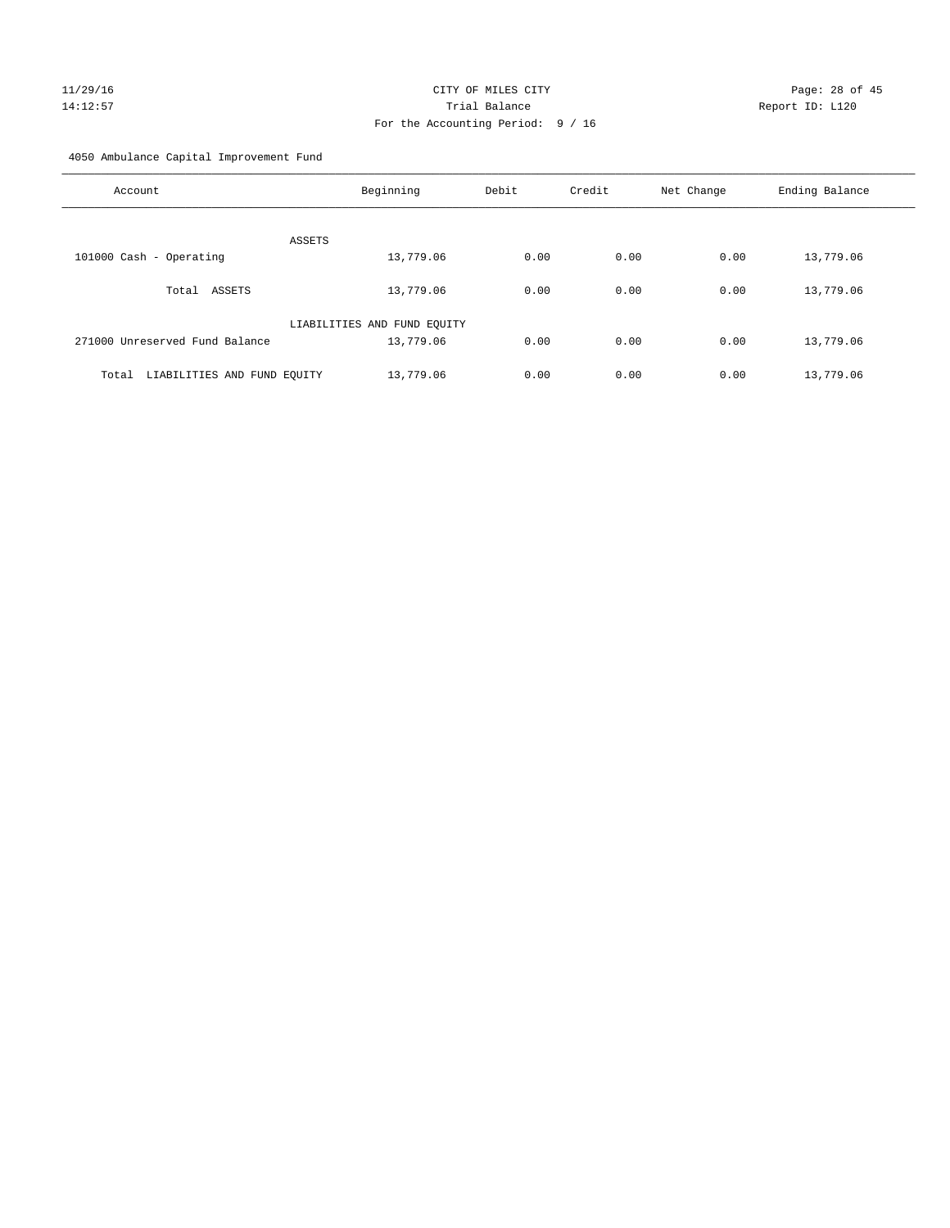# 11/29/16 Page: 28 of 45 14:12:57 Trial Balance Report ID: L120 For the Accounting Period: 9 / 16

4050 Ambulance Capital Improvement Fund

| Account                              | Beginning                   | Debit | Credit | Net Change | Ending Balance |
|--------------------------------------|-----------------------------|-------|--------|------------|----------------|
| <b>ASSETS</b>                        |                             |       |        |            |                |
| 101000 Cash - Operating              | 13,779.06                   | 0.00  | 0.00   | 0.00       | 13,779.06      |
| Total ASSETS                         | 13,779.06                   | 0.00  | 0.00   | 0.00       | 13,779.06      |
|                                      | LIABILITIES AND FUND EQUITY |       |        |            |                |
| 271000 Unreserved Fund Balance       | 13,779.06                   | 0.00  | 0.00   | 0.00       | 13,779.06      |
| LIABILITIES AND FUND EQUITY<br>Total | 13,779.06                   | 0.00  | 0.00   | 0.00       | 13,779.06      |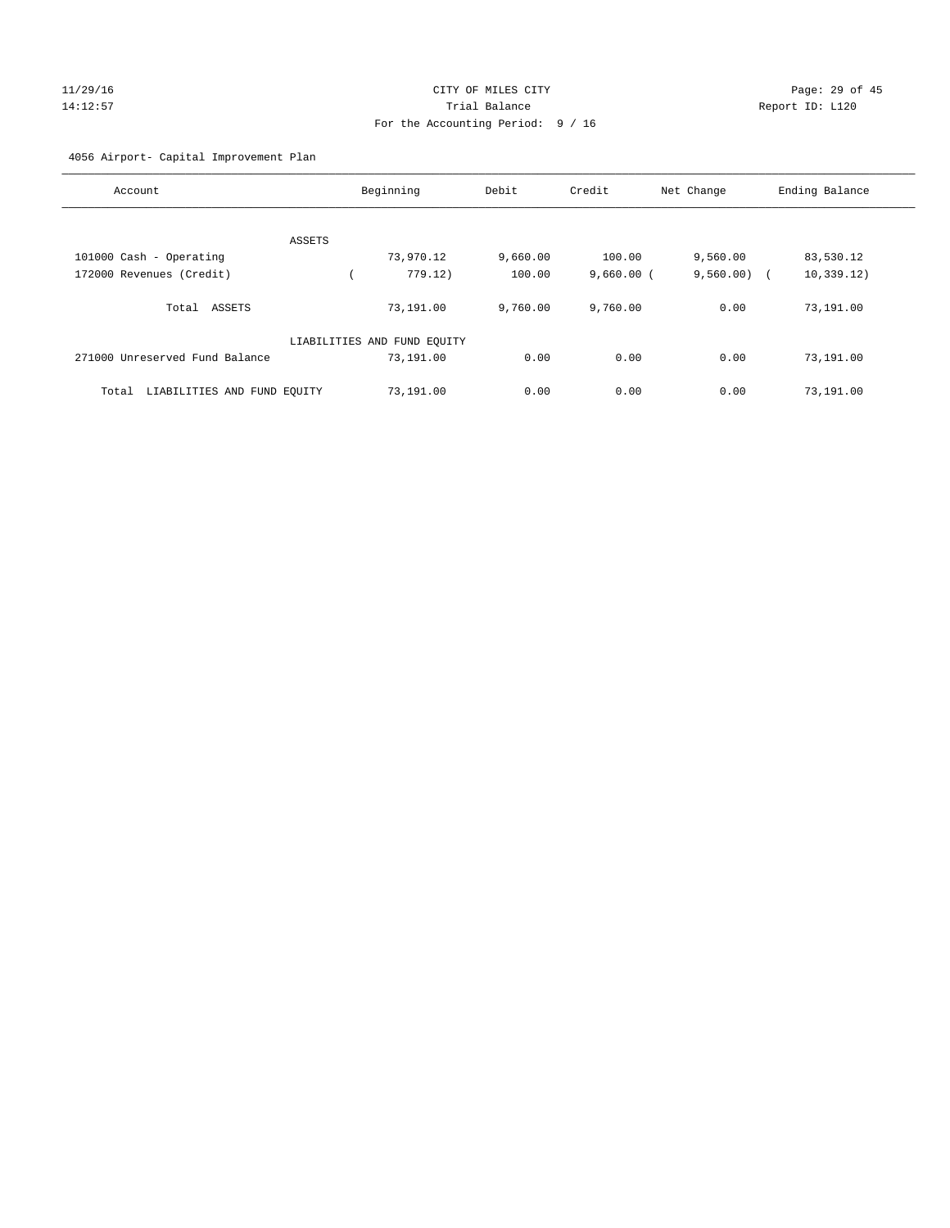# 11/29/16 Page: 29 of 45 14:12:57 Trial Balance Report ID: L120 For the Accounting Period: 9 / 16

#### 4056 Airport- Capital Improvement Plan

| Account                              |        | Beginning                   | Debit    | Credit       | Net Change | Ending Balance |
|--------------------------------------|--------|-----------------------------|----------|--------------|------------|----------------|
|                                      |        |                             |          |              |            |                |
|                                      | ASSETS |                             |          |              |            |                |
| 101000 Cash - Operating              |        | 73,970.12                   | 9,660.00 | 100.00       | 9,560.00   | 83,530.12      |
| 172000 Revenues (Credit)             |        | 779.12)                     | 100.00   | $9,660.00$ ( | 9,560.00)  | 10, 339.12)    |
| ASSETS<br>Total                      |        | 73,191.00                   | 9,760.00 | 9,760.00     | 0.00       | 73,191.00      |
|                                      |        | LIABILITIES AND FUND EQUITY |          |              |            |                |
| 271000 Unreserved Fund Balance       |        | 73,191.00                   | 0.00     | 0.00         | 0.00       | 73,191.00      |
| LIABILITIES AND FUND EQUITY<br>Total |        | 73,191.00                   | 0.00     | 0.00         | 0.00       | 73,191.00      |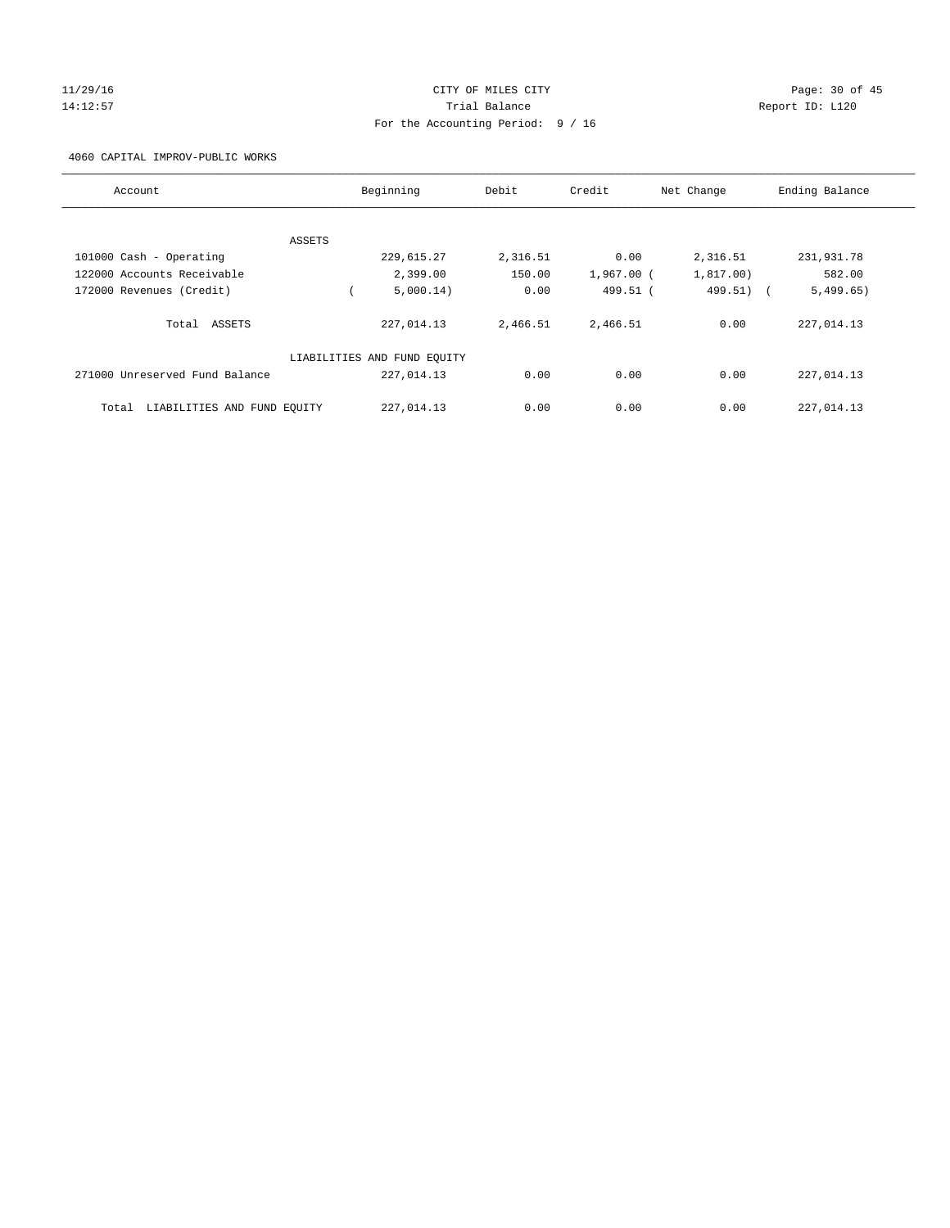#### 11/29/16 Page: 30 of 45 14:12:57 Trial Balance Report ID: L120 For the Accounting Period: 9 / 16

4060 CAPITAL IMPROV-PUBLIC WORKS

| Account                              | Beginning                   | Debit    | Credit       | Net Change | Ending Balance |
|--------------------------------------|-----------------------------|----------|--------------|------------|----------------|
|                                      |                             |          |              |            |                |
| ASSETS                               |                             |          |              |            |                |
| 101000 Cash - Operating              | 229,615.27                  | 2,316.51 | 0.00         | 2,316.51   | 231,931.78     |
| 122000 Accounts Receivable           | 2,399.00                    | 150.00   | $1,967.00$ ( | 1,817.00)  | 582.00         |
| 172000 Revenues (Credit)             | 5,000.14)                   | 0.00     | 499.51 (     | 499.51)    | 5,499.65)      |
| Total ASSETS                         | 227,014.13                  | 2,466.51 | 2,466.51     | 0.00       | 227,014.13     |
|                                      | LIABILITIES AND FUND EQUITY |          |              |            |                |
| 271000 Unreserved Fund Balance       | 227,014.13                  | 0.00     | 0.00         | 0.00       | 227,014.13     |
| LIABILITIES AND FUND EQUITY<br>Total | 227,014.13                  | 0.00     | 0.00         | 0.00       | 227,014.13     |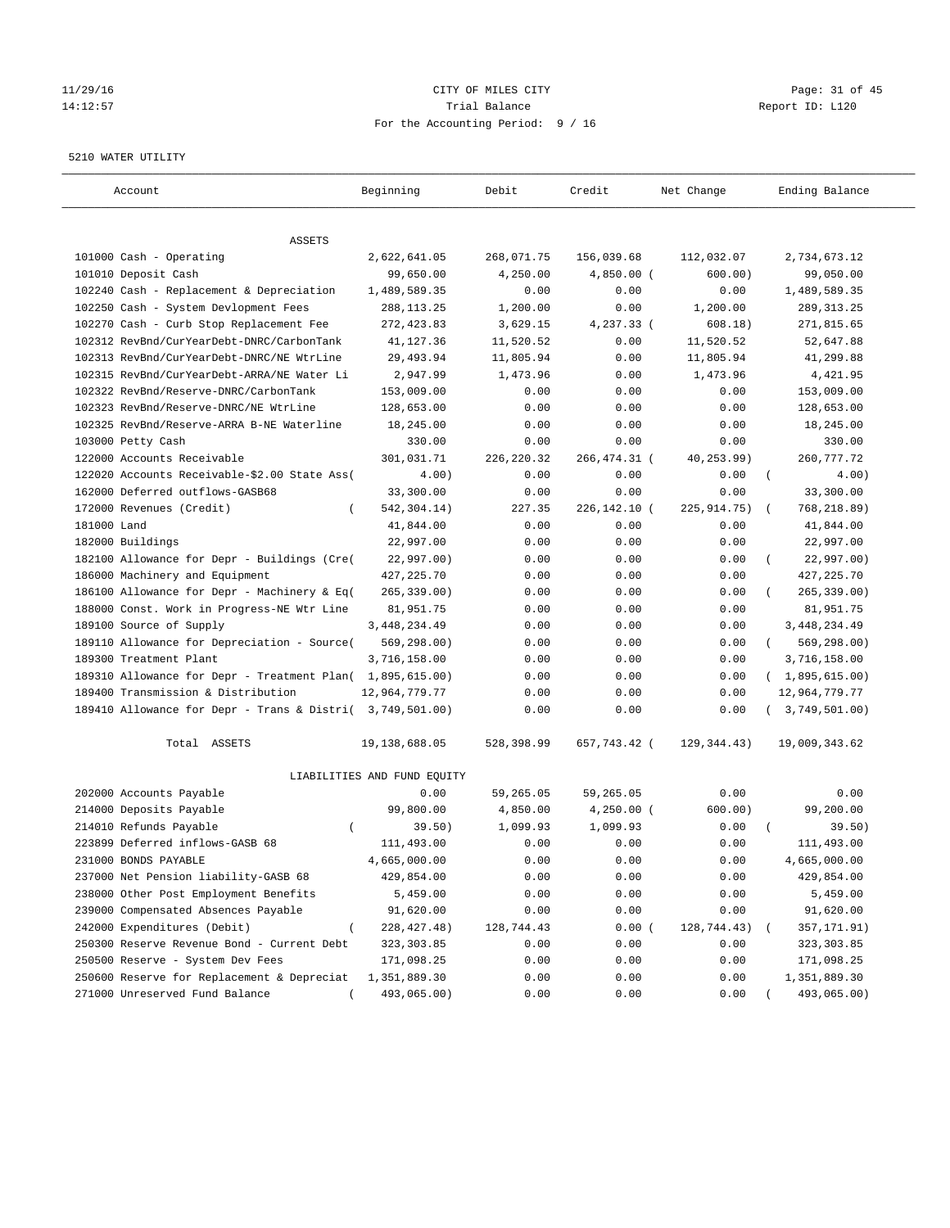# $CITY$  OF MILES  $CITY$  and the contract of  $P45$ 14:12:57 Trial Balance Report ID: L120 For the Accounting Period: 9 / 16

#### 5210 WATER UTILITY

| Account                                                   | Beginning                   | Debit       | Credit       | Net Change  | Ending Balance          |
|-----------------------------------------------------------|-----------------------------|-------------|--------------|-------------|-------------------------|
| ASSETS                                                    |                             |             |              |             |                         |
| 101000 Cash - Operating                                   | 2,622,641.05                | 268,071.75  | 156,039.68   | 112,032.07  | 2,734,673.12            |
| 101010 Deposit Cash                                       | 99,650.00                   | 4,250.00    | $4,850.00$ ( | 600.00)     | 99,050.00               |
| 102240 Cash - Replacement & Depreciation                  | 1,489,589.35                | 0.00        | 0.00         | 0.00        | 1,489,589.35            |
| 102250 Cash - System Devlopment Fees                      | 288, 113. 25                | 1,200.00    | 0.00         | 1,200.00    | 289, 313. 25            |
| 102270 Cash - Curb Stop Replacement Fee                   | 272,423.83                  | 3,629.15    | 4,237.33 (   | 608.18)     | 271,815.65              |
| 102312 RevBnd/CurYearDebt-DNRC/CarbonTank                 | 41,127.36                   | 11,520.52   | 0.00         | 11,520.52   | 52,647.88               |
| 102313 RevBnd/CurYearDebt-DNRC/NE WtrLine                 | 29,493.94                   | 11,805.94   | 0.00         | 11,805.94   | 41,299.88               |
| 102315 RevBnd/CurYearDebt-ARRA/NE Water Li                | 2,947.99                    | 1,473.96    | 0.00         | 1,473.96    | 4,421.95                |
| 102322 RevBnd/Reserve-DNRC/CarbonTank                     | 153,009.00                  | 0.00        | 0.00         | 0.00        | 153,009.00              |
| 102323 RevBnd/Reserve-DNRC/NE WtrLine                     | 128,653.00                  | 0.00        | 0.00         | 0.00        | 128,653.00              |
| 102325 RevBnd/Reserve-ARRA B-NE Waterline                 | 18,245.00                   | 0.00        | 0.00         | 0.00        | 18,245.00               |
| 103000 Petty Cash                                         | 330.00                      | 0.00        | 0.00         | 0.00        | 330.00                  |
| 122000 Accounts Receivable                                | 301,031.71                  | 226, 220.32 | 266,474.31 ( | 40,253.99)  | 260, 777.72             |
| 122020 Accounts Receivable-\$2.00 State Ass(              | 4.00)                       | 0.00        | 0.00         | 0.00        | $\left($<br>4.00)       |
| 162000 Deferred outflows-GASB68                           | 33,300.00                   | 0.00        | 0.00         | 0.00        | 33,300.00               |
| 172000 Revenues (Credit)                                  | 542, 304. 14)               | 227.35      | 226,142.10 ( | 225,914.75) | 768,218.89)             |
| 181000 Land                                               | 41,844.00                   | 0.00        | 0.00         | 0.00        | 41,844.00               |
| 182000 Buildings                                          | 22,997.00                   | 0.00        | 0.00         | 0.00        | 22,997.00               |
| 182100 Allowance for Depr - Buildings (Cre(               | 22,997.00)                  | 0.00        | 0.00         | 0.00        | 22,997.00)<br>$\left($  |
| 186000 Machinery and Equipment                            | 427, 225. 70                | 0.00        | 0.00         | 0.00        | 427, 225.70             |
| 186100 Allowance for Depr - Machinery & Eq(               | $265, 339.00$ )             | 0.00        | 0.00         | 0.00        | 265, 339.00)            |
| 188000 Const. Work in Progress-NE Wtr Line                | 81,951.75                   | 0.00        | 0.00         | 0.00        | 81,951.75               |
| 189100 Source of Supply                                   | 3, 448, 234.49              | 0.00        | 0.00         | 0.00        | 3, 448, 234.49          |
| 189110 Allowance for Depreciation - Source(               | 569,298.00)                 | 0.00        | 0.00         | 0.00        | 569,298.00)<br>$\left($ |
| 189300 Treatment Plant                                    | 3,716,158.00                | 0.00        | 0.00         | 0.00        | 3,716,158.00            |
| 189310 Allowance for Depr - Treatment Plan( 1,895,615.00) |                             | 0.00        | 0.00         | 0.00        | (1,895,615.00)          |
| 189400 Transmission & Distribution                        | 12,964,779.77               | 0.00        | 0.00         | 0.00        | 12,964,779.77           |
| 189410 Allowance for Depr - Trans & Distri( 3,749,501.00) |                             | 0.00        | 0.00         | 0.00        | 3,749,501.00)           |
| Total ASSETS                                              | 19,138,688.05               | 528,398.99  | 657,743.42 ( | 129,344.43) | 19,009,343.62           |
|                                                           | LIABILITIES AND FUND EQUITY |             |              |             |                         |
| 202000 Accounts Payable                                   | 0.00                        | 59,265.05   | 59,265.05    | 0.00        | 0.00                    |
| 214000 Deposits Payable                                   | 99,800.00                   | 4,850.00    | 4,250.00 (   | 600.00)     | 99,200.00               |
| 214010 Refunds Payable<br>$\left($                        | 39.50)                      | 1,099.93    | 1,099.93     | 0.00        | 39.50)                  |
| 223899 Deferred inflows-GASB 68                           | 111,493.00                  | 0.00        | 0.00         | 0.00        | 111,493.00              |
| 231000 BONDS PAYABLE                                      | 4,665,000.00                | 0.00        | 0.00         | 0.00        | 4,665,000.00            |
| 237000 Net Pension liability-GASB 68                      | 429,854.00                  | 0.00        | 0.00         | 0.00        | 429,854.00              |
| 238000 Other Post Employment Benefits                     | 5,459.00                    | 0.00        | 0.00         | 0.00        | 5,459.00                |
| 239000 Compensated Absences Payable                       | 91,620.00                   | 0.00        | 0.00         | 0.00        | 91,620.00               |
| 242000 Expenditures (Debit)                               | 228, 427. 48)               | 128,744.43  | 0.00(        | 128,744.43) | 357,171.91)             |
| 250300 Reserve Revenue Bond - Current Debt                | 323, 303.85                 | 0.00        | 0.00         | 0.00        | 323, 303.85             |
| 250500 Reserve - System Dev Fees                          | 171,098.25                  | 0.00        | 0.00         | 0.00        | 171,098.25              |
| 250600 Reserve for Replacement & Depreciat                | 1,351,889.30                | 0.00        | 0.00         | 0.00        | 1,351,889.30            |
| 271000 Unreserved Fund Balance                            | 493,065.00)                 | 0.00        | 0.00         | 0.00        | 493,065.00)             |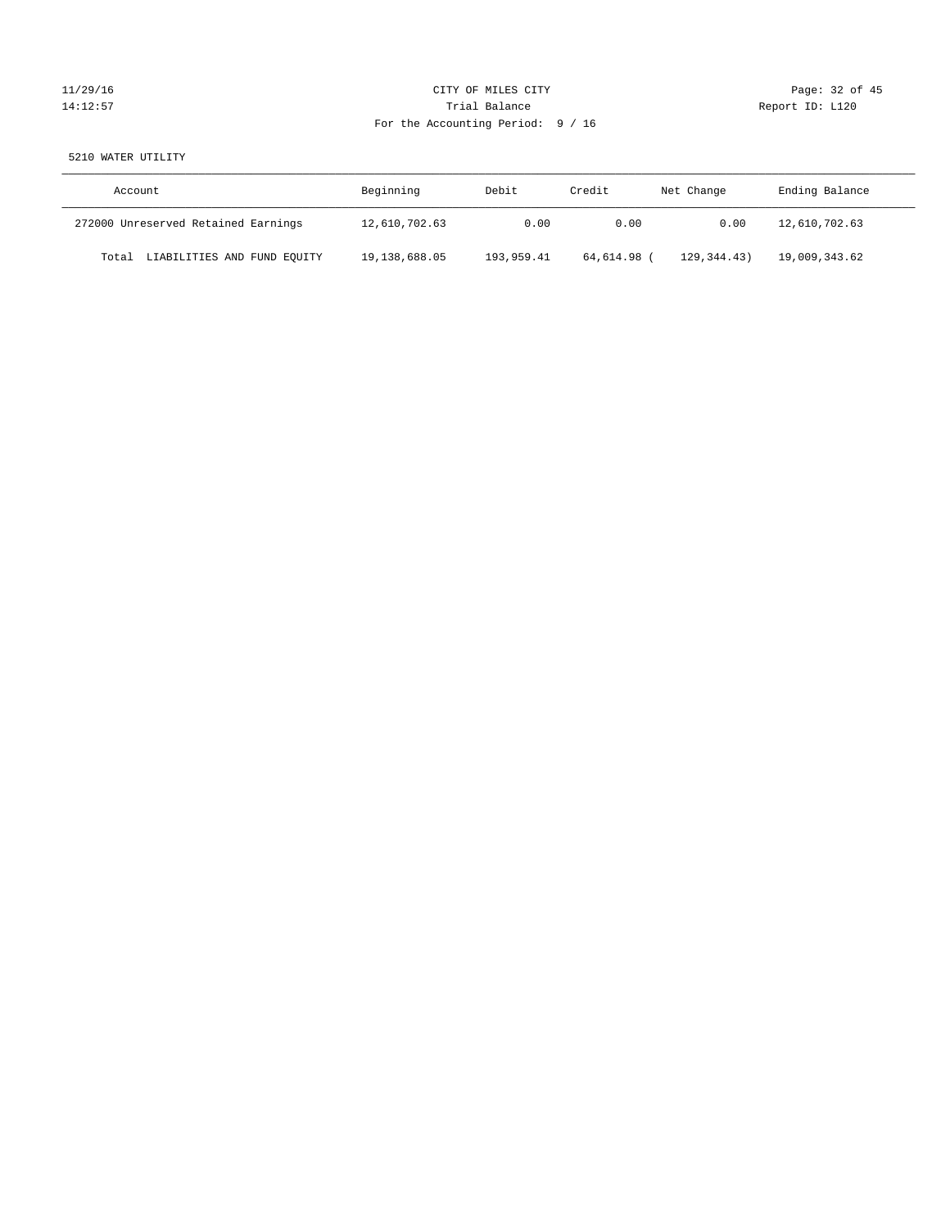# 11/29/16 Page: 32 of 45 14:12:57 Trial Balance Trial Balance Report ID: L120 For the Accounting Period: 9 / 16

#### 5210 WATER UTILITY

| Account                              | Beginning     | Debit      | Credit    | Net Change    | Ending Balance |
|--------------------------------------|---------------|------------|-----------|---------------|----------------|
| 272000 Unreserved Retained Earnings  | 12,610,702.63 | 0.00       | 0.00      | 0.00          | 12,610,702.63  |
| LIABILITIES AND FUND EQUITY<br>Total | 19,138,688.05 | 193,959.41 | 64,614.98 | 129, 344, 43) | 19,009,343.62  |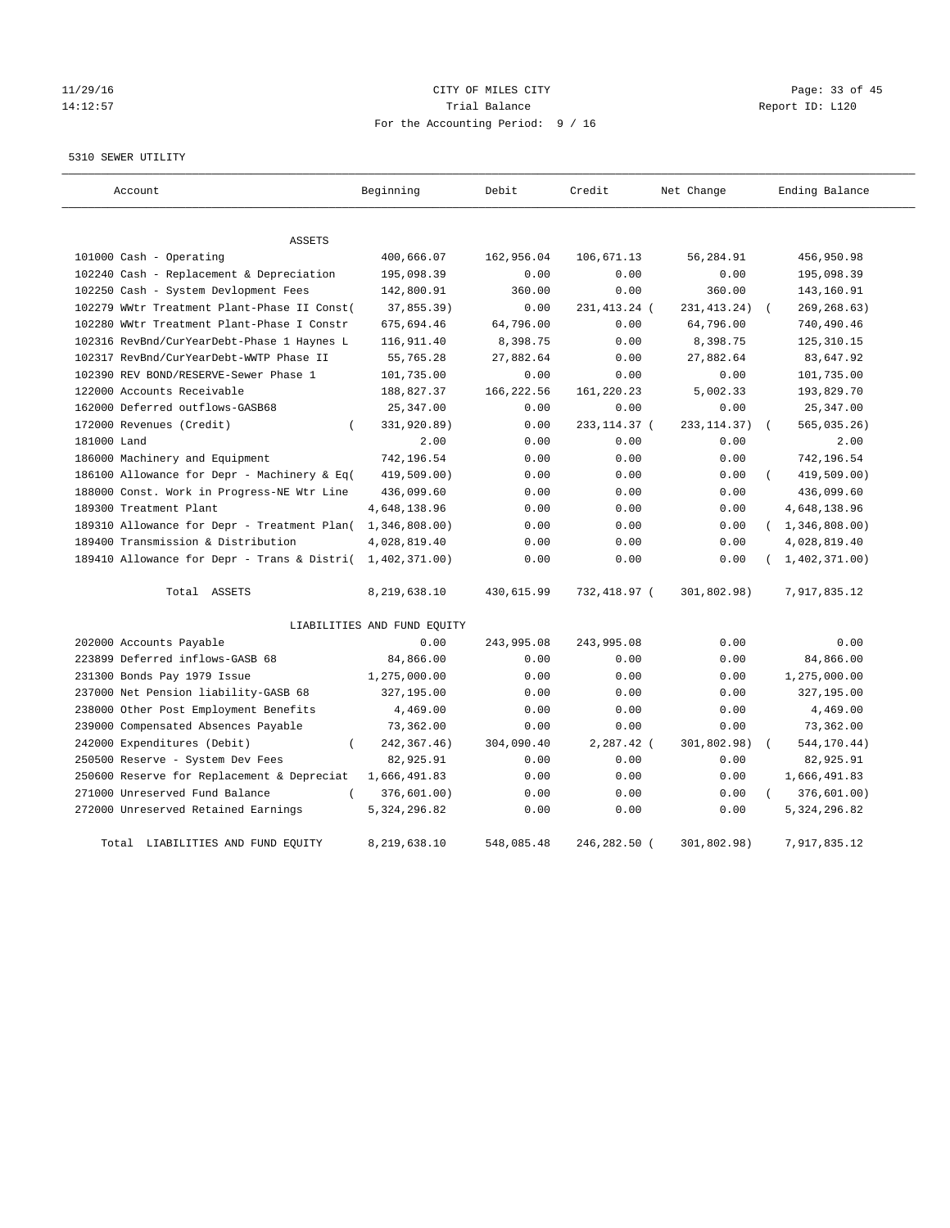# 11/29/16 Page: 33 of 45 14:12:57 Trial Balance Trial Balance Report ID: L120 For the Accounting Period: 9 / 16

5310 SEWER UTILITY

| Account                                     | Beginning                   | Debit      | Credit        | Net Change    |          | Ending Balance   |
|---------------------------------------------|-----------------------------|------------|---------------|---------------|----------|------------------|
| <b>ASSETS</b>                               |                             |            |               |               |          |                  |
| 101000 Cash - Operating                     | 400,666.07                  | 162,956.04 | 106,671.13    | 56,284.91     |          | 456,950.98       |
| 102240 Cash - Replacement & Depreciation    | 195,098.39                  | 0.00       | 0.00          | 0.00          |          | 195,098.39       |
| 102250 Cash - System Devlopment Fees        | 142,800.91                  | 360.00     | 0.00          | 360.00        |          | 143,160.91       |
| 102279 WWtr Treatment Plant-Phase II Const( | 37,855.39)                  | 0.00       | 231,413.24 (  | 231, 413. 24) |          | 269, 268.63)     |
| 102280 WWtr Treatment Plant-Phase I Constr  | 675,694.46                  | 64,796.00  | 0.00          | 64,796.00     |          | 740,490.46       |
| 102316 RevBnd/CurYearDebt-Phase 1 Haynes L  | 116,911.40                  | 8,398.75   | 0.00          | 8,398.75      |          | 125, 310.15      |
| 102317 RevBnd/CurYearDebt-WWTP Phase II     | 55,765.28                   | 27,882.64  | 0.00          | 27,882.64     |          | 83,647.92        |
| 102390 REV BOND/RESERVE-Sewer Phase 1       | 101,735.00                  | 0.00       | 0.00          | 0.00          |          | 101,735.00       |
| 122000 Accounts Receivable                  | 188,827.37                  | 166,222.56 | 161,220.23    | 5,002.33      |          | 193,829.70       |
| 162000 Deferred outflows-GASB68             | 25,347.00                   | 0.00       | 0.00          | 0.00          |          | 25,347.00        |
| 172000 Revenues (Credit)<br>$\left($        | 331,920.89)                 | 0.00       | 233, 114.37 ( | 233, 114.37)  |          | 565,035.26)      |
| 181000 Land                                 | 2.00                        | 0.00       | 0.00          | 0.00          |          | 2.00             |
| 186000 Machinery and Equipment              | 742,196.54                  | 0.00       | 0.00          | 0.00          |          | 742,196.54       |
| 186100 Allowance for Depr - Machinery & Eq( | 419,509.00)                 | 0.00       | 0.00          | 0.00          |          | 419,509.00)      |
| 188000 Const. Work in Progress-NE Wtr Line  | 436,099.60                  | 0.00       | 0.00          | 0.00          |          | 436,099.60       |
| 189300 Treatment Plant                      | 4,648,138.96                | 0.00       | 0.00          | 0.00          |          | 4,648,138.96     |
| 189310 Allowance for Depr - Treatment Plan( | 1,346,808.00)               | 0.00       | 0.00          | 0.00          |          | (1, 346, 808.00) |
| 189400 Transmission & Distribution          | 4,028,819.40                | 0.00       | 0.00          | 0.00          |          | 4,028,819.40     |
| 189410 Allowance for Depr - Trans & Distri( | 1,402,371.00)               | 0.00       | 0.00          | 0.00          |          | (1, 402, 371.00) |
| Total ASSETS                                | 8,219,638.10                | 430,615.99 | 732,418.97 (  | 301,802.98)   |          | 7,917,835.12     |
|                                             | LIABILITIES AND FUND EQUITY |            |               |               |          |                  |
| 202000 Accounts Payable                     | 0.00                        | 243,995.08 | 243,995.08    | 0.00          |          | 0.00             |
| 223899 Deferred inflows-GASB 68             | 84,866.00                   | 0.00       | 0.00          | 0.00          |          | 84,866.00        |
| 231300 Bonds Pay 1979 Issue                 | 1,275,000.00                | 0.00       | 0.00          | 0.00          |          | 1,275,000.00     |
| 237000 Net Pension liability-GASB 68        | 327,195.00                  | 0.00       | 0.00          | 0.00          |          | 327,195.00       |
| 238000 Other Post Employment Benefits       | 4,469.00                    | 0.00       | 0.00          | 0.00          |          | 4,469.00         |
| 239000 Compensated Absences Payable         | 73,362.00                   | 0.00       | 0.00          | 0.00          |          | 73,362.00        |
| 242000 Expenditures (Debit)<br>$\left($     | 242, 367.46)                | 304,090.40 | 2,287.42 (    | 301,802.98)   |          | 544,170.44)      |
| 250500 Reserve - System Dev Fees            | 82,925.91                   | 0.00       | 0.00          | 0.00          |          | 82,925.91        |
| 250600 Reserve for Replacement & Depreciat  | 1,666,491.83                | 0.00       | 0.00          | 0.00          |          | 1,666,491.83     |
| 271000 Unreserved Fund Balance<br>$\left($  | 376,601.00)                 | 0.00       | 0.00          | 0.00          | $\left($ | 376,601.00)      |
| 272000 Unreserved Retained Earnings         | 5, 324, 296.82              | 0.00       | 0.00          | 0.00          |          | 5, 324, 296.82   |
| Total LIABILITIES AND FUND EQUITY           | 8,219,638.10                | 548,085.48 | 246,282.50 (  | 301,802.98)   |          | 7,917,835.12     |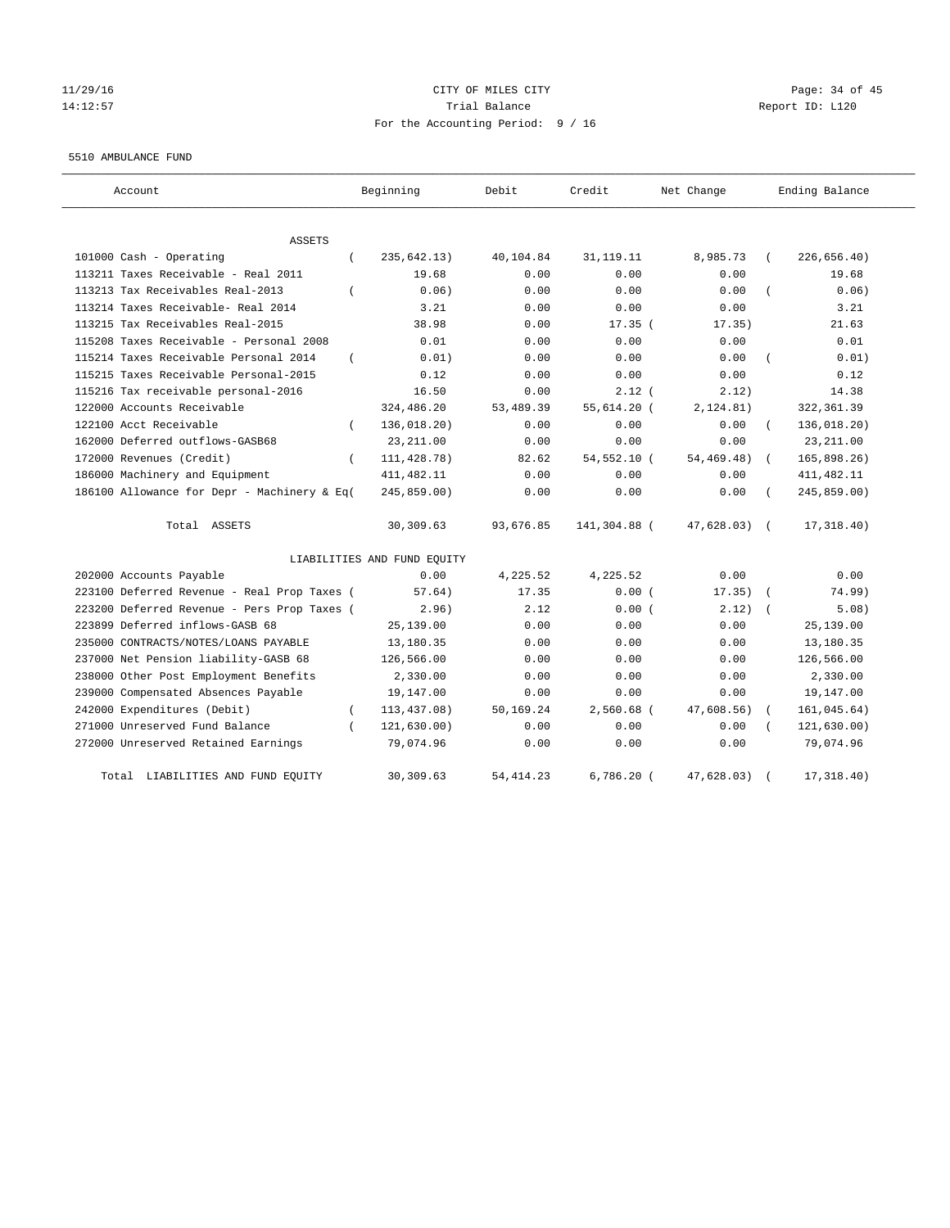#### 11/29/16 Page: 34 of 45 14:12:57 Trial Balance Report ID: L120 For the Accounting Period: 9 / 16

#### 5510 AMBULANCE FUND

| Account                                           | Beginning                   | Debit      | Credit       | Net Change    | Ending Balance |
|---------------------------------------------------|-----------------------------|------------|--------------|---------------|----------------|
| <b>ASSETS</b>                                     |                             |            |              |               |                |
| 101000 Cash - Operating<br>$\left($               | 235, 642.13)                | 40,104.84  | 31, 119. 11  | 8,985.73      | 226, 656.40)   |
| 113211 Taxes Receivable - Real 2011               | 19.68                       | 0.00       | 0.00         | 0.00          | 19.68          |
| 113213 Tax Receivables Real-2013<br>$\left($      | 0.06)                       | 0.00       | 0.00         | 0.00          | 0.06)          |
| 113214 Taxes Receivable- Real 2014                | 3.21                        | 0.00       | 0.00         | 0.00          | 3.21           |
| 113215 Tax Receivables Real-2015                  | 38.98                       | 0.00       | $17.35$ (    | 17.35)        | 21.63          |
| 115208 Taxes Receivable - Personal 2008           | 0.01                        | 0.00       | 0.00         | 0.00          | 0.01           |
| 115214 Taxes Receivable Personal 2014<br>$\left($ | 0.01)                       | 0.00       | 0.00         | 0.00          | 0.01)          |
| 115215 Taxes Receivable Personal-2015             | 0.12                        | 0.00       | 0.00         | 0.00          | 0.12           |
| 115216 Tax receivable personal-2016               | 16.50                       | 0.00       | $2.12$ (     | 2.12)         | 14.38          |
| 122000 Accounts Receivable                        | 324,486.20                  | 53,489.39  | 55,614.20 (  | 2, 124.81)    | 322, 361.39    |
| 122100 Acct Receivable<br>$\left($                | 136,018.20)                 | 0.00       | 0.00         | 0.00          | 136,018.20)    |
| 162000 Deferred outflows-GASB68                   | 23, 211.00                  | 0.00       | 0.00         | 0.00          | 23, 211.00     |
| 172000 Revenues (Credit)<br>$\left($              | 111, 428.78)                | 82.62      | 54,552.10 (  | 54,469.48)    | 165,898.26     |
| 186000 Machinery and Equipment                    | 411, 482.11                 | 0.00       | 0.00         | 0.00          | 411, 482.11    |
| 186100 Allowance for Depr - Machinery & Eq(       | 245,859.00)                 | 0.00       | 0.00         | 0.00          | 245,859.00)    |
| Total ASSETS                                      | 30,309.63                   | 93,676.85  | 141,304.88 ( | $47,628.03$ ( | 17,318.40)     |
|                                                   | LIABILITIES AND FUND EQUITY |            |              |               |                |
| 202000 Accounts Payable                           | 0.00                        | 4,225.52   | 4,225.52     | 0.00          | 0.00           |
| 223100 Deferred Revenue - Real Prop Taxes (       | 57.64)                      | 17.35      | 0.00(        | $17.35)$ (    | 74.99)         |
| 223200 Deferred Revenue - Pers Prop Taxes (       | 2.96)                       | 2.12       | 0.00(        | 2.12)         | 5.08)          |
| 223899 Deferred inflows-GASB 68                   | 25,139.00                   | 0.00       | 0.00         | 0.00          | 25,139.00      |
| 235000 CONTRACTS/NOTES/LOANS PAYABLE              | 13,180.35                   | 0.00       | 0.00         | 0.00          | 13,180.35      |
| 237000 Net Pension liability-GASB 68              | 126,566.00                  | 0.00       | 0.00         | 0.00          | 126,566.00     |
| 238000 Other Post Employment Benefits             | 2,330.00                    | 0.00       | 0.00         | 0.00          | 2,330.00       |
| 239000 Compensated Absences Payable               | 19,147.00                   | 0.00       | 0.00         | 0.00          | 19,147.00      |
| 242000 Expenditures (Debit)<br>$\left($           | 113, 437.08)                | 50,169.24  | 2,560.68 (   | 47,608.56)    | 161,045.64)    |
| 271000 Unreserved Fund Balance                    | 121, 630.00)                | 0.00       | 0.00         | 0.00          | 121,630.00)    |
| 272000 Unreserved Retained Earnings               | 79,074.96                   | 0.00       | 0.00         | 0.00          | 79,074.96      |
| Total LIABILITIES AND FUND EQUITY                 | 30,309.63                   | 54, 414.23 | $6,786.20$ ( | 47,628.03)    | 17, 318.40)    |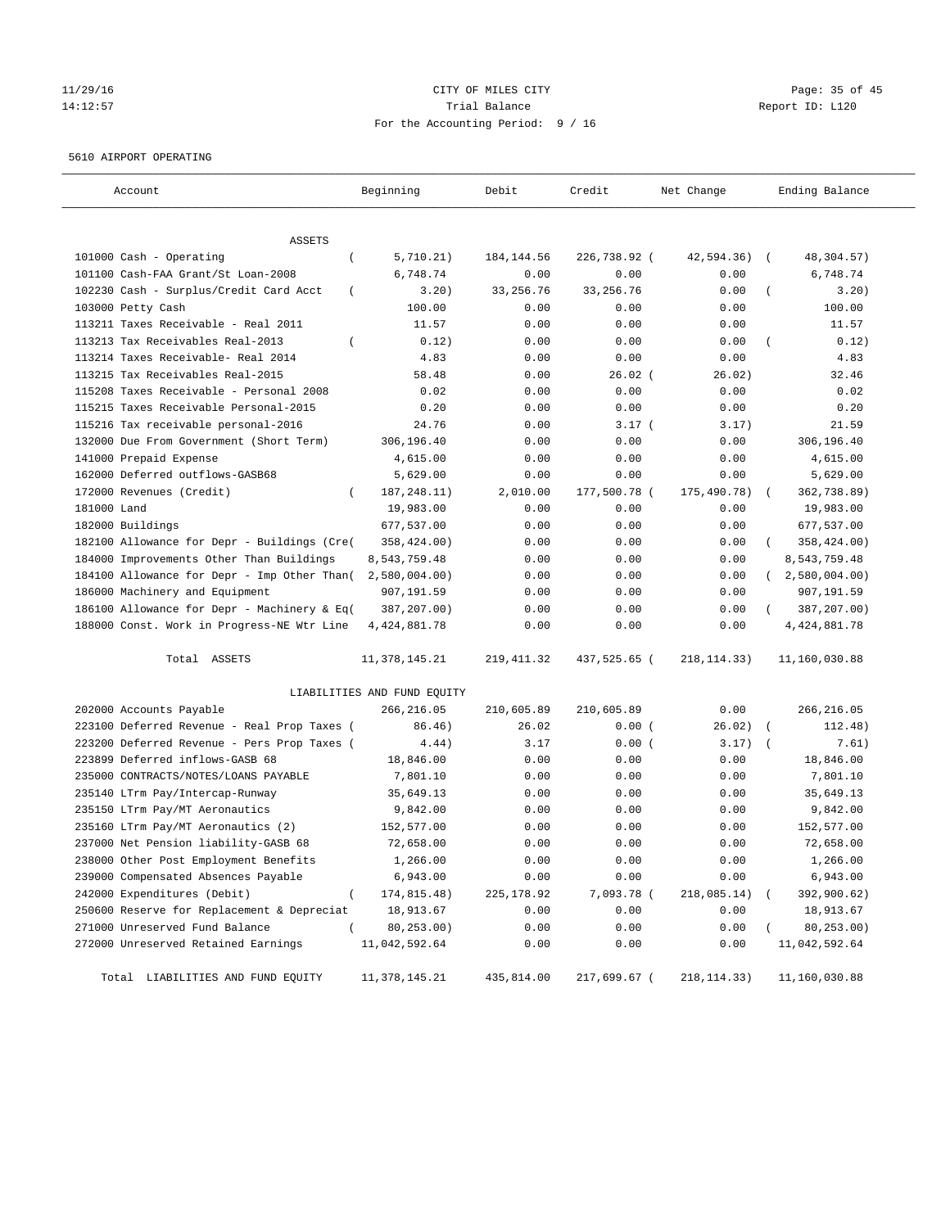#### 11/29/16 Page: 35 of 45 14:12:57 Trial Balance Report ID: L120 For the Accounting Period: 9 / 16

#### 5610 AIRPORT OPERATING

| Account                                            | Beginning                   | Debit       | Credit       | Net Change    | Ending Balance           |
|----------------------------------------------------|-----------------------------|-------------|--------------|---------------|--------------------------|
| <b>ASSETS</b>                                      |                             |             |              |               |                          |
| 101000 Cash - Operating<br>$\left($                | 5,710.21)                   | 184, 144.56 | 226,738.92 ( | 42,594.36)    | 48,304.57)<br>$\sqrt{2}$ |
| 101100 Cash-FAA Grant/St Loan-2008                 | 6,748.74                    | 0.00        | 0.00         | 0.00          | 6,748.74                 |
| 102230 Cash - Surplus/Credit Card Acct<br>$\left($ | 3.20)                       | 33, 256.76  | 33, 256. 76  | 0.00          | 3.20)                    |
| 103000 Petty Cash                                  | 100.00                      | 0.00        | 0.00         | 0.00          | 100.00                   |
| 113211 Taxes Receivable - Real 2011                | 11.57                       | 0.00        | 0.00         | 0.00          | 11.57                    |
| 113213 Tax Receivables Real-2013                   | 0.12)                       | 0.00        | 0.00         | 0.00          | 0.12)                    |
| 113214 Taxes Receivable- Real 2014                 | 4.83                        | 0.00        | 0.00         | 0.00          | 4.83                     |
| 113215 Tax Receivables Real-2015                   | 58.48                       | 0.00        | $26.02$ (    | 26.02)        | 32.46                    |
| 115208 Taxes Receivable - Personal 2008            | 0.02                        | 0.00        | 0.00         | 0.00          | 0.02                     |
| 115215 Taxes Receivable Personal-2015              | 0.20                        | 0.00        | 0.00         | 0.00          | 0.20                     |
| 115216 Tax receivable personal-2016                | 24.76                       | 0.00        | 3.17(        | 3.17)         | 21.59                    |
| 132000 Due From Government (Short Term)            | 306,196.40                  | 0.00        | 0.00         | 0.00          | 306,196.40               |
| 141000 Prepaid Expense                             | 4,615.00                    | 0.00        | 0.00         | 0.00          | 4,615.00                 |
| 162000 Deferred outflows-GASB68                    | 5,629.00                    | 0.00        | 0.00         | 0.00          | 5,629.00                 |
| 172000 Revenues (Credit)<br>$\left($               | 187, 248. 11)               | 2,010.00    | 177,500.78 ( | 175,490.78)   | 362,738.89)              |
| 181000 Land                                        | 19,983.00                   | 0.00        | 0.00         | 0.00          | 19,983.00                |
| 182000 Buildings                                   | 677,537.00                  | 0.00        | 0.00         | 0.00          | 677,537.00               |
| 182100 Allowance for Depr - Buildings (Cre(        | 358,424.00)                 | 0.00        | 0.00         | 0.00          | 358,424.00)              |
| 184000 Improvements Other Than Buildings           | 8,543,759.48                | 0.00        | 0.00         | 0.00          | 8,543,759.48             |
| 184100 Allowance for Depr - Imp Other Than(        | 2,580,004.00)               | 0.00        | 0.00         | 0.00          | $2,580,004.00$ )         |
| 186000 Machinery and Equipment                     | 907,191.59                  | 0.00        | 0.00         | 0.00          | 907,191.59               |
| 186100 Allowance for Depr - Machinery & Eq(        | 387,207.00)                 | 0.00        | 0.00         | 0.00          | 387,207.00)              |
| 188000 Const. Work in Progress-NE Wtr Line         | 4, 424, 881.78              | 0.00        | 0.00         | 0.00          | 4, 424, 881.78           |
|                                                    |                             |             |              |               |                          |
| Total ASSETS                                       | 11, 378, 145. 21            | 219, 411.32 | 437,525.65 ( | 218, 114. 33) | 11,160,030.88            |
|                                                    | LIABILITIES AND FUND EQUITY |             |              |               |                          |
| 202000 Accounts Payable                            | 266,216.05                  | 210,605.89  | 210,605.89   | 0.00          | 266, 216.05              |
| 223100 Deferred Revenue - Real Prop Taxes (        | 86.46)                      | 26.02       | 0.00(        | 26.02)        | 112.48)<br>$\sqrt{2}$    |
| 223200 Deferred Revenue - Pers Prop Taxes (        | 4.44)                       | 3.17        | 0.00(        | 3.17)         | 7.61)                    |
| 223899 Deferred inflows-GASB 68                    | 18,846.00                   | 0.00        | 0.00         | 0.00          | 18,846.00                |
| 235000 CONTRACTS/NOTES/LOANS PAYABLE               | 7,801.10                    | 0.00        | 0.00         | 0.00          | 7,801.10                 |
| 235140 LTrm Pay/Intercap-Runway                    | 35,649.13                   | 0.00        | 0.00         | 0.00          | 35,649.13                |
| 235150 LTrm Pay/MT Aeronautics                     | 9,842.00                    | 0.00        | 0.00         | 0.00          | 9,842.00                 |
| 235160 LTrm Pay/MT Aeronautics (2)                 | 152,577.00                  | 0.00        | 0.00         | 0.00          | 152,577.00               |
| 237000 Net Pension liability-GASB 68               | 72,658.00                   | 0.00        | 0.00         | 0.00          | 72,658.00                |
| 238000 Other Post Employment Benefits              | 1,266.00                    | 0.00        | 0.00         | 0.00          | 1,266.00                 |
| 239000 Compensated Absences Payable                | 6,943.00                    | 0.00        | 0.00         | 0.00          | 6,943.00                 |
| 242000 Expenditures (Debit)<br>$\overline{(\ }$    | 174,815.48)                 | 225, 178.92 | 7,093.78 (   | 218,085.14)   | 392,900.62)              |
| 250600 Reserve for Replacement & Depreciat         | 18,913.67                   | 0.00        | 0.00         | 0.00          | 18,913.67                |
| 271000 Unreserved Fund Balance                     | 80,253.00)                  | 0.00        | 0.00         | 0.00          | 80, 253.00)              |
| 272000 Unreserved Retained Earnings                | 11,042,592.64               | 0.00        | 0.00         | 0.00          | 11,042,592.64            |
| Total LIABILITIES AND FUND EQUITY                  | 11, 378, 145. 21            | 435,814.00  | 217,699.67 ( | 218, 114.33)  | 11,160,030.88            |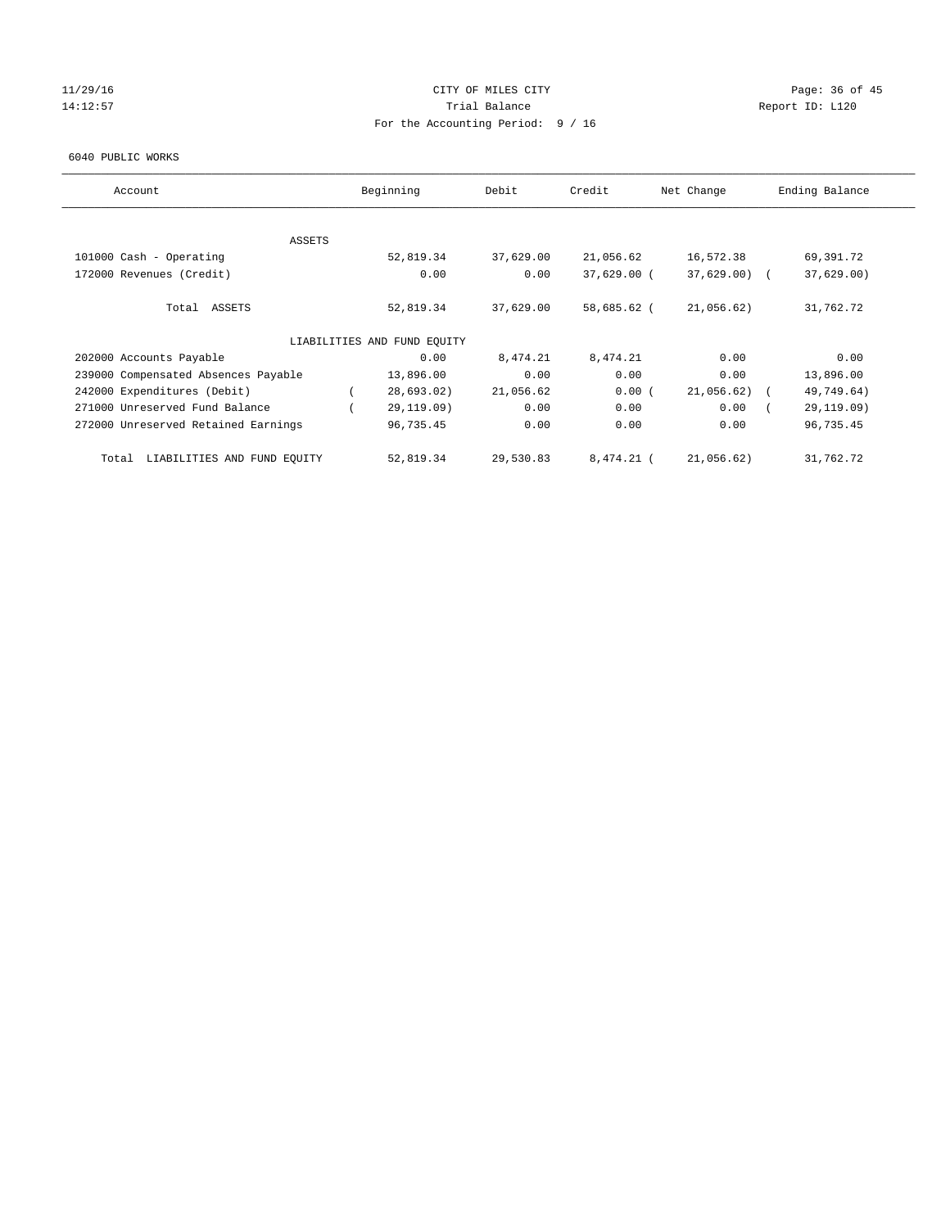#### $11/29/16$  Page: 36 of 45 14:12:57 Trial Balance Trial Balance Report ID: L120 For the Accounting Period: 9 / 16

#### 6040 PUBLIC WORKS

| Account                              | Beginning                   | Debit     | Credit      | Net Change    | Ending Balance |
|--------------------------------------|-----------------------------|-----------|-------------|---------------|----------------|
|                                      |                             |           |             |               |                |
| ASSETS                               | 52,819.34                   | 37,629.00 | 21,056.62   | 16,572.38     | 69,391.72      |
| 101000 Cash - Operating              |                             |           |             |               |                |
| 172000 Revenues (Credit)             | 0.00                        | 0.00      | 37,629.00 ( | $37,629.00$ ( | 37,629.00      |
| Total ASSETS                         | 52,819.34                   | 37,629.00 | 58,685.62 ( | 21,056.62)    | 31,762.72      |
|                                      | LIABILITIES AND FUND EQUITY |           |             |               |                |
| 202000 Accounts Payable              | 0.00                        | 8,474.21  | 8,474.21    | 0.00          | 0.00           |
| 239000 Compensated Absences Payable  | 13,896.00                   | 0.00      | 0.00        | 0.00          | 13,896.00      |
| 242000 Expenditures (Debit)          | 28,693.02)                  | 21,056.62 | 0.00(       | 21,056.62)    | 49,749.64)     |
| 271000 Unreserved Fund Balance       | 29,119.09)                  | 0.00      | 0.00        | 0.00          | 29,119.09)     |
| 272000 Unreserved Retained Earnings  | 96,735.45                   | 0.00      | 0.00        | 0.00          | 96,735.45      |
| LIABILITIES AND FUND EQUITY<br>Total | 52,819.34                   | 29,530.83 | 8,474.21 (  | 21,056.62)    | 31,762.72      |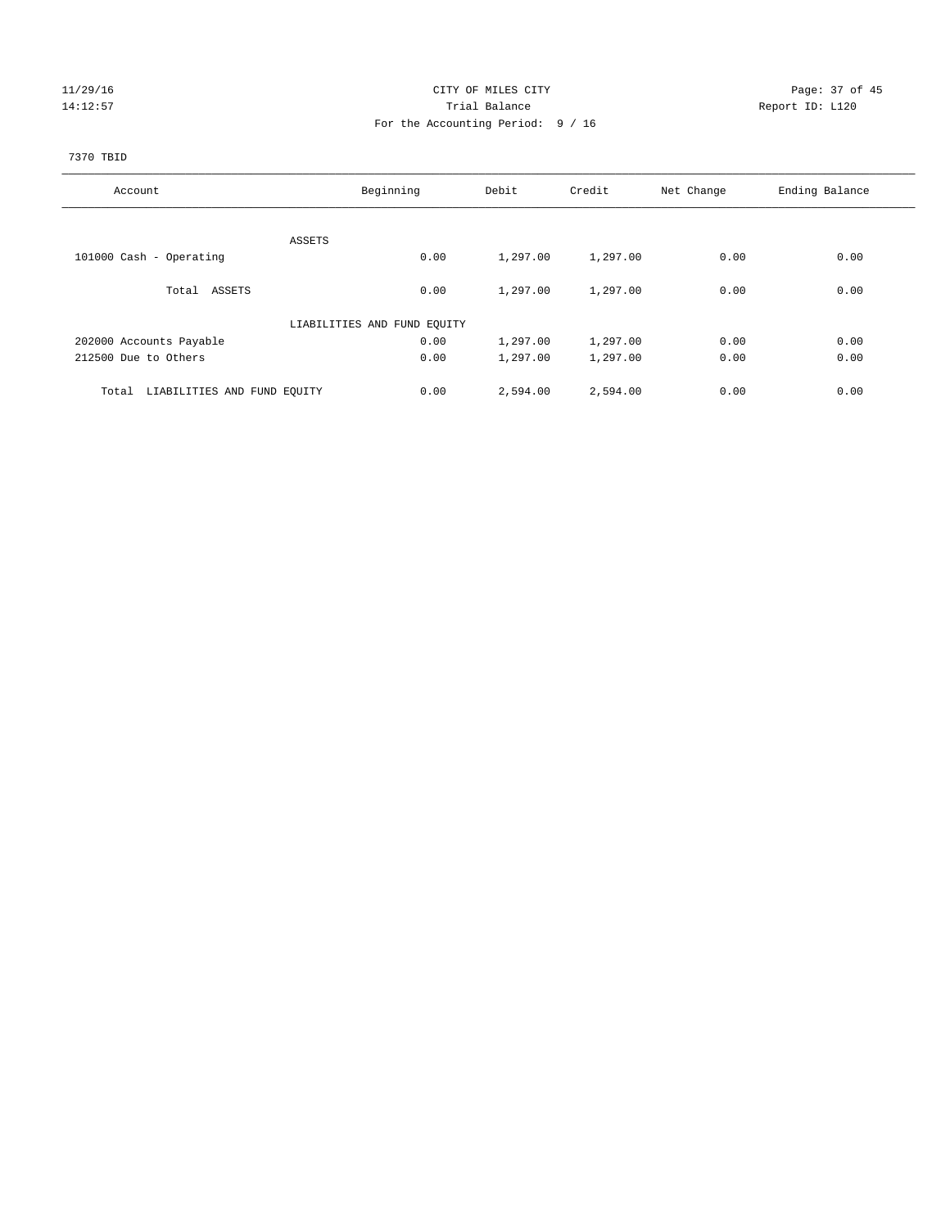#### 11/29/16 Page: 37 of 45 14:12:57 Trial Balance Trial Balance Report ID: L120 For the Accounting Period: 9 / 16

## 7370 TBID

| Account                              | Beginning                   | Debit    | Credit   | Net Change | Ending Balance |
|--------------------------------------|-----------------------------|----------|----------|------------|----------------|
|                                      |                             |          |          |            |                |
|                                      | ASSETS                      |          |          |            |                |
| 101000 Cash - Operating              | 0.00                        | 1,297.00 | 1,297.00 | 0.00       | 0.00           |
| Total ASSETS                         | 0.00                        | 1,297.00 | 1,297.00 | 0.00       | 0.00           |
|                                      | LIABILITIES AND FUND EQUITY |          |          |            |                |
| 202000 Accounts Payable              | 0.00                        | 1,297.00 | 1,297.00 | 0.00       | 0.00           |
| 212500 Due to Others                 | 0.00                        | 1,297.00 | 1,297.00 | 0.00       | 0.00           |
| LIABILITIES AND FUND EQUITY<br>Total | 0.00                        | 2,594.00 | 2,594.00 | 0.00       | 0.00           |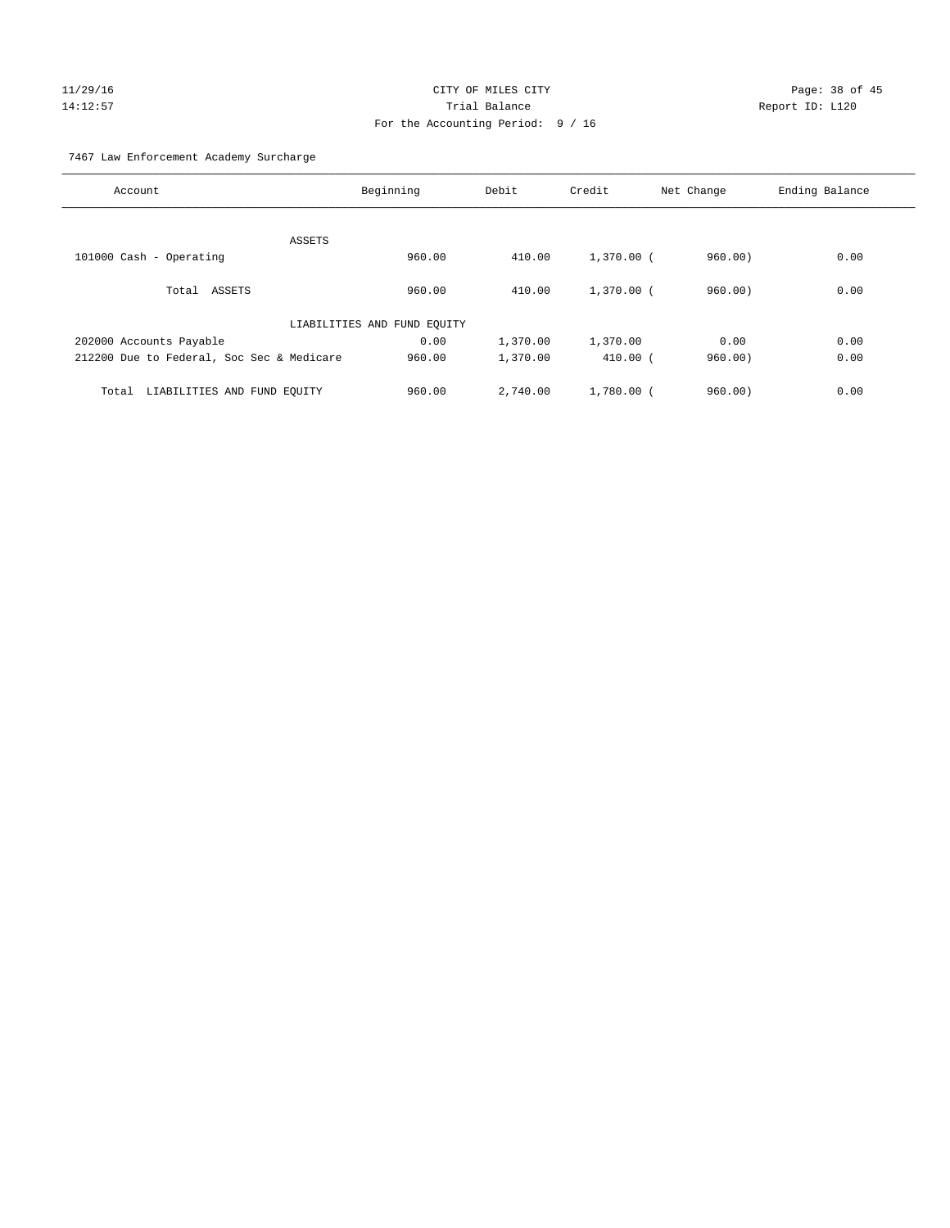# $CITY$  OF MILES  $CITY$  and the contract of  $P_1$   $P_2$  and  $P_3$  and  $P_4$   $P_5$  and  $P_6$   $P_7$   $P_8$   $P_9$   $P_9$   $P_1$   $P_2$   $P_3$   $P_4$   $P_5$   $P_6$   $P_7$   $P_8$   $P_8$   $P_9$   $P_9$   $P_9$   $P_9$   $P_9$   $P_9$   $P_9$   $P_9$   $P_9$   $P$ 14:12:57 Trial Balance Report ID: L120 For the Accounting Period: 9 / 16

7467 Law Enforcement Academy Surcharge

| Account                                   | Beginning                   | Debit    | Credit       | Net Change | Ending Balance |
|-------------------------------------------|-----------------------------|----------|--------------|------------|----------------|
|                                           |                             |          |              |            |                |
| ASSETS                                    |                             |          |              |            |                |
| 101000 Cash - Operating                   | 960.00                      | 410.00   | $1,370.00$ ( | 960.00     | 0.00           |
| Total ASSETS                              | 960.00                      | 410.00   | $1,370,00$ ( | 960.00)    | 0.00           |
|                                           | LIABILITIES AND FUND EQUITY |          |              |            |                |
| 202000 Accounts Payable                   | 0.00                        | 1,370.00 | 1,370.00     | 0.00       | 0.00           |
| 212200 Due to Federal, Soc Sec & Medicare | 960.00                      | 1,370.00 | $410.00$ (   | 960.00     | 0.00           |
| LIABILITIES AND FUND EQUITY<br>Total      | 960.00                      | 2,740.00 | $1,780.00$ ( | 960.00     | 0.00           |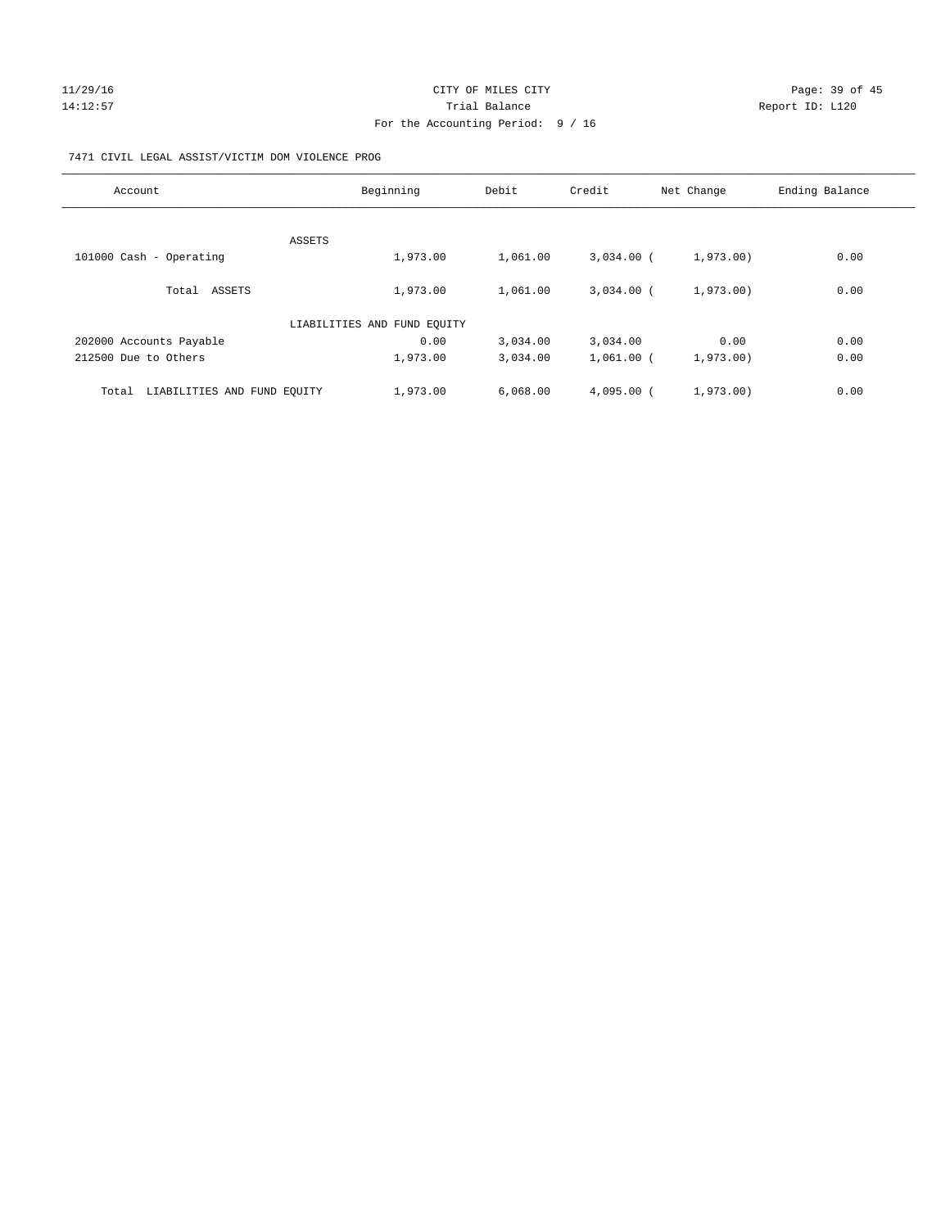#### 11/29/16 Page: 39 of 45 14:12:57 Trial Balance Trial Balance Report ID: L120 For the Accounting Period: 9 / 16

#### 7471 CIVIL LEGAL ASSIST/VICTIM DOM VIOLENCE PROG

| Account                              | Beginning                   | Debit    | Credit       | Net Change | Ending Balance |
|--------------------------------------|-----------------------------|----------|--------------|------------|----------------|
|                                      |                             |          |              |            |                |
|                                      | ASSETS                      |          |              |            |                |
| 101000 Cash - Operating              | 1,973.00                    | 1,061.00 | $3.034.00$ ( | 1,973.00)  | 0.00           |
| Total ASSETS                         | 1,973.00                    | 1,061.00 | $3.034.00$ ( | 1,973,00)  | 0.00           |
|                                      | LIABILITIES AND FUND EQUITY |          |              |            |                |
| 202000 Accounts Payable              | 0.00                        | 3,034.00 | 3,034.00     | 0.00       | 0.00           |
| 212500 Due to Others                 | 1,973.00                    | 3,034.00 | $1,061.00$ ( | 1,973.00)  | 0.00           |
| LIABILITIES AND FUND EQUITY<br>Total | 1,973.00                    | 6,068.00 | $4.095.00$ ( | 1,973.00)  | 0.00           |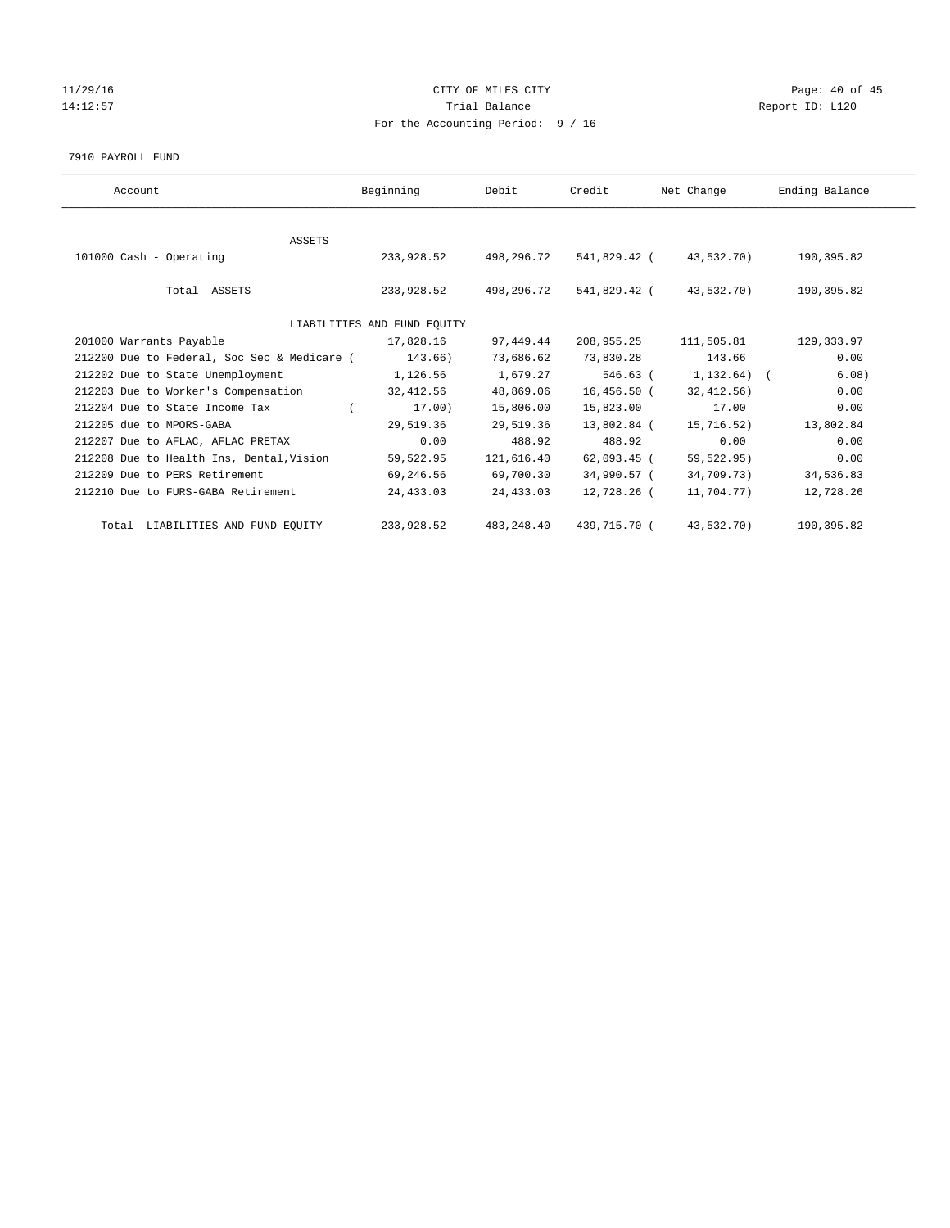# 11/29/16 Page: 40 of 45 14:12:57 Trial Balance Trial Balance Report ID: L120 For the Accounting Period: 9 / 16

7910 PAYROLL FUND

| Account                                     | Beginning                   | Debit       | Credit        | Net Change           | Ending Balance |
|---------------------------------------------|-----------------------------|-------------|---------------|----------------------|----------------|
|                                             |                             |             |               |                      |                |
| ASSETS                                      |                             |             |               |                      |                |
| 101000 Cash - Operating                     | 233,928.52                  | 498,296.72  | 541,829.42 (  | 43,532.70)           | 190,395.82     |
| Total ASSETS                                | 233,928.52                  | 498,296.72  | 541,829.42 (  | 43,532.70)           | 190,395.82     |
|                                             | LIABILITIES AND FUND EQUITY |             |               |                      |                |
| 201000 Warrants Payable                     | 17,828.16                   | 97,449.44   | 208,955.25    | 111,505.81           | 129,333.97     |
| 212200 Due to Federal, Soc Sec & Medicare ( | 143.66)                     | 73,686.62   | 73,830.28     | 143.66               | 0.00           |
| 212202 Due to State Unemployment            | 1,126.56                    | 1,679.27    |               | 546.63 ( 1,132.64) ( | 6.08)          |
| 212203 Due to Worker's Compensation         | 32,412.56                   | 48,869.06   | 16,456.50 (   | 32,412.56)           | 0.00           |
| 212204 Due to State Income Tax              | 17.00)                      | 15,806.00   | 15,823.00     | 17.00                | 0.00           |
| 212205 due to MPORS-GABA                    | 29,519.36                   | 29,519.36   | 13,802.84 (   | 15,716.52)           | 13,802.84      |
| 212207 Due to AFLAC, AFLAC PRETAX           | 0.00                        | 488.92      | 488.92        | 0.00                 | 0.00           |
| 212208 Due to Health Ins, Dental, Vision    | 59,522.95                   | 121,616.40  | $62,093.45$ ( | 59,522.95)           | 0.00           |
| 212209 Due to PERS Retirement               | 69,246.56                   | 69,700.30   | 34,990.57 (   | 34,709.73)           | 34,536.83      |
| 212210 Due to FURS-GABA Retirement          | 24,433.03                   | 24,433.03   | 12,728.26 (   | 11,704.77)           | 12,728.26      |
| Total LIABILITIES AND FUND EQUITY           | 233,928.52                  | 483, 248.40 | 439,715.70 (  | 43,532.70)           | 190,395.82     |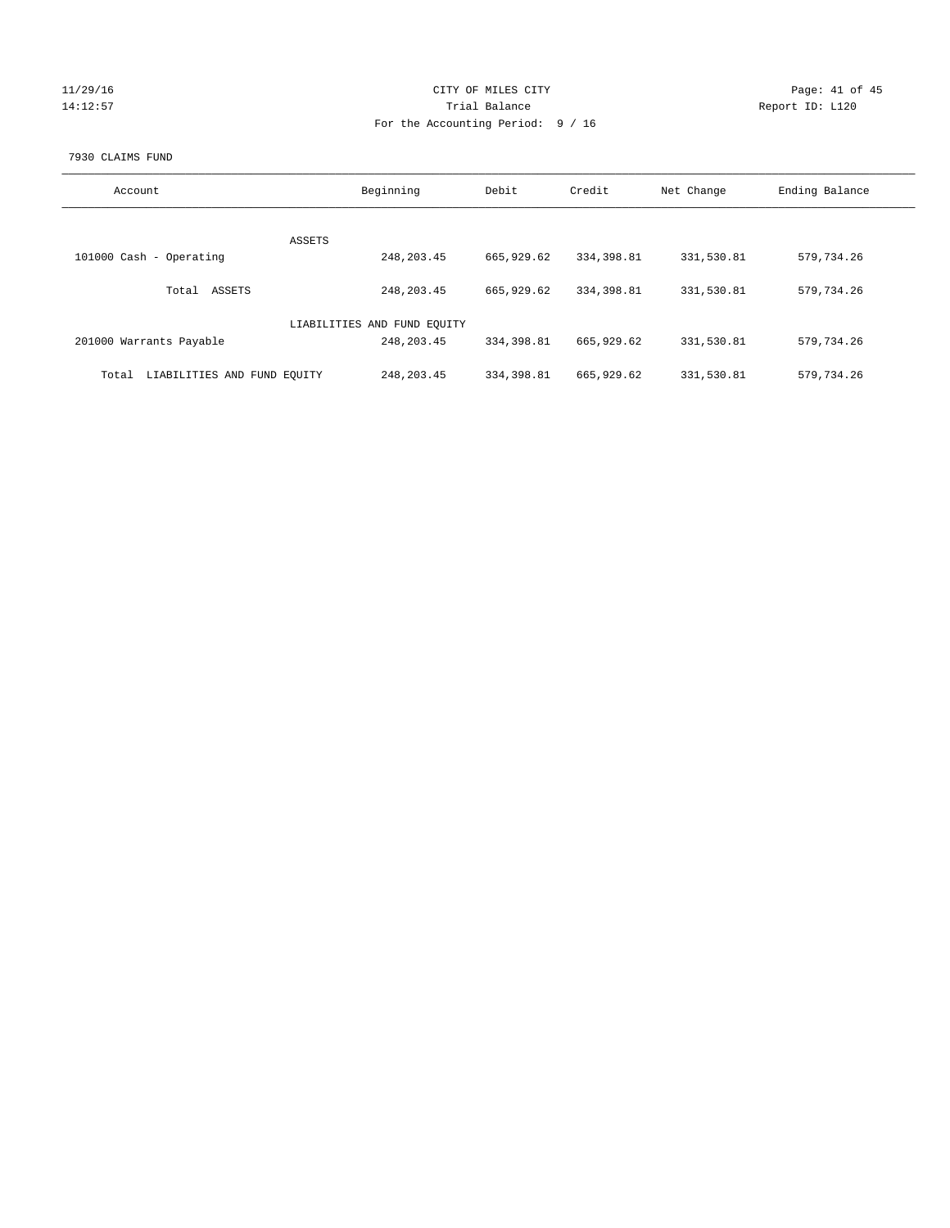| 11/29/16 |
|----------|
| 14:12:57 |

#### CITY OF MILES CITY CONTROL CONTROL CITY CONTROL PAGE: 41 of 45 Partial Balance and Communications of the Report ID: L120 For the Accounting Period: 9 / 16

#### 7930 CLAIMS FUND

| Account                              | Beginning                   | Debit       | Credit     | Net Change | Ending Balance |
|--------------------------------------|-----------------------------|-------------|------------|------------|----------------|
| <b>ASSETS</b>                        |                             |             |            |            |                |
| 101000 Cash - Operating              | 248, 203.45                 | 665,929.62  | 334,398.81 | 331,530.81 | 579,734.26     |
| ASSETS<br>Total                      | 248, 203.45                 | 665,929.62  | 334,398.81 | 331,530.81 | 579,734.26     |
|                                      | LIABILITIES AND FUND EQUITY |             |            |            |                |
| 201000 Warrants Payable              | 248, 203.45                 | 334, 398.81 | 665,929.62 | 331,530.81 | 579,734.26     |
| LIABILITIES AND FUND EQUITY<br>Total | 248, 203.45                 | 334,398.81  | 665,929.62 | 331,530.81 | 579,734.26     |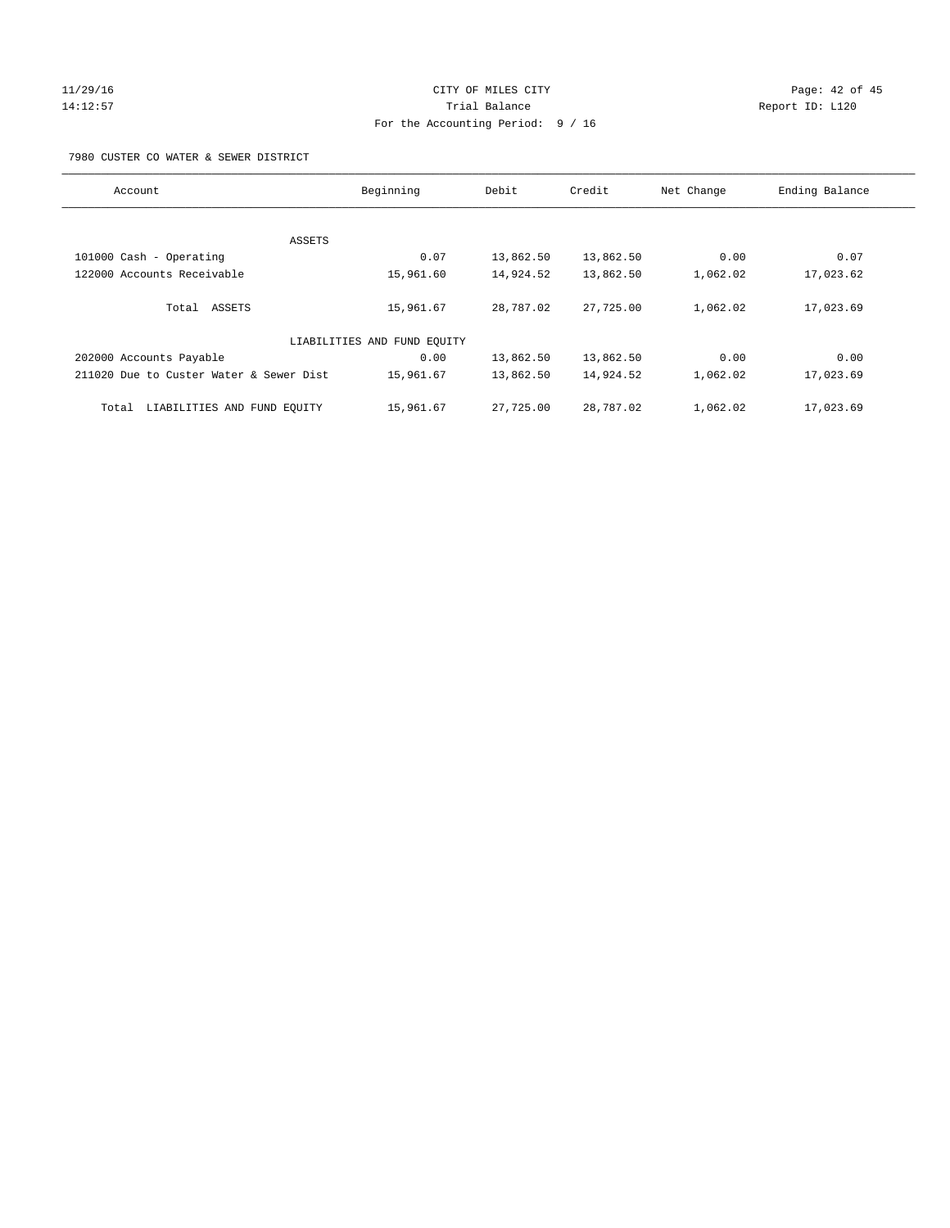#### 11/29/16 Page: 42 of 45 14:12:57 Trial Balance Trial Balance Report ID: L120 For the Accounting Period: 9 / 16

7980 CUSTER CO WATER & SEWER DISTRICT

| Account                                 | Beginning                   | Debit     | Credit    | Net Change | Ending Balance |
|-----------------------------------------|-----------------------------|-----------|-----------|------------|----------------|
|                                         |                             |           |           |            |                |
| ASSETS                                  |                             |           |           |            |                |
| 101000 Cash - Operating                 | 0.07                        | 13,862.50 | 13,862.50 | 0.00       | 0.07           |
| 122000 Accounts Receivable              | 15,961.60                   | 14,924.52 | 13,862.50 | 1,062.02   | 17,023.62      |
| Total ASSETS                            | 15,961.67                   | 28,787.02 | 27,725.00 | 1,062.02   | 17,023.69      |
|                                         | LIABILITIES AND FUND EQUITY |           |           |            |                |
| 202000 Accounts Payable                 | 0.00                        | 13,862.50 | 13,862.50 | 0.00       | 0.00           |
| 211020 Due to Custer Water & Sewer Dist | 15,961.67                   | 13,862.50 | 14,924.52 | 1,062.02   | 17,023.69      |
| LIABILITIES AND FUND EQUITY<br>Total    | 15,961.67                   | 27,725.00 | 28,787.02 | 1,062.02   | 17,023.69      |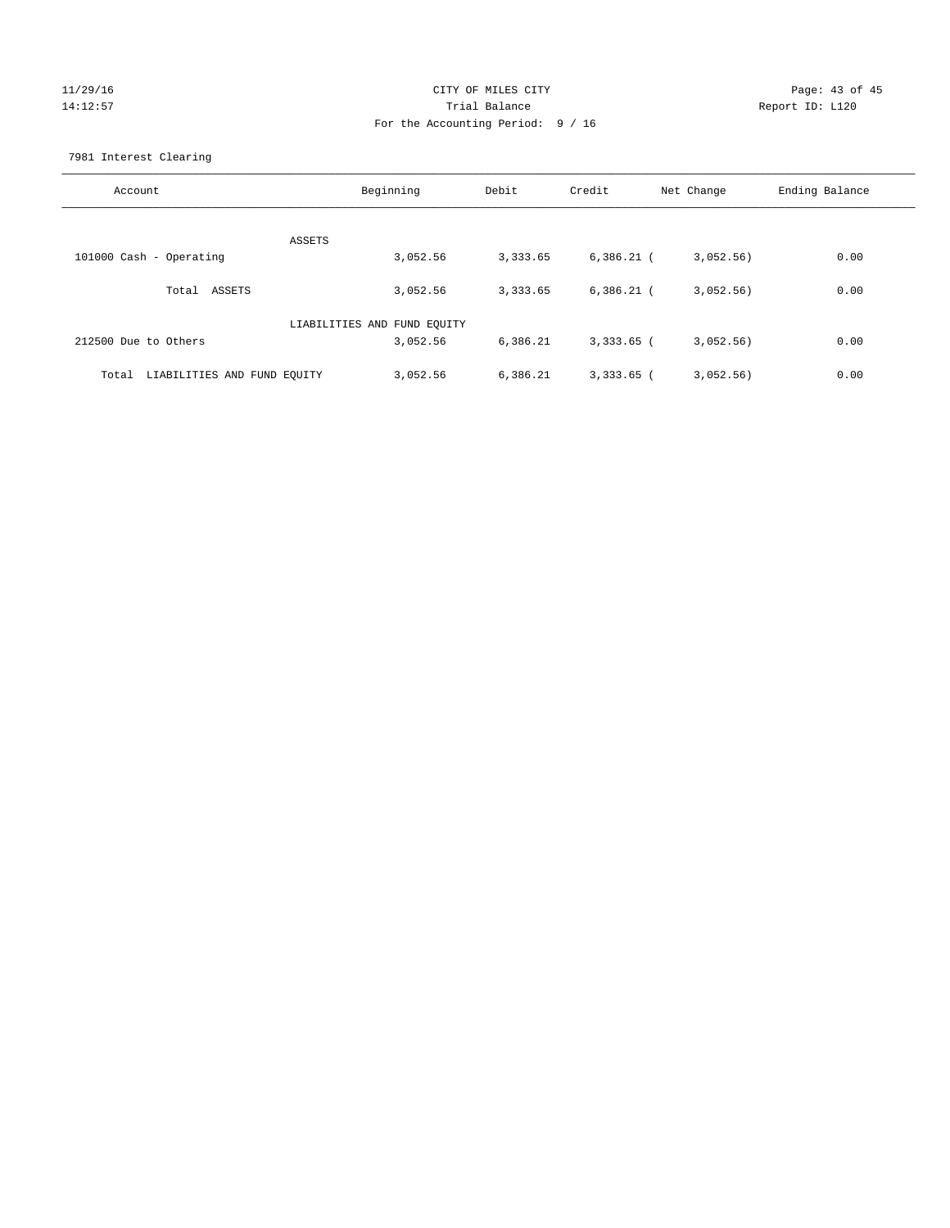# 11/29/16 Page: 43 of 45 14:12:57 Trial Balance Report ID: L120 For the Accounting Period: 9 / 16

7981 Interest Clearing

| Account                           | Beginning                   | Debit    | Credit       | Net Change | Ending Balance |
|-----------------------------------|-----------------------------|----------|--------------|------------|----------------|
|                                   | ASSETS                      |          |              |            |                |
| 101000 Cash - Operating           | 3,052.56                    | 3,333.65 | $6,386.21$ ( | 3,052.56)  | 0.00           |
| Total ASSETS                      | 3,052.56                    | 3,333.65 | $6,386.21$ ( | 3,052.56)  | 0.00           |
|                                   | LIABILITIES AND FUND EQUITY |          |              |            |                |
| 212500 Due to Others              | 3,052.56                    | 6,386.21 | $3,333.65$ ( | 3,052.56)  | 0.00           |
| Total LIABILITIES AND FUND EQUITY | 3,052.56                    | 6,386.21 | $3,333.65$ ( | 3,052.56)  | 0.00           |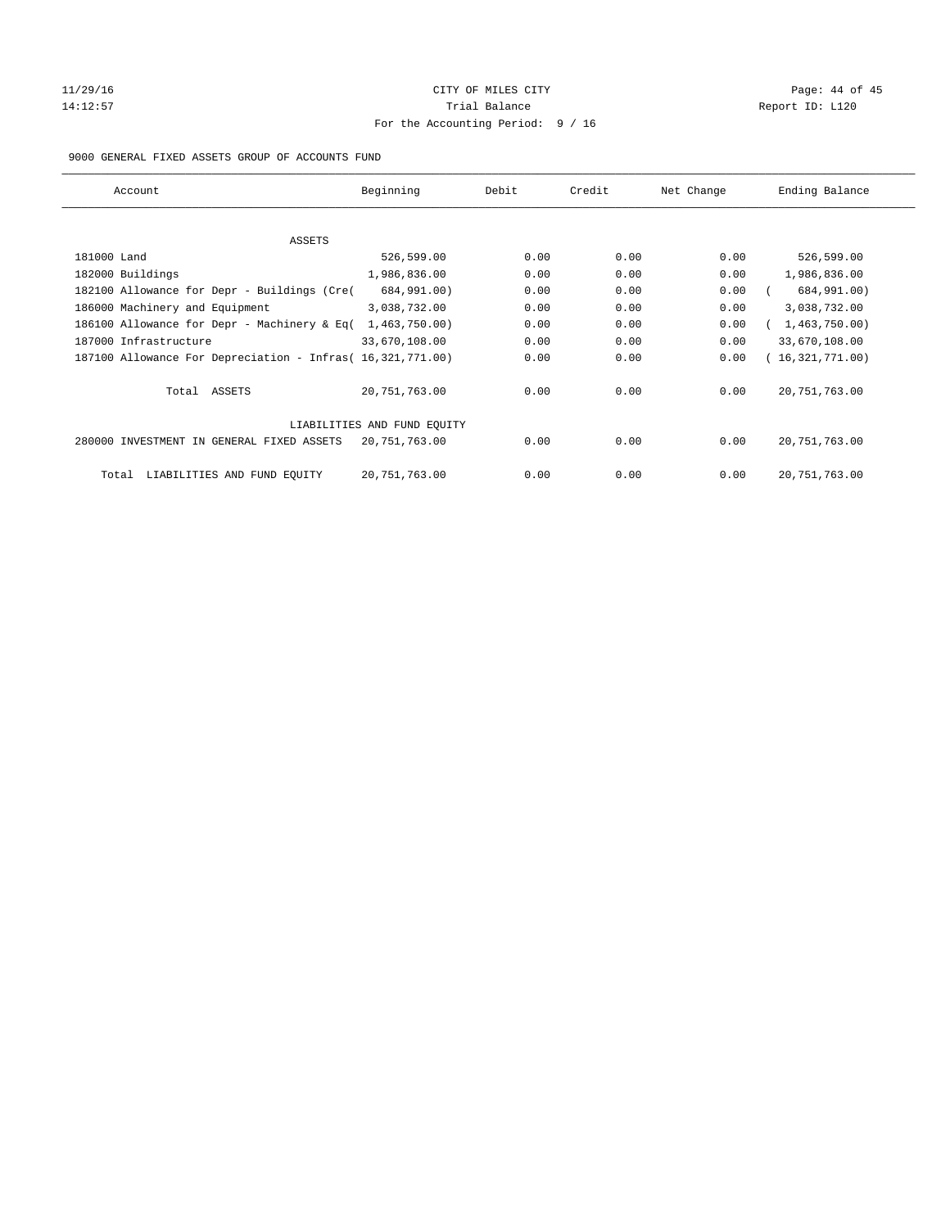## 11/29/16 Page: 44 of 45 14:12:57 Trial Balance Trial Balance Report ID: L120 For the Accounting Period: 9 / 16

#### 9000 GENERAL FIXED ASSETS GROUP OF ACCOUNTS FUND

| Account                                                    | Beginning                   | Debit | Credit | Net Change | Ending Balance  |
|------------------------------------------------------------|-----------------------------|-------|--------|------------|-----------------|
| ASSETS                                                     |                             |       |        |            |                 |
| 181000 Land                                                | 526,599.00                  | 0.00  | 0.00   | 0.00       | 526,599.00      |
| 182000 Buildings                                           | 1,986,836.00                | 0.00  | 0.00   | 0.00       | 1,986,836.00    |
| 182100 Allowance for Depr - Buildings (Cre(                | 684,991.00)                 | 0.00  | 0.00   | 0.00       | 684,991.00)     |
| 186000 Machinery and Equipment                             | 3,038,732.00                | 0.00  | 0.00   | 0.00       | 3,038,732.00    |
| 186100 Allowance for Depr - Machinery & Eq(                | 1,463,750.00)               | 0.00  | 0.00   | 0.00       | 1,463,750.00)   |
| 187000 Infrastructure                                      | 33,670,108.00               | 0.00  | 0.00   | 0.00       | 33,670,108.00   |
| 187100 Allowance For Depreciation - Infras( 16,321,771.00) |                             | 0.00  | 0.00   | 0.00       | 16,321,771.00)  |
| Total ASSETS                                               | 20,751,763.00               | 0.00  | 0.00   | 0.00       | 20, 751, 763.00 |
|                                                            | LIABILITIES AND FUND EQUITY |       |        |            |                 |
| 280000 INVESTMENT IN GENERAL FIXED ASSETS                  | 20,751,763.00               | 0.00  | 0.00   | 0.00       | 20, 751, 763.00 |
| LIABILITIES AND FUND EQUITY<br>Total                       | 20, 751, 763.00             | 0.00  | 0.00   | 0.00       | 20, 751, 763.00 |